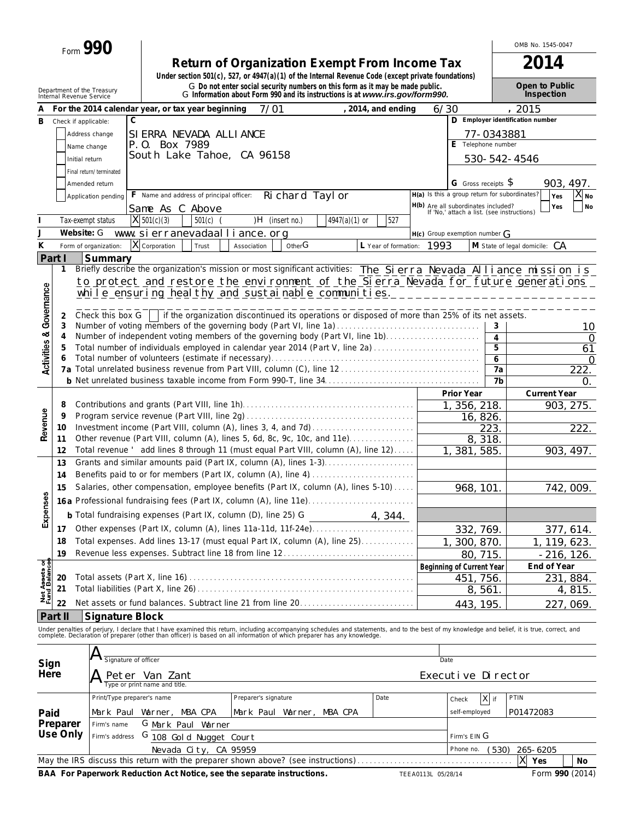| Return of Organization Exempt From Income Tax                                                      | 2014 |
|----------------------------------------------------------------------------------------------------|------|
| Under section 501(c), 527, or 4947(a)(1) of the Internal Revenue Code (except private foundations) |      |
|                                                                                                    |      |

OMB No. 1545-0047

|                                        | Department of the Treasury<br>Internal Revenue Service |                            |              |                               |                                                                      |                           |                  | G Do not enter social security numbers on this form as it may be made public.<br>G Information about Form 990 and its instructions is at www.irs.gov/form990. |                      |                                                                                   |                                  |            | Open to Public<br>Inspection                                                                                                                                                                                                      |              |
|----------------------------------------|--------------------------------------------------------|----------------------------|--------------|-------------------------------|----------------------------------------------------------------------|---------------------------|------------------|---------------------------------------------------------------------------------------------------------------------------------------------------------------|----------------------|-----------------------------------------------------------------------------------|----------------------------------|------------|-----------------------------------------------------------------------------------------------------------------------------------------------------------------------------------------------------------------------------------|--------------|
|                                        |                                                        |                            |              |                               | For the 2014 calendar year, or tax year beginning                    | 7/01                      |                  |                                                                                                                                                               | , 2014, and ending   | 6/30                                                                              |                                  |            | , 2015                                                                                                                                                                                                                            |              |
| в                                      | Check if applicable:                                   |                            | $\mathsf{C}$ |                               |                                                                      |                           |                  |                                                                                                                                                               |                      |                                                                                   |                                  |            | D Employer identification number                                                                                                                                                                                                  |              |
|                                        |                                                        | Address change             |              |                               | SI ERRA NEVADA ALLI ANCE                                             |                           |                  |                                                                                                                                                               |                      |                                                                                   |                                  | 77-0343881 |                                                                                                                                                                                                                                   |              |
|                                        |                                                        | Name change                |              | P.O. Box 7989                 |                                                                      |                           |                  |                                                                                                                                                               |                      |                                                                                   | Telephone number                 |            |                                                                                                                                                                                                                                   |              |
|                                        |                                                        |                            |              |                               | South Lake Tahoe, CA 96158                                           |                           |                  |                                                                                                                                                               |                      |                                                                                   |                                  |            |                                                                                                                                                                                                                                   |              |
|                                        | Initial return                                         |                            |              |                               |                                                                      |                           |                  |                                                                                                                                                               |                      |                                                                                   |                                  |            | 530-542-4546                                                                                                                                                                                                                      |              |
|                                        |                                                        | Final return/terminated    |              |                               |                                                                      |                           |                  |                                                                                                                                                               |                      |                                                                                   |                                  |            |                                                                                                                                                                                                                                   |              |
|                                        |                                                        | Amended return             |              |                               |                                                                      |                           |                  |                                                                                                                                                               |                      |                                                                                   | G Gross receipts \$              |            |                                                                                                                                                                                                                                   | 903, 497.    |
|                                        |                                                        | Application pending        |              |                               | F Name and address of principal officer:                             |                           | Ri chard Tayl or |                                                                                                                                                               |                      | H(a) Is this a group return for subordinates?                                     |                                  |            | Yes                                                                                                                                                                                                                               | $X_{N0}$     |
|                                        |                                                        |                            |              | Same As C Above               |                                                                      |                           |                  |                                                                                                                                                               |                      | H(b) Are all subordinates included?<br>If 'No,' attach a list. (see instructions) |                                  |            | Yes                                                                                                                                                                                                                               | <b>No</b>    |
|                                        |                                                        | Tax-exempt status          |              | X 501(c)(3)                   | $501(c)$ (                                                           |                           | )H (insert no.)  | $4947(a)(1)$ or                                                                                                                                               | 527                  |                                                                                   |                                  |            |                                                                                                                                                                                                                                   |              |
| J                                      | Website: G                                             |                            |              |                               | www.sierranevadaalliance.org                                         |                           |                  |                                                                                                                                                               |                      | $H(c)$ Group exemption number $G$                                                 |                                  |            |                                                                                                                                                                                                                                   |              |
| Κ                                      |                                                        | Form of organization:      | X            | Corporation                   | Trust                                                                | Association               | OtherG           |                                                                                                                                                               | L Year of formation: | 1993                                                                              |                                  |            | M State of legal domicile:<br>СA                                                                                                                                                                                                  |              |
|                                        |                                                        |                            |              |                               |                                                                      |                           |                  |                                                                                                                                                               |                      |                                                                                   |                                  |            |                                                                                                                                                                                                                                   |              |
| Part I                                 |                                                        | Summary                    |              |                               |                                                                      |                           |                  |                                                                                                                                                               |                      |                                                                                   |                                  |            |                                                                                                                                                                                                                                   |              |
|                                        | 1                                                      |                            |              |                               |                                                                      |                           |                  |                                                                                                                                                               |                      |                                                                                   |                                  |            | Briefly describe the organization's mission or most significant activities: The Sierra Nevada Alliance mission is                                                                                                                 |              |
|                                        |                                                        |                            |              |                               |                                                                      |                           |                  |                                                                                                                                                               |                      |                                                                                   |                                  |            | to protect and restore the environment of the Sierra Nevada for future generations                                                                                                                                                |              |
|                                        |                                                        |                            |              |                               |                                                                      |                           |                  |                                                                                                                                                               |                      |                                                                                   |                                  |            | while ensuring healthy and sustainable communities. ____________________________                                                                                                                                                  |              |
| <b>Activities &amp; Governance</b>     |                                                        |                            |              |                               |                                                                      |                           |                  |                                                                                                                                                               |                      |                                                                                   |                                  |            |                                                                                                                                                                                                                                   |              |
|                                        | 2                                                      |                            |              |                               |                                                                      |                           |                  | Check this box G if the organization discontinued its operations or disposed of more than 25% of its net assets.                                              |                      |                                                                                   |                                  |            |                                                                                                                                                                                                                                   |              |
|                                        | 3                                                      |                            |              |                               |                                                                      |                           |                  | Number of voting members of the governing body (Part VI, line 1a)                                                                                             |                      |                                                                                   |                                  | 3          |                                                                                                                                                                                                                                   | 10           |
|                                        | 4                                                      |                            |              |                               |                                                                      |                           |                  | Number of independent voting members of the governing body (Part VI, line 1b)                                                                                 |                      |                                                                                   |                                  | 4          |                                                                                                                                                                                                                                   | $\Omega$     |
|                                        | 5                                                      |                            |              |                               |                                                                      |                           |                  | Total number of individuals employed in calendar year 2014 (Part V, line 2a)                                                                                  |                      |                                                                                   |                                  | 5          |                                                                                                                                                                                                                                   | 61           |
|                                        |                                                        |                            |              |                               |                                                                      |                           |                  |                                                                                                                                                               |                      |                                                                                   |                                  | 6          |                                                                                                                                                                                                                                   | $\Omega$     |
|                                        | 7а                                                     |                            |              |                               |                                                                      |                           |                  |                                                                                                                                                               |                      |                                                                                   |                                  | 7a         |                                                                                                                                                                                                                                   | 222.         |
|                                        |                                                        |                            |              |                               |                                                                      |                           |                  |                                                                                                                                                               |                      |                                                                                   |                                  | 7b         |                                                                                                                                                                                                                                   | 0.           |
|                                        |                                                        |                            |              |                               |                                                                      |                           |                  |                                                                                                                                                               |                      |                                                                                   | Prior Year                       |            | <b>Current Year</b>                                                                                                                                                                                                               |              |
|                                        | 8                                                      |                            |              |                               |                                                                      |                           |                  |                                                                                                                                                               |                      |                                                                                   | $\overline{1}$ , 356, 218.       |            |                                                                                                                                                                                                                                   | 903, 275.    |
|                                        | 9                                                      |                            |              |                               |                                                                      |                           |                  |                                                                                                                                                               |                      |                                                                                   | 16, 826.                         |            |                                                                                                                                                                                                                                   |              |
| Revenue                                | 10                                                     |                            |              |                               |                                                                      |                           |                  |                                                                                                                                                               |                      |                                                                                   |                                  | 223.       |                                                                                                                                                                                                                                   | 222.         |
|                                        | 11                                                     |                            |              |                               |                                                                      |                           |                  | Other revenue (Part VIII, column (A), lines 5, 6d, 8c, 9c, 10c, and 11e)                                                                                      |                      |                                                                                   | 8, 318.                          |            |                                                                                                                                                                                                                                   |              |
|                                        | 12                                                     |                            |              |                               |                                                                      |                           |                  | Total revenue ' add lines 8 through 11 (must equal Part VIII, column (A), line 12)                                                                            |                      |                                                                                   | 1, 381, 585.                     |            |                                                                                                                                                                                                                                   | 903, 497.    |
|                                        | 13                                                     |                            |              |                               |                                                                      |                           |                  | Grants and similar amounts paid (Part IX, column (A), lines 1-3)                                                                                              |                      |                                                                                   |                                  |            |                                                                                                                                                                                                                                   |              |
|                                        | 14                                                     |                            |              |                               |                                                                      |                           |                  |                                                                                                                                                               |                      |                                                                                   |                                  |            |                                                                                                                                                                                                                                   |              |
|                                        | 15                                                     |                            |              |                               |                                                                      |                           |                  | Salaries, other compensation, employee benefits (Part IX, column (A), lines 5-10)                                                                             |                      |                                                                                   | 968, 101.                        |            |                                                                                                                                                                                                                                   | 742, 009.    |
|                                        |                                                        |                            |              |                               |                                                                      |                           |                  |                                                                                                                                                               |                      |                                                                                   |                                  |            |                                                                                                                                                                                                                                   |              |
|                                        |                                                        |                            |              |                               |                                                                      |                           |                  |                                                                                                                                                               |                      |                                                                                   |                                  |            |                                                                                                                                                                                                                                   |              |
| Expenses                               |                                                        |                            |              |                               | <b>b</b> Total fundraising expenses (Part IX, column (D), line 25) G |                           |                  |                                                                                                                                                               | 4, 344.              |                                                                                   |                                  |            |                                                                                                                                                                                                                                   |              |
|                                        |                                                        |                            |              |                               |                                                                      |                           |                  |                                                                                                                                                               |                      |                                                                                   | 332, 769.                        |            |                                                                                                                                                                                                                                   | 377, 614.    |
|                                        | 18                                                     |                            |              |                               |                                                                      |                           |                  | Total expenses. Add lines 13-17 (must equal Part IX, column (A), line 25)                                                                                     |                      |                                                                                   | 1, 300, 870.                     |            | 1, 119, 623.                                                                                                                                                                                                                      |              |
|                                        | 19                                                     |                            |              |                               |                                                                      |                           |                  | Revenue less expenses. Subtract line 18 from line 12                                                                                                          |                      |                                                                                   | 80, 715                          |            |                                                                                                                                                                                                                                   | $-216, 126.$ |
| <b>Net Assets of<br/>Fund Balances</b> |                                                        |                            |              |                               |                                                                      |                           |                  |                                                                                                                                                               |                      |                                                                                   | <b>Beginning of Current Year</b> |            | End of Year                                                                                                                                                                                                                       |              |
|                                        | 20                                                     |                            |              |                               |                                                                      |                           |                  |                                                                                                                                                               |                      |                                                                                   | 451, 756.                        |            |                                                                                                                                                                                                                                   | 231, 884.    |
|                                        | 21                                                     |                            |              |                               |                                                                      |                           |                  |                                                                                                                                                               |                      |                                                                                   | 8,561.                           |            |                                                                                                                                                                                                                                   | 4,815.       |
|                                        |                                                        |                            |              |                               |                                                                      |                           |                  |                                                                                                                                                               |                      |                                                                                   |                                  |            |                                                                                                                                                                                                                                   |              |
|                                        | 22                                                     |                            |              |                               |                                                                      |                           |                  |                                                                                                                                                               |                      |                                                                                   | 443, 195                         |            |                                                                                                                                                                                                                                   | 227, 069.    |
|                                        | Part II                                                | <b>Signature Block</b>     |              |                               |                                                                      |                           |                  |                                                                                                                                                               |                      |                                                                                   |                                  |            |                                                                                                                                                                                                                                   |              |
|                                        |                                                        |                            |              |                               |                                                                      |                           |                  |                                                                                                                                                               |                      |                                                                                   |                                  |            | Under penalties of perjury, I declare that I have examined this return, including accompanying schedules and statements, and to the best of my knowledge and belief, it is true, correct, and<br>complete. Declaration of prepare |              |
|                                        |                                                        |                            |              |                               |                                                                      |                           |                  |                                                                                                                                                               |                      |                                                                                   |                                  |            |                                                                                                                                                                                                                                   |              |
|                                        |                                                        | A<br>Signature of officer  |              |                               |                                                                      |                           |                  |                                                                                                                                                               |                      |                                                                                   |                                  |            |                                                                                                                                                                                                                                   |              |
| Sign                                   |                                                        |                            |              |                               |                                                                      |                           |                  |                                                                                                                                                               |                      | Date                                                                              |                                  |            |                                                                                                                                                                                                                                   |              |
| Here                                   |                                                        |                            |              | Peter Van Zant                |                                                                      |                           |                  |                                                                                                                                                               |                      |                                                                                   | Executive Director               |            |                                                                                                                                                                                                                                   |              |
|                                        |                                                        |                            |              | Type or print name and title. |                                                                      |                           |                  |                                                                                                                                                               |                      |                                                                                   |                                  |            |                                                                                                                                                                                                                                   |              |
|                                        |                                                        | Print/Type preparer's name |              |                               |                                                                      | Preparer's signature      |                  |                                                                                                                                                               | Date                 |                                                                                   | Check                            | $X$ if     | PTIN                                                                                                                                                                                                                              |              |
| Paid                                   |                                                        |                            |              | Mark Paul Warner, MBA CPA     |                                                                      | Mark Paul Warner, MBA CPA |                  |                                                                                                                                                               |                      |                                                                                   | self-employed                    |            | P01472083                                                                                                                                                                                                                         |              |
|                                        | Preparer                                               | Firm's name                |              |                               | G Mark Paul Warner                                                   |                           |                  |                                                                                                                                                               |                      |                                                                                   |                                  |            |                                                                                                                                                                                                                                   |              |
|                                        | Use Only                                               |                            |              |                               |                                                                      |                           |                  |                                                                                                                                                               |                      |                                                                                   |                                  |            |                                                                                                                                                                                                                                   |              |
|                                        |                                                        | Firm's address             |              |                               | G 108 Gold Nugget Court                                              |                           |                  |                                                                                                                                                               |                      |                                                                                   | Firm's EIN G                     |            |                                                                                                                                                                                                                                   |              |
|                                        |                                                        |                            |              |                               | Nevada City, CA 95959                                                |                           |                  |                                                                                                                                                               |                      |                                                                                   | Phone no.                        | (530)      | 265-6205                                                                                                                                                                                                                          |              |
|                                        |                                                        |                            |              |                               |                                                                      |                           |                  | May the IRS discuss this return with the preparer shown above? (see instructions)                                                                             |                      |                                                                                   |                                  |            | Χ<br>Yes                                                                                                                                                                                                                          | No           |

**BAA For Paperwork Reduction Act Notice, see the separate instructions. TEEA0113L 05/28/14 Form 990 (2014)**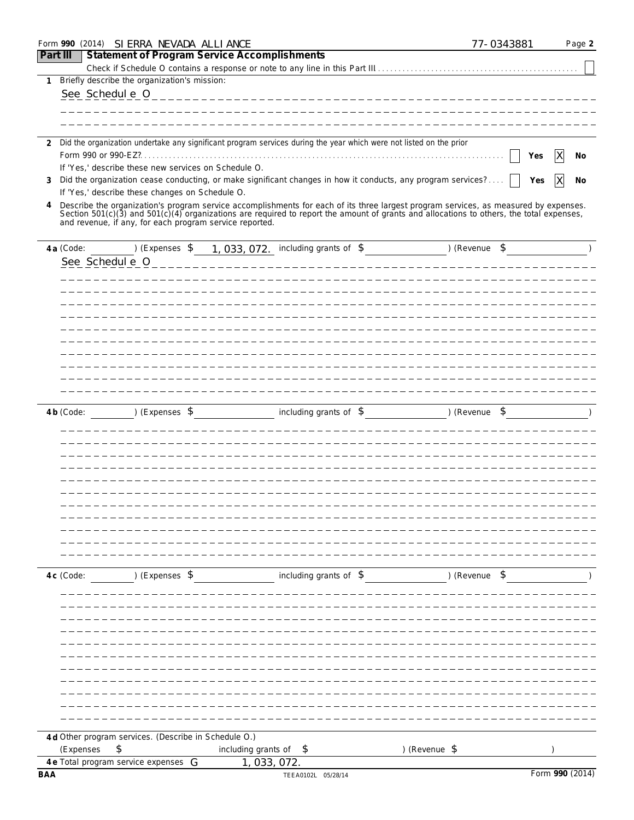|              |             | Form 990 (2014) SI ERRA NEVADA ALLI ANCE                                                                                                                                                                                                                                             |                                        |                         |                | 77-0343881 | Page 2             |
|--------------|-------------|--------------------------------------------------------------------------------------------------------------------------------------------------------------------------------------------------------------------------------------------------------------------------------------|----------------------------------------|-------------------------|----------------|------------|--------------------|
| Part III     |             | <b>Statement of Program Service Accomplishments</b>                                                                                                                                                                                                                                  |                                        |                         |                |            |                    |
|              |             |                                                                                                                                                                                                                                                                                      |                                        |                         |                |            |                    |
| $\mathbf{1}$ |             | Briefly describe the organization's mission:                                                                                                                                                                                                                                         |                                        |                         |                |            |                    |
|              |             | See Schedul e 0                                                                                                                                                                                                                                                                      | -------------------------------------- |                         |                |            |                    |
|              |             |                                                                                                                                                                                                                                                                                      |                                        |                         |                |            |                    |
|              |             |                                                                                                                                                                                                                                                                                      |                                        |                         |                |            |                    |
|              |             | 2 Did the organization undertake any significant program services during the year which were not listed on the prior                                                                                                                                                                 |                                        |                         |                |            |                    |
|              |             | Form 990 or 990-EZ?                                                                                                                                                                                                                                                                  |                                        |                         |                | Yes        | X<br>No            |
|              |             | If 'Yes,' describe these new services on Schedule O.                                                                                                                                                                                                                                 |                                        |                         |                |            |                    |
| 3            |             | Did the organization cease conducting, or make significant changes in how it conducts, any program services?                                                                                                                                                                         |                                        |                         |                | Yes        | $\mathsf{X}$<br>No |
|              |             | If 'Yes,' describe these changes on Schedule O.                                                                                                                                                                                                                                      |                                        |                         |                |            |                    |
| 4            |             | Describe the organization's program service accomplishments for each of its three largest program services, as measured by expenses.<br>Section $501(c)(3)$ and $501(c)(4)$ organizations are required to report the amount of grants and allocations to others, the total expenses, |                                        |                         |                |            |                    |
|              |             | and revenue, if any, for each program service reported.                                                                                                                                                                                                                              |                                        |                         |                |            |                    |
|              |             |                                                                                                                                                                                                                                                                                      |                                        |                         | ) (Revenue \$  |            |                    |
|              | 4 a (Code:  | ) (Expenses \$                                                                                                                                                                                                                                                                       | 1, 033, 072. including grants of \$    |                         |                |            |                    |
|              |             | See Schedule 0                                                                                                                                                                                                                                                                       |                                        |                         |                |            |                    |
|              |             |                                                                                                                                                                                                                                                                                      |                                        |                         |                |            |                    |
|              |             |                                                                                                                                                                                                                                                                                      |                                        |                         |                |            |                    |
|              |             |                                                                                                                                                                                                                                                                                      |                                        |                         |                |            |                    |
|              |             |                                                                                                                                                                                                                                                                                      |                                        |                         |                |            |                    |
|              |             |                                                                                                                                                                                                                                                                                      |                                        |                         |                |            |                    |
|              |             |                                                                                                                                                                                                                                                                                      |                                        |                         |                |            |                    |
|              |             |                                                                                                                                                                                                                                                                                      |                                        |                         |                |            |                    |
|              |             |                                                                                                                                                                                                                                                                                      |                                        |                         |                |            |                    |
|              |             |                                                                                                                                                                                                                                                                                      |                                        |                         |                |            |                    |
|              | 4b (Code:   | ) (Expenses \$                                                                                                                                                                                                                                                                       |                                        | including grants of $$$ | ) (Revenue \$  |            |                    |
|              |             |                                                                                                                                                                                                                                                                                      |                                        |                         |                |            |                    |
|              |             |                                                                                                                                                                                                                                                                                      |                                        |                         |                |            |                    |
|              |             |                                                                                                                                                                                                                                                                                      |                                        |                         |                |            |                    |
|              |             |                                                                                                                                                                                                                                                                                      |                                        |                         |                |            |                    |
|              |             |                                                                                                                                                                                                                                                                                      |                                        |                         |                |            |                    |
|              |             |                                                                                                                                                                                                                                                                                      |                                        |                         |                |            |                    |
|              |             |                                                                                                                                                                                                                                                                                      |                                        |                         |                |            |                    |
|              |             |                                                                                                                                                                                                                                                                                      |                                        |                         |                |            |                    |
|              |             |                                                                                                                                                                                                                                                                                      |                                        |                         |                |            |                    |
|              |             |                                                                                                                                                                                                                                                                                      |                                        |                         |                |            |                    |
|              |             |                                                                                                                                                                                                                                                                                      |                                        |                         |                |            |                    |
|              | $4c$ (Code: | ) (Expenses \$                                                                                                                                                                                                                                                                       |                                        | including grants of \$  | ) (Revenue \$  |            |                    |
|              |             |                                                                                                                                                                                                                                                                                      |                                        |                         |                |            |                    |
|              |             |                                                                                                                                                                                                                                                                                      |                                        |                         |                |            |                    |
|              |             |                                                                                                                                                                                                                                                                                      |                                        |                         |                |            |                    |
|              |             |                                                                                                                                                                                                                                                                                      |                                        |                         |                |            |                    |
|              |             |                                                                                                                                                                                                                                                                                      |                                        |                         |                |            |                    |
|              |             |                                                                                                                                                                                                                                                                                      |                                        |                         |                |            |                    |
|              |             |                                                                                                                                                                                                                                                                                      |                                        |                         |                |            |                    |
|              |             |                                                                                                                                                                                                                                                                                      |                                        |                         |                |            |                    |
|              |             |                                                                                                                                                                                                                                                                                      |                                        |                         |                |            |                    |
|              |             |                                                                                                                                                                                                                                                                                      |                                        |                         |                |            |                    |
|              |             |                                                                                                                                                                                                                                                                                      |                                        |                         |                |            |                    |
|              |             | 4 d Other program services. (Describe in Schedule O.)                                                                                                                                                                                                                                |                                        |                         |                |            |                    |
|              | (Expenses   | \$                                                                                                                                                                                                                                                                                   | including grants of \$                 |                         | ) (Revenue $$$ |            |                    |
| <b>BAA</b>   |             | 4 e Total program service expenses G                                                                                                                                                                                                                                                 | 1, 033, 072.                           | TEEA0102L 05/28/14      |                |            | Form 990 (2014)    |
|              |             |                                                                                                                                                                                                                                                                                      |                                        |                         |                |            |                    |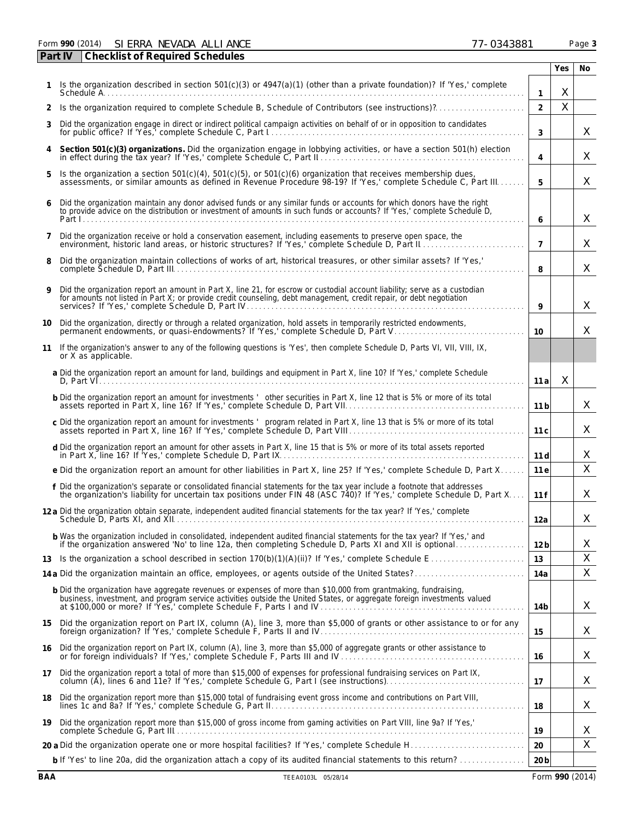Form **990** (2014) Page **3** SIERRA NEVADA ALLIANCE 77-0343881

|                | <b>Checklist of Required Schedules</b><br>Part IV                                                                                                                                                                                                                                                                         |                 |              |     |
|----------------|---------------------------------------------------------------------------------------------------------------------------------------------------------------------------------------------------------------------------------------------------------------------------------------------------------------------------|-----------------|--------------|-----|
|                |                                                                                                                                                                                                                                                                                                                           |                 | Yes          | No. |
|                | Is the organization described in section 501(c)(3) or 4947(a)(1) (other than a private foundation)? If 'Yes,' complete                                                                                                                                                                                                    | $\mathbf{1}$    | X            |     |
| 2              | Is the organization required to complete Schedule B, Schedule of Contributors (see instructions)?                                                                                                                                                                                                                         | $\overline{2}$  | $\mathsf{X}$ |     |
| 3              | Did the organization engage in direct or indirect political campaign activities on behalf of or in opposition to candidates                                                                                                                                                                                               | 3               |              | X   |
| 4              | Section 501(c)(3) organizations. Did the organization engage in lobbying activities, or have a section 501(h) election                                                                                                                                                                                                    | $\overline{4}$  |              | X   |
| 5              | Is the organization a section 501(c)(4), 501(c)(5), or 501(c)(6) organization that receives membership dues,<br>assessments, or similar amounts as defined in Revenue Procedure 98-19? If 'Yes,' complete Schedule C, Part III                                                                                            | 5               |              | X   |
| 6              | Did the organization maintain any donor advised funds or any similar funds or accounts for which donors have the right to provide advice on the distribution or investment of amounts in such funds or accounts? If 'Yes,' com                                                                                            | 6               |              | X   |
| $\overline{7}$ | Did the organization receive or hold a conservation easement, including easements to preserve open space, the                                                                                                                                                                                                             | $\overline{7}$  |              | X   |
| 8              | Did the organization maintain collections of works of art, historical treasures, or other similar assets? If 'Yes,'                                                                                                                                                                                                       | 8               |              | X   |
| 9              | Did the organization report an amount in Part X, line 21, for escrow or custodial account liability; serve as a custodian for amounts not listed in Part X; or provide credit counseling, debt management, credit repair, or d                                                                                            | 9               |              | X   |
| 10             | Did the organization, directly or through a related organization, hold assets in temporarily restricted endowments,                                                                                                                                                                                                       | 10              |              | X   |
| 11             | If the organization's answer to any of the following questions is 'Yes', then complete Schedule D, Parts VI, VII, VIII, IX,<br>or X as applicable.                                                                                                                                                                        |                 |              |     |
|                | a Did the organization report an amount for land, buildings and equipment in Part X, line 10? If 'Yes,' complete Schedule                                                                                                                                                                                                 | 11a             | X            |     |
|                | b Did the organization report an amount for investments ' other securities in Part X, line 12 that is 5% or more of its total                                                                                                                                                                                             | 11 <sub>b</sub> |              | X   |
|                | c Did the organization report an amount for investments ' program related in Part X, line 13 that is 5% or more of its total                                                                                                                                                                                              | 11c             |              | X   |
|                | d Did the organization report an amount for other assets in Part X, line 15 that is 5% or more of its total assets reported                                                                                                                                                                                               | 11d             |              | X   |
|                | e Did the organization report an amount for other liabilities in Part X, line 25? If 'Yes,' complete Schedule D, Part X                                                                                                                                                                                                   | 11 e            |              | X   |
|                | f Did the organization's separate or consolidated financial statements for the tax year include a footnote that addresses<br>the organization's liability for uncertain tax positions under FIN 48 (ASC 740)? If 'Yes,' complete                                                                                          | 11f             |              | X   |
|                | 12 a Did the organization obtain separate, independent audited financial statements for the tax year? If 'Yes,' complete                                                                                                                                                                                                  | 12a             |              | X   |
|                | b Was the organization included in consolidated, independent audited financial statements for the tax year? If 'Yes,' and if the organization answered 'No' to line 12a, then completing Schedule D, Parts XI and XII is optio                                                                                            | 12 <sub>b</sub> |              | X   |
| 13             |                                                                                                                                                                                                                                                                                                                           | 13              |              | X   |
|                |                                                                                                                                                                                                                                                                                                                           | 14a             |              | Χ   |
|                | <b>b</b> Did the organization have aggregate revenues or expenses of more than \$10,000 from grantmaking, fundraising,<br>business, investment, and program service activities outside the United States, or aggregate foreign investments valued<br>at \$100,000 or more? If 'Yes,' complete Schedule F, Parts I and IV. | 14b             |              | X   |
| 15             | Did the organization report on Part IX, column (A), line 3, more than \$5,000 of grants or other assistance to or for any                                                                                                                                                                                                 | 15              |              | X   |
| 16             | Did the organization report on Part IX, column (A), line 3, more than \$5,000 of aggregate grants or other assistance to                                                                                                                                                                                                  | 16              |              | X   |
| 17             | Did the organization report a total of more than \$15,000 of expenses for professional fundraising services on Part IX,                                                                                                                                                                                                   | 17              |              | X   |
| 18             | Did the organization report more than \$15,000 total of fundraising event gross income and contributions on Part VIII,                                                                                                                                                                                                    | 18              |              | X   |
| 19             | Did the organization report more than \$15,000 of gross income from gaming activities on Part VIII, line 9a? If 'Yes,'                                                                                                                                                                                                    | 19              |              | X   |
|                |                                                                                                                                                                                                                                                                                                                           | 20              |              | X   |
|                | b If 'Yes' to line 20a, did the organization attach a copy of its audited financial statements to this return?                                                                                                                                                                                                            | 20 <sub>b</sub> |              |     |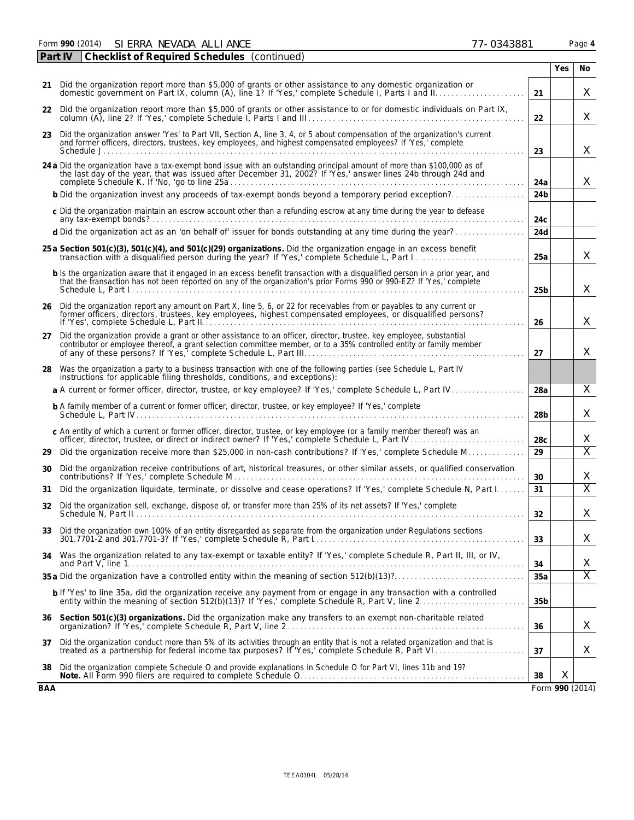| Danc<br>auc |
|-------------|
|             |

| Part IV | <b>Checklist of Required Schedules</b> (continued)                                                                                                                                                                                                    |                 |            |                 |
|---------|-------------------------------------------------------------------------------------------------------------------------------------------------------------------------------------------------------------------------------------------------------|-----------------|------------|-----------------|
|         |                                                                                                                                                                                                                                                       |                 | <b>Yes</b> | No.             |
| 21      | Did the organization report more than \$5,000 of grants or other assistance to any domestic organization or<br>domestic government on Part IX, column (A), line 1? If 'Yes,' complete Schedule I, Parts I and II.                                     | 21              |            | X               |
|         | 22 Did the organization report more than \$5,000 of grants or other assistance to or for domestic individuals on Part IX,                                                                                                                             | 22              |            | X               |
| 23      | Did the organization answer 'Yes' to Part VII, Section A, line 3, 4, or 5 about compensation of the organization's current<br>and former officers, directors, trustees, key employees, and highest compensated employees? If 'Yes,' complete          | 23              |            | X               |
|         | 24 a Did the organization have a tax-exempt bond issue with an outstanding principal amount of more than \$100,000 as of the last day of the year, that was issued after December 31, 2002? If 'Yes,' answer lines 24b through                        | 24a             |            | X.              |
|         |                                                                                                                                                                                                                                                       | 24 <sub>b</sub> |            |                 |
|         | c Did the organization maintain an escrow account other than a refunding escrow at any time during the year to defease                                                                                                                                | 24c             |            |                 |
|         | d Did the organization act as an 'on behalf of' issuer for bonds outstanding at any time during the year?                                                                                                                                             | 24d             |            |                 |
|         | 25 a Section 501(c)(3), 501(c)(4), and 501(c)(29) organizations. Did the organization engage in an excess benefit                                                                                                                                     | 25a             |            | X               |
|         | b Is the organization aware that it engaged in an excess benefit transaction with a disqualified person in a prior year, and<br>that the transaction has not been reported on any of the organization's prior Forms 990 or 990-EZ? If 'Yes,' complete | 25 <sub>b</sub> |            | X               |
|         | 26 Did the organization report any amount on Part X, line 5, 6, or 22 for receivables from or payables to any current or<br>former officers, directors, trustees, key employees, highest compensated employees, or disqualified persons?              | 26              |            | X               |
|         | 27 Did the organization provide a grant or other assistance to an officer, director, trustee, key employee, substantial<br>contributor or employee thereof, a grant selection committee member, or to a 35% controlled entity or family member        | 27              |            | $\times$        |
|         | 28 Was the organization a party to a business transaction with one of the following parties (see Schedule L, Part IV<br>instructions for applicable filing thresholds, conditions, and exceptions):                                                   |                 |            |                 |
|         | a A current or former officer, director, trustee, or key employee? If 'Yes,' complete Schedule L, Part IV                                                                                                                                             | 28a             |            | X               |
|         | <b>b</b> A family member of a current or former officer, director, trustee, or key employee? If 'Yes,' complete                                                                                                                                       | 28 <sub>b</sub> |            | X               |
|         | c An entity of which a current or former officer, director, trustee, or key employee (or a family member thereof) was an<br>officer, director, trustee, or direct or indirect owner? If 'Yes,' complete Schedule L, Part IV.                          | 28c             |            | X               |
| 29      | Did the organization receive more than \$25,000 in non-cash contributions? If 'Yes,' complete Schedule M                                                                                                                                              | 29              |            | $\overline{X}$  |
| 30      | Did the organization receive contributions of art, historical treasures, or other similar assets, or qualified conservation                                                                                                                           | 30              |            | X               |
| 31      | Did the organization liquidate, terminate, or dissolve and cease operations? If 'Yes,' complete Schedule N, Part I                                                                                                                                    | 31              |            | $\overline{X}$  |
|         | 32 Did the organization sell, exchange, dispose of, or transfer more than 25% of its net assets? If 'Yes,' complete                                                                                                                                   | 32              |            | Χ               |
| 33      | Did the organization own 100% of an entity disregarded as separate from the organization under Regulations sections                                                                                                                                   | 33              |            | X               |
| 34      | Was the organization related to any tax-exempt or taxable entity? If 'Yes,' complete Schedule R, Part II, III, or IV,                                                                                                                                 | 34              |            | X               |
|         |                                                                                                                                                                                                                                                       | 35a             |            | $\overline{X}$  |
|         | b If 'Yes' to line 35a, did the organization receive any payment from or engage in any transaction with a controlled<br>entity within the meaning of section 512(b)(13)? If 'Yes,' complete Schedule R, Part V, line 2                                | 35 <sub>b</sub> |            |                 |
| 36      | Section 501(c)(3) organizations. Did the organization make any transfers to an exempt non-charitable related                                                                                                                                          | 36              |            | X               |
| 37      | Did the organization conduct more than 5% of its activities through an entity that is not a related organization and that is                                                                                                                          | 37              |            | X               |
| 38      | Did the organization complete Schedule O and provide explanations in Schedule O for Part VI, lines 11b and 19?                                                                                                                                        | 38              | Χ          |                 |
| BAA     |                                                                                                                                                                                                                                                       |                 |            | Form 990 (2014) |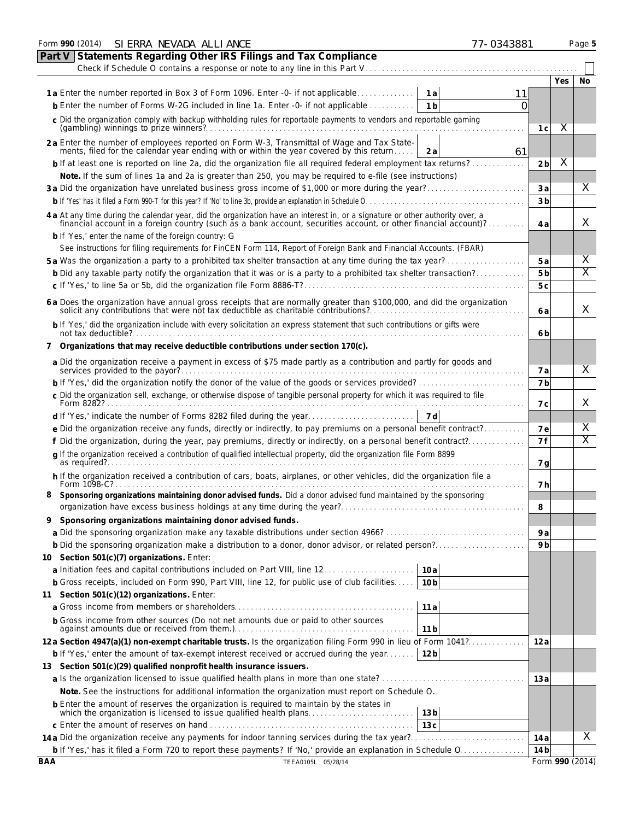|            | Form 990 (2014) SI ERRA NEVADA ALLI ANCE<br>77-0343881                                                                                                                                                                         |                |            | Page 5          |  |  |  |  |  |  |  |
|------------|--------------------------------------------------------------------------------------------------------------------------------------------------------------------------------------------------------------------------------|----------------|------------|-----------------|--|--|--|--|--|--|--|
| Part V     | Statements Regarding Other IRS Filings and Tax Compliance                                                                                                                                                                      |                |            |                 |  |  |  |  |  |  |  |
|            | Check if Schedule O contains a response or note to any line in this Part V                                                                                                                                                     |                |            |                 |  |  |  |  |  |  |  |
|            |                                                                                                                                                                                                                                |                | <b>Yes</b> | No              |  |  |  |  |  |  |  |
|            | 1a<br>11                                                                                                                                                                                                                       |                |            |                 |  |  |  |  |  |  |  |
|            | <b>b</b> Enter the number of Forms W-2G included in line 1a. Enter -0- if not applicable<br>1 <sub>b</sub><br>Ω                                                                                                                |                |            |                 |  |  |  |  |  |  |  |
|            | c Did the organization comply with backup withholding rules for reportable payments to vendors and reportable gaming                                                                                                           |                |            |                 |  |  |  |  |  |  |  |
|            |                                                                                                                                                                                                                                |                |            |                 |  |  |  |  |  |  |  |
|            | 2a Enter the number of employees reported on Form W-3, Transmittal of Wage and Tax State-<br>ments, filed for the calendar year ending with or within the year covered by this return<br>61<br>2a                              |                |            |                 |  |  |  |  |  |  |  |
|            | b If at least one is reported on line 2a, did the organization file all required federal employment tax returns?                                                                                                               | 2 <sub>b</sub> | X          |                 |  |  |  |  |  |  |  |
|            | Note. If the sum of lines 1a and 2a is greater than 250, you may be required to e-file (see instructions)                                                                                                                      |                |            |                 |  |  |  |  |  |  |  |
|            |                                                                                                                                                                                                                                |                |            |                 |  |  |  |  |  |  |  |
|            |                                                                                                                                                                                                                                | 3 <sub>b</sub> |            |                 |  |  |  |  |  |  |  |
|            |                                                                                                                                                                                                                                |                |            |                 |  |  |  |  |  |  |  |
|            | 4 a At any time during the calendar year, did the organization have an interest in, or a signature or other authority over, a financial account in a foreign country (such as a bank account, securities account, or other fin | 4 a            |            | X               |  |  |  |  |  |  |  |
|            | <b>b</b> If 'Yes,' enter the name of the foreign country: G                                                                                                                                                                    |                |            |                 |  |  |  |  |  |  |  |
|            | See instructions for filing requirements for FinCEN Form 114, Report of Foreign Bank and Financial Accounts. (FBAR)                                                                                                            |                |            |                 |  |  |  |  |  |  |  |
|            |                                                                                                                                                                                                                                | 5 a            |            | X               |  |  |  |  |  |  |  |
|            | b Did any taxable party notify the organization that it was or is a party to a prohibited tax shelter transaction?                                                                                                             | 5 <sub>b</sub> |            | Χ               |  |  |  |  |  |  |  |
|            |                                                                                                                                                                                                                                | 5 c            |            |                 |  |  |  |  |  |  |  |
|            |                                                                                                                                                                                                                                |                |            |                 |  |  |  |  |  |  |  |
|            | 6 a Does the organization have annual gross receipts that are normally greater than \$100,000, and did the organization solicit any contributions that were not tax deductible as charitable contributions?                    | 6 a            |            | X               |  |  |  |  |  |  |  |
|            | b If 'Yes,' did the organization include with every solicitation an express statement that such contributions or gifts were                                                                                                    | 6 b            |            |                 |  |  |  |  |  |  |  |
|            | 7 Organizations that may receive deductible contributions under section 170(c).                                                                                                                                                |                |            |                 |  |  |  |  |  |  |  |
|            | a Did the organization receive a payment in excess of \$75 made partly as a contribution and partly for goods and                                                                                                              |                |            |                 |  |  |  |  |  |  |  |
|            |                                                                                                                                                                                                                                | 7 a            |            | X               |  |  |  |  |  |  |  |
|            |                                                                                                                                                                                                                                | 7 <sub>b</sub> |            |                 |  |  |  |  |  |  |  |
|            | c Did the organization sell, exchange, or otherwise dispose of tangible personal property for which it was required to file                                                                                                    |                |            |                 |  |  |  |  |  |  |  |
|            |                                                                                                                                                                                                                                | 7 с            |            | X               |  |  |  |  |  |  |  |
|            | 7 d                                                                                                                                                                                                                            |                |            |                 |  |  |  |  |  |  |  |
|            | e Did the organization receive any funds, directly or indirectly, to pay premiums on a personal benefit contract?                                                                                                              | <b>7e</b>      |            | X               |  |  |  |  |  |  |  |
|            | f Did the organization, during the year, pay premiums, directly or indirectly, on a personal benefit contract?                                                                                                                 | 7f             |            | Χ               |  |  |  |  |  |  |  |
|            | q If the organization received a contribution of qualified intellectual property, did the organization file Form 8899<br>as required?                                                                                          | 7g             |            |                 |  |  |  |  |  |  |  |
|            | h If the organization received a contribution of cars, boats, airplanes, or other vehicles, did the organization file a                                                                                                        |                |            |                 |  |  |  |  |  |  |  |
| 8          | Form 1098-C?<br>Sponsoring organizations maintaining donor advised funds. Did a donor advised fund maintained by the sponsoring                                                                                                | 7 h            |            |                 |  |  |  |  |  |  |  |
|            |                                                                                                                                                                                                                                | 8              |            |                 |  |  |  |  |  |  |  |
| 9          | Sponsoring organizations maintaining donor advised funds.                                                                                                                                                                      |                |            |                 |  |  |  |  |  |  |  |
|            |                                                                                                                                                                                                                                | 9a             |            |                 |  |  |  |  |  |  |  |
|            |                                                                                                                                                                                                                                | 9b             |            |                 |  |  |  |  |  |  |  |
|            | 10 Section 501(c)(7) organizations. Enter:                                                                                                                                                                                     |                |            |                 |  |  |  |  |  |  |  |
|            | 10a                                                                                                                                                                                                                            |                |            |                 |  |  |  |  |  |  |  |
|            | <b>b</b> Gross receipts, included on Form 990, Part VIII, line 12, for public use of club facilities<br>10 <sub>b</sub>                                                                                                        |                |            |                 |  |  |  |  |  |  |  |
|            | 11 Section 501(c)(12) organizations. Enter:                                                                                                                                                                                    |                |            |                 |  |  |  |  |  |  |  |
|            | 11a                                                                                                                                                                                                                            |                |            |                 |  |  |  |  |  |  |  |
|            |                                                                                                                                                                                                                                |                |            |                 |  |  |  |  |  |  |  |
|            | b Gross income from other sources (Do not net amounts due or paid to other sources<br>11 <sub>b</sub>                                                                                                                          |                |            |                 |  |  |  |  |  |  |  |
|            | 12a Section 4947(a)(1) non-exempt charitable trusts. Is the organization filing Form 990 in lieu of Form 1041?                                                                                                                 | 12 a           |            |                 |  |  |  |  |  |  |  |
|            | <b>b</b> If 'Yes,' enter the amount of tax-exempt interest received or accrued during the year<br>12 <sub>b</sub>                                                                                                              |                |            |                 |  |  |  |  |  |  |  |
|            | 13 Section 501(c)(29) qualified nonprofit health insurance issuers.                                                                                                                                                            |                |            |                 |  |  |  |  |  |  |  |
|            |                                                                                                                                                                                                                                | 13 a           |            |                 |  |  |  |  |  |  |  |
|            | Note. See the instructions for additional information the organization must report on Schedule O.                                                                                                                              |                |            |                 |  |  |  |  |  |  |  |
|            | 13 <sub>b</sub>                                                                                                                                                                                                                |                |            |                 |  |  |  |  |  |  |  |
|            | 13 <sub>c</sub>                                                                                                                                                                                                                |                |            |                 |  |  |  |  |  |  |  |
|            |                                                                                                                                                                                                                                | 14 a           |            | X               |  |  |  |  |  |  |  |
|            |                                                                                                                                                                                                                                | 14 b           |            |                 |  |  |  |  |  |  |  |
| <b>BAA</b> | TEEA0105L 05/28/14                                                                                                                                                                                                             |                |            | Form 990 (2014) |  |  |  |  |  |  |  |
|            |                                                                                                                                                                                                                                |                |            |                 |  |  |  |  |  |  |  |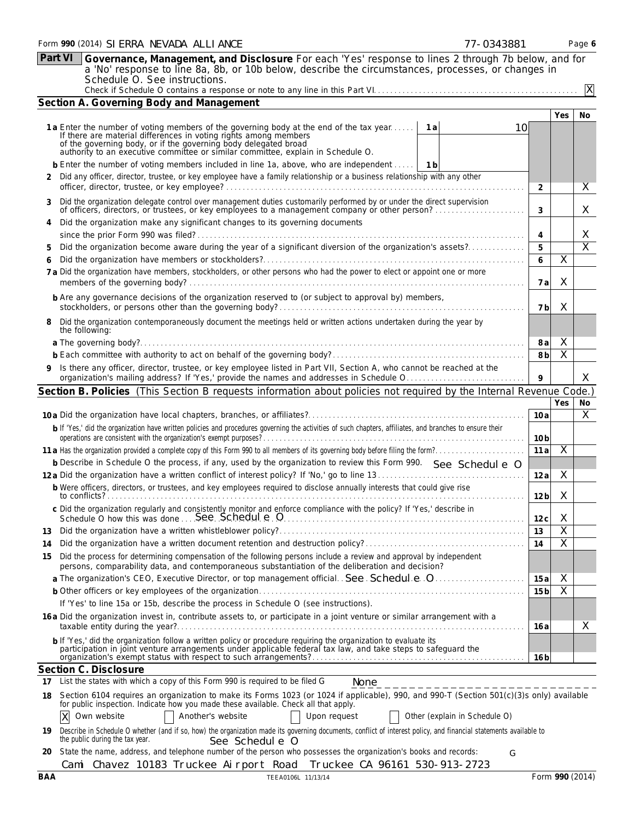|                                          | <b>Part VI</b><br>Governance, Management, and Disclosure For each 'Yes' response to lines 2 through 7b below, and for<br>a 'No' response to line 8a, 8b, or 10b below, describe the circumstances, processes, or changes in                                                                                                    |                         |                         |                         |  |  |  |  |  |  |  |  |
|------------------------------------------|--------------------------------------------------------------------------------------------------------------------------------------------------------------------------------------------------------------------------------------------------------------------------------------------------------------------------------|-------------------------|-------------------------|-------------------------|--|--|--|--|--|--|--|--|
|                                          | Schedule O. See instructions.                                                                                                                                                                                                                                                                                                  |                         |                         | $\mathsf{X}$            |  |  |  |  |  |  |  |  |
| Section A. Governing Body and Management |                                                                                                                                                                                                                                                                                                                                |                         |                         |                         |  |  |  |  |  |  |  |  |
|                                          |                                                                                                                                                                                                                                                                                                                                |                         |                         |                         |  |  |  |  |  |  |  |  |
|                                          | 1a Enter the number of voting members of the governing body at the end of the tax year<br>1 a<br>10<br>If there are material differences in voting rights among members<br>of the governing body, or if the governing body delegated broad<br>authority to an executive committee or similar committee, explain in Schedule O. |                         |                         |                         |  |  |  |  |  |  |  |  |
|                                          | <b>b</b> Enter the number of voting members included in line 1a, above, who are independent<br>1 b                                                                                                                                                                                                                             |                         |                         |                         |  |  |  |  |  |  |  |  |
|                                          | 2 Did any officer, director, trustee, or key employee have a family relationship or a business relationship with any other                                                                                                                                                                                                     |                         |                         |                         |  |  |  |  |  |  |  |  |
| 3                                        | Did the organization delegate control over management duties customarily performed by or under the direct supervision<br>of officers, directors, or trustees, or key employees to a management company or other person?                                                                                                        |                         |                         |                         |  |  |  |  |  |  |  |  |
|                                          | Did the organization make any significant changes to its governing documents                                                                                                                                                                                                                                                   | 4                       |                         | X                       |  |  |  |  |  |  |  |  |
| 5                                        | Did the organization become aware during the year of a significant diversion of the organization's assets?                                                                                                                                                                                                                     | 5                       |                         | $\overline{\mathsf{X}}$ |  |  |  |  |  |  |  |  |
|                                          |                                                                                                                                                                                                                                                                                                                                | 6                       | $\overline{X}$          |                         |  |  |  |  |  |  |  |  |
|                                          | 7 a Did the organization have members, stockholders, or other persons who had the power to elect or appoint one or more                                                                                                                                                                                                        | 7 a                     | X                       |                         |  |  |  |  |  |  |  |  |
|                                          | <b>b</b> Are any governance decisions of the organization reserved to (or subject to approval by) members,                                                                                                                                                                                                                     | 7b                      | X                       |                         |  |  |  |  |  |  |  |  |
|                                          | Did the organization contemporaneously document the meetings held or written actions undertaken during the year by<br>the following:                                                                                                                                                                                           |                         |                         |                         |  |  |  |  |  |  |  |  |
|                                          |                                                                                                                                                                                                                                                                                                                                | 8 a                     | X                       |                         |  |  |  |  |  |  |  |  |
|                                          |                                                                                                                                                                                                                                                                                                                                | 8b                      | $\overline{\mathsf{X}}$ |                         |  |  |  |  |  |  |  |  |
| 9.                                       | Is there any officer, director, trustee, or key employee listed in Part VII, Section A, who cannot be reached at the                                                                                                                                                                                                           | 9                       |                         | X                       |  |  |  |  |  |  |  |  |
|                                          | Section B. Policies (This Section B requests information about policies not required by the Internal Revenue Code.)                                                                                                                                                                                                            |                         |                         |                         |  |  |  |  |  |  |  |  |
|                                          |                                                                                                                                                                                                                                                                                                                                |                         | Yes                     | No                      |  |  |  |  |  |  |  |  |
|                                          |                                                                                                                                                                                                                                                                                                                                | 10a                     |                         | X                       |  |  |  |  |  |  |  |  |
|                                          | b If 'Yes,' did the organization have written policies and procedures governing the activities of such chapters, affiliates, and branches to ensure their                                                                                                                                                                      | 10 <sub>b</sub>         |                         |                         |  |  |  |  |  |  |  |  |
|                                          |                                                                                                                                                                                                                                                                                                                                | 11 a                    | $\overline{\mathsf{X}}$ |                         |  |  |  |  |  |  |  |  |
|                                          | b Describe in Schedule O the process, if any, used by the organization to review this Form 990. See Schedul e O                                                                                                                                                                                                                |                         |                         |                         |  |  |  |  |  |  |  |  |
|                                          |                                                                                                                                                                                                                                                                                                                                | 12a                     | X                       |                         |  |  |  |  |  |  |  |  |
|                                          | b Were officers, directors, or trustees, and key employees required to disclose annually interests that could give rise<br>to conflicts?                                                                                                                                                                                       | 12 <sub>b</sub>         | X                       |                         |  |  |  |  |  |  |  |  |
|                                          | c Did the organization regularly and consistently monitor and enforce compliance with the policy? If 'Yes,' describe in<br>Schedule O how this was done  See Schedul e 0                                                                                                                                                       | 12c                     | $\mathsf X$             |                         |  |  |  |  |  |  |  |  |
| 13                                       |                                                                                                                                                                                                                                                                                                                                | 13                      | $\overline{X}$          |                         |  |  |  |  |  |  |  |  |
| 14                                       |                                                                                                                                                                                                                                                                                                                                | 14                      | Χ                       |                         |  |  |  |  |  |  |  |  |
| 15                                       | Did the process for determining compensation of the following persons include a review and approval by independent<br>persons, comparability data, and contemporaneous substantiation of the deliberation and decision?                                                                                                        |                         |                         |                         |  |  |  |  |  |  |  |  |
|                                          |                                                                                                                                                                                                                                                                                                                                | 15 a<br>15 <sub>b</sub> | X<br>X                  |                         |  |  |  |  |  |  |  |  |
|                                          | If 'Yes' to line 15a or 15b, describe the process in Schedule O (see instructions).                                                                                                                                                                                                                                            |                         |                         |                         |  |  |  |  |  |  |  |  |
|                                          | 16 a Did the organization invest in, contribute assets to, or participate in a joint venture or similar arrangement with a                                                                                                                                                                                                     |                         |                         | X                       |  |  |  |  |  |  |  |  |
|                                          | b If 'Yes,' did the organization follow a written policy or procedure requiring the organization to evaluate its<br>participation in joint venture arrangements under applicable federal tax law, and take steps to safeguard the                                                                                              | 16 a                    |                         |                         |  |  |  |  |  |  |  |  |
|                                          | Section C. Disclosure                                                                                                                                                                                                                                                                                                          | 16 b                    |                         |                         |  |  |  |  |  |  |  |  |
| 17                                       | List the states with which a copy of this Form 990 is required to be filed G<br>None                                                                                                                                                                                                                                           |                         |                         |                         |  |  |  |  |  |  |  |  |
| 18                                       | _ _ _ _ _ _ _ _ _ _ _ _ _ _ _ _ _ _ _<br>Section 6104 requires an organization to make its Forms 1023 (or 1024 if applicable), 990, and 990-T (Section 501(c)(3)s only) available<br>for public inspection. Indicate how you made these available. Check all that apply.                                                       |                         |                         |                         |  |  |  |  |  |  |  |  |
|                                          | Own website<br>Another's website<br>Upon request<br>Other (explain in Schedule O)<br>ΙX                                                                                                                                                                                                                                        |                         |                         |                         |  |  |  |  |  |  |  |  |
| 19.                                      | Describe in Schedule O whether (and if so, how) the organization made its governing documents, conflict of interest policy, and financial statements available to<br>the public during the tax year.<br>See Schedule 0                                                                                                         |                         |                         |                         |  |  |  |  |  |  |  |  |
| 20                                       | State the name, address, and telephone number of the person who possesses the organization's books and records:<br>G                                                                                                                                                                                                           |                         |                         |                         |  |  |  |  |  |  |  |  |
|                                          | Cami Chavez 10183 Truckee Airport Road<br>Truckee CA 96161 530-913-2723                                                                                                                                                                                                                                                        |                         |                         |                         |  |  |  |  |  |  |  |  |
| BAA                                      | TEEA0106L 11/13/14                                                                                                                                                                                                                                                                                                             |                         |                         | Form 990 (2014)         |  |  |  |  |  |  |  |  |

Form **990** (2014) Page **6** SIERRA NEVADA ALLIANCE 77-0343881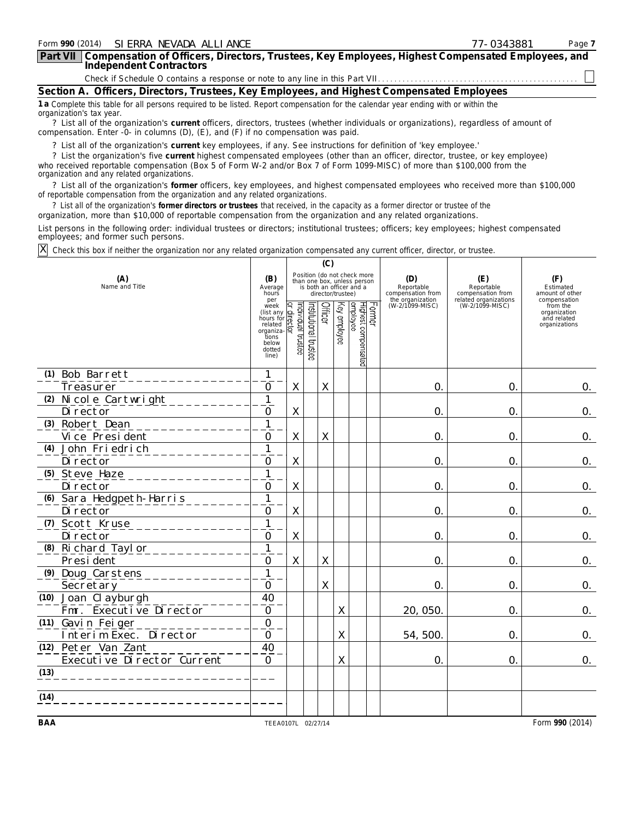| Form 990 (2014) SI ERRA NEVADA ALLI ANCE                                                                                                                                                                                    | 77-0343881 | Page 7 |
|-----------------------------------------------------------------------------------------------------------------------------------------------------------------------------------------------------------------------------|------------|--------|
| Part VII   Compensation of Officers, Directors, Trustees, Key Employees, Highest Compensated Employees, and<br>Independent Contractors                                                                                      |            |        |
|                                                                                                                                                                                                                             |            |        |
| Section A. Officers, Directors, Trustees, Key Employees, and Highest Compensated Employees                                                                                                                                  |            |        |
| 1 a Complete this table for all persons required to be listed. Report compensation for the calendar year ending with or within the<br>organization's tax year.                                                              |            |        |
| ? List all of the organization's current officers, directors, trustees (whether individuals or organizations), regardless of amount of<br>compensation. Enter -0- in columns (D), (E), and (F) if no compensation was paid. |            |        |
| ? List all of the organization's current key employees, if any. See instructions for definition of 'key employee.'                                                                                                          |            |        |

? List all of the organization's **current** key employees, if any. See instructions for definition of 'key employee.'

? List the organization's five **current** highest compensated employees (other than an officer, director, trustee, or key employee) who received reportable compensation (Box 5 of Form W-2 and/or Box 7 of Form 1099-MISC) of more than \$100,000 from the organization and any related organizations.

? List all of the organization's **former** officers, key employees, and highest compensated employees who received more than \$100,000 of reportable compensation from the organization and any related organizations.

? List all of the organization's **former directors or trustees** that received, in the capacity as a former director or trustee of the organization, more than \$10,000 of reportable compensation from the organization and any related organizations.

List persons in the following order: individual trustees or directors; institutional trustees; officers; key employees; highest compensated employees; and former such persons.

Check this box if neither the organization nor any related organization compensated any current officer, director, or trustee. X

|                                      |                            |                                                                                                    | (C)                              |                      |             |                   |                                                                                        |                                                            |                                          |                                                          |
|--------------------------------------|----------------------------|----------------------------------------------------------------------------------------------------|----------------------------------|----------------------|-------------|-------------------|----------------------------------------------------------------------------------------|------------------------------------------------------------|------------------------------------------|----------------------------------------------------------|
| (A)<br>Name and Title                |                            |                                                                                                    |                                  |                      |             | director/trustee) | Position (do not check more<br>than one box, unless person<br>is both an officer and a | (D)<br>Reportable<br>compensation from<br>the organization | (E)<br>Reportable<br>compensation from   | (F)<br>Estimated<br>amount of other<br>compensation      |
|                                      |                            | per<br>week<br>(list any<br>hours for<br>related<br>organiza-<br>tions<br>below<br>dotted<br>line) | ndividual trustee<br>drect<br>হি | nstitutional trustee | Officer     | Key employee      | Former<br>Highest compensated<br>employee                                              | (W-2/1099-MISC)                                            | related organizations<br>(W-2/1099-MISC) | from the<br>organization<br>and related<br>organizations |
| (1) Bob Barrett                      |                            | 1                                                                                                  |                                  |                      |             |                   |                                                                                        |                                                            |                                          |                                                          |
| Treasurer                            |                            | $\mathcal{O}$                                                                                      | $\mathsf X$                      |                      | X           |                   |                                                                                        | 0.                                                         | $\mathsf{O}.$                            | 0.                                                       |
| (2) Ni col e Cartwright<br>Di rector |                            | $\overline{1}$<br>$\overline{0}$                                                                   | $\mathsf X$                      |                      |             |                   |                                                                                        | $\mathsf{O}.$                                              | $\mathsf{O}.$                            | 0.                                                       |
| (3) Robert Dean<br>Vi ce Presi dent  |                            | $\overline{1}$<br>$\overline{0}$                                                                   | $\mathsf X$                      |                      | $\chi$      |                   |                                                                                        | $\mathsf{O}.$                                              | $\overline{O}$                           | $\mathsf{O}$ .                                           |
| (4) John Friedrich<br>Di rector      |                            | $\overline{1}$<br>$\Omega$                                                                         | Χ                                |                      |             |                   |                                                                                        | $\mathsf{O}.$                                              | $\mathcal{O}$                            | 0.                                                       |
| (5) Steve Haze<br>Di rector          |                            | $\overline{1}$<br>$\Omega$                                                                         | Χ                                |                      |             |                   |                                                                                        | $\mathsf{O}.$                                              | $\mathsf{O}.$                            | $\mathsf{O}$ .                                           |
| Di rector                            | (6) Sara Hedgpeth-Harris   | $\mathbf{1}$<br>$\overline{0}$                                                                     | $\sf X$                          |                      |             |                   |                                                                                        | $\mathsf{O}.$                                              | $\mathsf{O}$ .                           | 0.                                                       |
| (7) Scott Kruse<br>Di rector         |                            | $\overline{1}$<br>$\overline{0}$                                                                   | $\mathsf X$                      |                      |             |                   |                                                                                        | $\mathsf{O}.$                                              | $\mathsf{O}$ .                           | 0.                                                       |
| (8) Richard Taylor<br>Presi dent     |                            | $\mathbf{1}$<br>$\mathbf 0$                                                                        | Χ                                |                      | $\chi$      |                   |                                                                                        | $\mathsf{O}.$                                              | $\mathsf{O}.$                            | 0.                                                       |
| (9) Doug Carstens<br>Secretary       |                            | $\mathbf{1}$<br>$\mathbf 0$                                                                        |                                  |                      | $\mathsf X$ |                   |                                                                                        | $\mathsf{O}.$                                              | $\mathsf{O}.$                            | 0.                                                       |
| (10) Joan Clayburgh                  | Fmr. Executive Director    | 40<br>$\overline{0}$                                                                               |                                  |                      |             | $\sf X$           |                                                                                        | 20,050                                                     | $\mathsf{O}$ .                           | 0.                                                       |
| (11) Gavin Feiger                    | Interim Exec. Director     | $\overline{0}$<br>$\mathbf 0$                                                                      |                                  |                      |             | Χ                 |                                                                                        | 54, 500                                                    | $\mathsf{O}$ .                           | 0.                                                       |
| (12) Peter Van Zant                  | Executive Director Current | 40<br>$\overline{O}$                                                                               |                                  |                      |             | Χ                 |                                                                                        | $\mathsf{O}.$                                              | $\mathbf{O}$                             | 0.                                                       |
| (13)                                 |                            |                                                                                                    |                                  |                      |             |                   |                                                                                        |                                                            |                                          |                                                          |
| (14)                                 |                            |                                                                                                    |                                  |                      |             |                   |                                                                                        |                                                            |                                          |                                                          |
| <b>BAA</b>                           |                            | TEEA0107L 02/27/14                                                                                 |                                  |                      |             |                   |                                                                                        |                                                            |                                          | Form 990 (2014)                                          |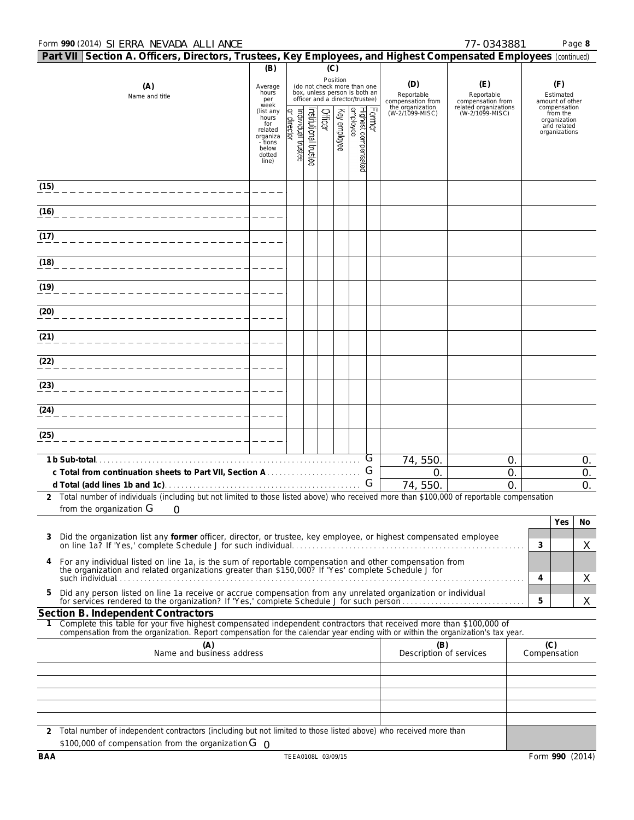# Form **990** (2014) Page **8** SIERRA NEVADA ALLIANCE 77-0343881

|      | Part VII Section A. Officers, Directors, Trustees, Key Employees, and Highest Compensated Employees (continued)                                                                                                                                        |                                                                                         |                                                                                                                     |                      |         |              |                                  |                                        |                                        |                                          |                                     |                                                                          |                                 |
|------|--------------------------------------------------------------------------------------------------------------------------------------------------------------------------------------------------------------------------------------------------------|-----------------------------------------------------------------------------------------|---------------------------------------------------------------------------------------------------------------------|----------------------|---------|--------------|----------------------------------|----------------------------------------|----------------------------------------|------------------------------------------|-------------------------------------|--------------------------------------------------------------------------|---------------------------------|
|      | (B)<br>(C)                                                                                                                                                                                                                                             |                                                                                         |                                                                                                                     |                      |         |              |                                  |                                        |                                        |                                          |                                     |                                                                          |                                 |
|      | (A)<br>Name and title                                                                                                                                                                                                                                  | Average<br>hours<br>per                                                                 | Position<br>(do not check more than one<br>box, unless person is both an<br>officer and a director/trustee)<br>week |                      |         |              |                                  | (D)<br>Reportable<br>compensation from | (E)<br>Reportable<br>compensation from |                                          | (F)<br>Estimated<br>amount of other |                                                                          |                                 |
|      |                                                                                                                                                                                                                                                        | (list any<br>hours<br>for<br>related<br>organiza<br>- tions<br>below<br>dotted<br>line) | ar director<br>əasm jenovibul                                                                                       | nstitutional trustee | Officer | Key employee | Highest compensated<br> employee | Former                                 | the organization<br>(W-2/1099-MISC)    | related organizations<br>(W-2/1099-MISC) |                                     | compensation<br>from the<br>organization<br>and related<br>organizations |                                 |
| (15) |                                                                                                                                                                                                                                                        |                                                                                         |                                                                                                                     |                      |         |              |                                  |                                        |                                        |                                          |                                     |                                                                          |                                 |
| (16) |                                                                                                                                                                                                                                                        |                                                                                         |                                                                                                                     |                      |         |              |                                  |                                        |                                        |                                          |                                     |                                                                          |                                 |
| (17) |                                                                                                                                                                                                                                                        |                                                                                         |                                                                                                                     |                      |         |              |                                  |                                        |                                        |                                          |                                     |                                                                          |                                 |
| (18) |                                                                                                                                                                                                                                                        |                                                                                         |                                                                                                                     |                      |         |              |                                  |                                        |                                        |                                          |                                     |                                                                          |                                 |
| (19) |                                                                                                                                                                                                                                                        |                                                                                         |                                                                                                                     |                      |         |              |                                  |                                        |                                        |                                          |                                     |                                                                          |                                 |
| (20) |                                                                                                                                                                                                                                                        |                                                                                         |                                                                                                                     |                      |         |              |                                  |                                        |                                        |                                          |                                     |                                                                          |                                 |
| (21) |                                                                                                                                                                                                                                                        |                                                                                         |                                                                                                                     |                      |         |              |                                  |                                        |                                        |                                          |                                     |                                                                          |                                 |
| (22) |                                                                                                                                                                                                                                                        |                                                                                         |                                                                                                                     |                      |         |              |                                  |                                        |                                        |                                          |                                     |                                                                          |                                 |
| (23) |                                                                                                                                                                                                                                                        |                                                                                         |                                                                                                                     |                      |         |              |                                  |                                        |                                        |                                          |                                     |                                                                          |                                 |
| (24) |                                                                                                                                                                                                                                                        |                                                                                         |                                                                                                                     |                      |         |              |                                  |                                        |                                        |                                          |                                     |                                                                          |                                 |
| (25) |                                                                                                                                                                                                                                                        |                                                                                         |                                                                                                                     |                      |         |              |                                  |                                        |                                        |                                          |                                     |                                                                          |                                 |
|      | 1 b Sub-total.                                                                                                                                                                                                                                         |                                                                                         |                                                                                                                     |                      |         |              |                                  | G                                      | 74, 550.                               | 0.                                       |                                     |                                                                          | 0.                              |
|      |                                                                                                                                                                                                                                                        |                                                                                         |                                                                                                                     |                      |         |              |                                  | G<br>G                                 | $\mathsf{O}.$<br>74,550                | 0.<br>0                                  |                                     |                                                                          | $\mathsf{O}.$<br>$\mathsf{O}$ . |
|      | 2 Total number of individuals (including but not limited to those listed above) who received more than \$100,000 of reportable compensation                                                                                                            |                                                                                         |                                                                                                                     |                      |         |              |                                  |                                        |                                        |                                          |                                     |                                                                          |                                 |
|      | from the organization G<br>0                                                                                                                                                                                                                           |                                                                                         |                                                                                                                     |                      |         |              |                                  |                                        |                                        |                                          |                                     | Yes                                                                      | No                              |
| 3    | Did the organization list any former officer, director, or trustee, key employee, or highest compensated employee                                                                                                                                      |                                                                                         |                                                                                                                     |                      |         |              |                                  |                                        |                                        |                                          | 3                                   |                                                                          | X                               |
| 4    | For any individual listed on line 1a, is the sum of reportable compensation and other compensation from<br>the organization and related organizations greater than \$150,000? If 'Yes' complete Schedule J for                                         |                                                                                         |                                                                                                                     |                      |         |              |                                  |                                        |                                        |                                          |                                     |                                                                          |                                 |
| 5    | Did any person listed on line 1a receive or accrue compensation from any unrelated organization or individual<br>for services rendered to the organization? If 'Yes,' complete Schedule J for such person                                              |                                                                                         |                                                                                                                     |                      |         |              |                                  |                                        |                                        |                                          | 4<br>5                              |                                                                          | X<br>X                          |
|      | Section B. Independent Contractors                                                                                                                                                                                                                     |                                                                                         |                                                                                                                     |                      |         |              |                                  |                                        |                                        |                                          |                                     |                                                                          |                                 |
|      | Complete this table for your five highest compensated independent contractors that received more than \$100,000 of<br>compensation from the organization. Report compensation for the calendar year ending with or within the organization's tax year. |                                                                                         |                                                                                                                     |                      |         |              |                                  |                                        |                                        |                                          |                                     |                                                                          |                                 |
|      | (A)<br>Name and business address                                                                                                                                                                                                                       |                                                                                         |                                                                                                                     |                      |         |              |                                  |                                        | (B)<br>Description of services         |                                          | (C)<br>Compensation                 |                                                                          |                                 |
|      |                                                                                                                                                                                                                                                        |                                                                                         |                                                                                                                     |                      |         |              |                                  |                                        |                                        |                                          |                                     |                                                                          |                                 |
|      |                                                                                                                                                                                                                                                        |                                                                                         |                                                                                                                     |                      |         |              |                                  |                                        |                                        |                                          |                                     |                                                                          |                                 |
|      |                                                                                                                                                                                                                                                        |                                                                                         |                                                                                                                     |                      |         |              |                                  |                                        |                                        |                                          |                                     |                                                                          |                                 |
|      |                                                                                                                                                                                                                                                        |                                                                                         |                                                                                                                     |                      |         |              |                                  |                                        |                                        |                                          |                                     |                                                                          |                                 |
|      | 2 Total number of independent contractors (including but not limited to those listed above) who received more than<br>\$100,000 of compensation from the organization $G_{\cap}$                                                                       |                                                                                         |                                                                                                                     |                      |         |              |                                  |                                        |                                        |                                          |                                     |                                                                          |                                 |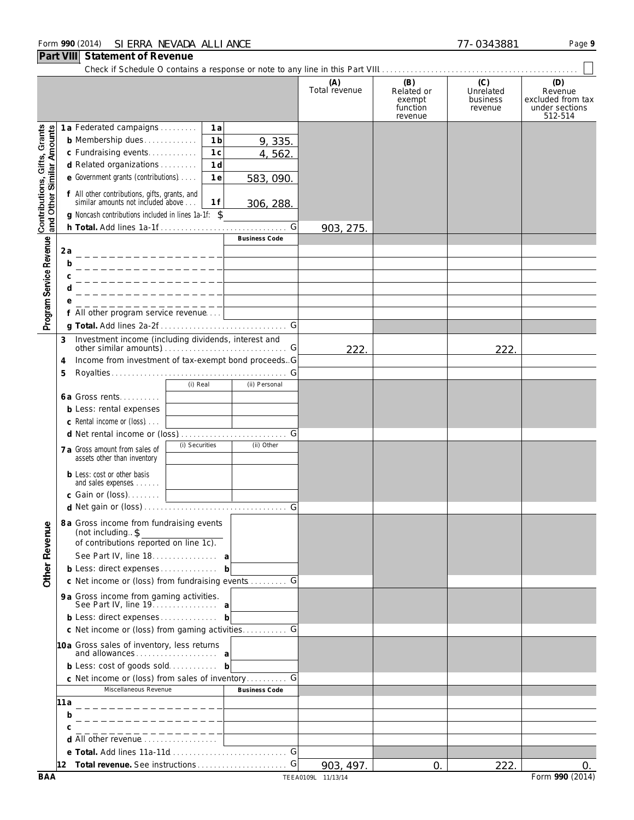# Form **990** (2014) Page **9** SIERRA NEVADA ALLIANCE 77-0343881

# **Part VIII Statement of Revenue**

Check if Schedule O contains a response or note to any line in this Part VIII. . . . . . . . . . . . . . . . . . . . . . . . . . . . . . . . . . . . . . . . . . . . . . . . .

|                                                           |                                                                                                                                                                | (A)<br>Total revenue | (B)<br>Related or<br>exempt<br>function<br>revenue | (C)<br>Unrelated<br>business<br>revenue | (D)<br>Revenue<br>excluded from tax<br>under sections<br>512-514 |
|-----------------------------------------------------------|----------------------------------------------------------------------------------------------------------------------------------------------------------------|----------------------|----------------------------------------------------|-----------------------------------------|------------------------------------------------------------------|
|                                                           | 1a Federated campaigns<br>1 a                                                                                                                                  |                      |                                                    |                                         |                                                                  |
| Contributions, Gifts, Grants<br>and Other Similar Amounts | 1 <sub>b</sub><br><b>b</b> Membership dues<br>9, 335.                                                                                                          |                      |                                                    |                                         |                                                                  |
|                                                           | 1 <sub>c</sub><br>c Fundraising events<br>4,562                                                                                                                |                      |                                                    |                                         |                                                                  |
|                                                           | 1 <sub>d</sub><br>d Related organizations                                                                                                                      |                      |                                                    |                                         |                                                                  |
|                                                           | e Government grants (contributions)<br>1e<br>583, 090.                                                                                                         |                      |                                                    |                                         |                                                                  |
|                                                           | f All other contributions, gifts, grants, and<br>similar amounts not included above<br>1 f<br>306, 288.<br>g Noncash contributions included in lines 1a-1f: \$ |                      |                                                    |                                         |                                                                  |
|                                                           | G                                                                                                                                                              | 903, 275             |                                                    |                                         |                                                                  |
|                                                           | <b>Business Code</b>                                                                                                                                           |                      |                                                    |                                         |                                                                  |
| Program Service Revenue                                   | 2 a<br>_ _ _ _ _ _ _ _ _ _ _ _ _ _ _ _ _                                                                                                                       |                      |                                                    |                                         |                                                                  |
|                                                           | b                                                                                                                                                              |                      |                                                    |                                         |                                                                  |
|                                                           | с                                                                                                                                                              |                      |                                                    |                                         |                                                                  |
|                                                           |                                                                                                                                                                |                      |                                                    |                                         |                                                                  |
|                                                           |                                                                                                                                                                |                      |                                                    |                                         |                                                                  |
|                                                           | f All other program service revenue                                                                                                                            |                      |                                                    |                                         |                                                                  |
|                                                           |                                                                                                                                                                |                      |                                                    |                                         |                                                                  |
|                                                           | Investment income (including dividends, interest and<br>3                                                                                                      |                      |                                                    |                                         |                                                                  |
|                                                           |                                                                                                                                                                | 222.                 |                                                    | 222.                                    |                                                                  |
|                                                           | Income from investment of tax-exempt bond proceeds. G<br>4                                                                                                     |                      |                                                    |                                         |                                                                  |
|                                                           | 5<br>(i) Real<br>(ii) Personal                                                                                                                                 |                      |                                                    |                                         |                                                                  |
|                                                           | <b>6a Gross rents</b>                                                                                                                                          |                      |                                                    |                                         |                                                                  |
|                                                           | <b>b</b> Less: rental expenses                                                                                                                                 |                      |                                                    |                                         |                                                                  |
|                                                           | c Rental income or (loss)                                                                                                                                      |                      |                                                    |                                         |                                                                  |
|                                                           |                                                                                                                                                                |                      |                                                    |                                         |                                                                  |
|                                                           | (i) Securities<br>(ii) Other                                                                                                                                   |                      |                                                    |                                         |                                                                  |
|                                                           | 7 a Gross amount from sales of<br>assets other than inventory                                                                                                  |                      |                                                    |                                         |                                                                  |
|                                                           | <b>b</b> Less: cost or other basis<br>and sales expenses                                                                                                       |                      |                                                    |                                         |                                                                  |
|                                                           |                                                                                                                                                                |                      |                                                    |                                         |                                                                  |
|                                                           |                                                                                                                                                                |                      |                                                    |                                         |                                                                  |
|                                                           | 8 a Gross income from fundraising events                                                                                                                       |                      |                                                    |                                         |                                                                  |
| enue                                                      | (not including. \$<br>of contributions reported on line 1c).                                                                                                   |                      |                                                    |                                         |                                                                  |
|                                                           |                                                                                                                                                                |                      |                                                    |                                         |                                                                  |
| Other Rev                                                 | See Part IV, line 18. a                                                                                                                                        |                      |                                                    |                                         |                                                                  |
|                                                           | b Less: direct expenses b                                                                                                                                      |                      |                                                    |                                         |                                                                  |
|                                                           | c Net income or (loss) from fundraising events  G                                                                                                              |                      |                                                    |                                         |                                                                  |
|                                                           | 9 a Gross income from gaming activities.<br>See Part IV, line 19. a                                                                                            |                      |                                                    |                                         |                                                                  |
|                                                           | b Less: direct expenses b                                                                                                                                      |                      |                                                    |                                         |                                                                  |
|                                                           | c Net income or (loss) from gaming activities G                                                                                                                |                      |                                                    |                                         |                                                                  |
|                                                           | 10a Gross sales of inventory, less returns                                                                                                                     |                      |                                                    |                                         |                                                                  |
|                                                           | and allowances a<br>b Less: cost of goods sold b                                                                                                               |                      |                                                    |                                         |                                                                  |
|                                                           | c Net income or (loss) from sales of inventory                                                                                                                 |                      |                                                    |                                         |                                                                  |
|                                                           | Miscellaneous Revenue<br><b>Business Code</b>                                                                                                                  |                      |                                                    |                                         |                                                                  |
|                                                           | 11 a                                                                                                                                                           |                      |                                                    |                                         |                                                                  |
|                                                           | b                                                                                                                                                              |                      |                                                    |                                         |                                                                  |
|                                                           |                                                                                                                                                                |                      |                                                    |                                         |                                                                  |
|                                                           | d All other revenue                                                                                                                                            |                      |                                                    |                                         |                                                                  |
|                                                           | G                                                                                                                                                              |                      |                                                    |                                         |                                                                  |
|                                                           | G<br>12 Total revenue. See instructions                                                                                                                        | 903, 497.            | 0.                                                 | 222.                                    | 0.                                                               |
| <b>BAA</b>                                                |                                                                                                                                                                | TEEA0109L 11/13/14   |                                                    |                                         | Form 990 (2014)                                                  |

 $\vert \ \vert$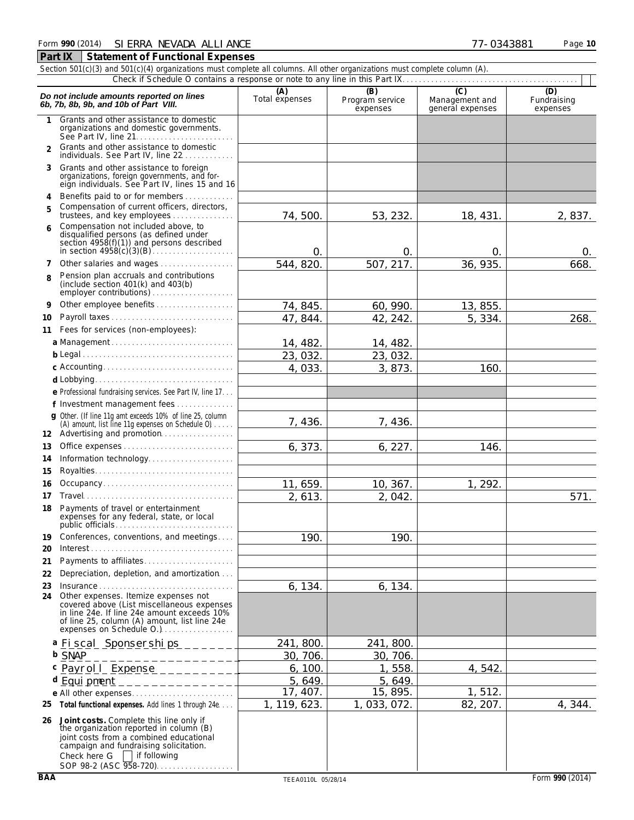|                | Section 501(c)(3) and 501(c)(4) organizations must complete all columns. All other organizations must complete column (A).                                                                                                          |                       |                                    |                                                      |                                |
|----------------|-------------------------------------------------------------------------------------------------------------------------------------------------------------------------------------------------------------------------------------|-----------------------|------------------------------------|------------------------------------------------------|--------------------------------|
|                |                                                                                                                                                                                                                                     |                       |                                    |                                                      |                                |
|                | Do not include amounts reported on lines<br>6b, 7b, 8b, 9b, and 10b of Part VIII.                                                                                                                                                   | (A)<br>Total expenses | (B)<br>Program service<br>expenses | $\overline{C}$<br>Management and<br>general expenses | (D)<br>Fundraising<br>expenses |
| 1              | Grants and other assistance to domestic<br>organizations and domestic governments.                                                                                                                                                  |                       |                                    |                                                      |                                |
| $\mathfrak{p}$ | Grants and other assistance to domestic<br>individuals. See Part IV, line 22                                                                                                                                                        |                       |                                    |                                                      |                                |
| 3              | Grants and other assistance to foreign<br>organizations, foreign governments, and for-<br>eign individuals. See Part IV, lines 15 and 16                                                                                            |                       |                                    |                                                      |                                |
| 4              | Benefits paid to or for members                                                                                                                                                                                                     |                       |                                    |                                                      |                                |
| 5              | Compensation of current officers, directors,<br>trustees, and key employees                                                                                                                                                         | 74,500                | 53, 232.                           | 18, 431.                                             | 2,837.                         |
| 6              | Compensation not included above, to                                                                                                                                                                                                 |                       |                                    |                                                      |                                |
|                | disqualified persons (as defined under<br>section 4958(f)(1)) and persons described                                                                                                                                                 | $\mathbf 0$           | $\mathsf{O}$                       | $\mathsf{O}$                                         | 0.                             |
| 7              | Other salaries and wages                                                                                                                                                                                                            | 544, 820              | 507, 217.                          | 36, 935.                                             | 668.                           |
| 8              | Pension plan accruals and contributions<br>(include section $401(k)$ and $403(b)$                                                                                                                                                   |                       |                                    |                                                      |                                |
| 9              | Other employee benefits                                                                                                                                                                                                             | 74, 845.              | 60, 990.                           | 13, 855.                                             |                                |
| 10             | Payroll taxes                                                                                                                                                                                                                       | 47, 844.              | 42, 242.                           | 5, 334.                                              | 268.                           |
| 11             | Fees for services (non-employees):                                                                                                                                                                                                  |                       |                                    |                                                      |                                |
|                | a Management                                                                                                                                                                                                                        | 14, 482.              | 14, 482.                           |                                                      |                                |
|                |                                                                                                                                                                                                                                     | 23,032                | 23, 032.                           |                                                      |                                |
|                | c Accounting                                                                                                                                                                                                                        | 4,033                 | 3, 873.                            | 160.                                                 |                                |
|                |                                                                                                                                                                                                                                     |                       |                                    |                                                      |                                |
|                | e Professional fundraising services. See Part IV, line 17.                                                                                                                                                                          |                       |                                    |                                                      |                                |
|                | f Investment management fees                                                                                                                                                                                                        |                       |                                    |                                                      |                                |
|                | g Other. (If line 11g amt exceeds 10% of line 25, column<br>(A) amount, list line 11g expenses on Schedule 0)<br>12 Advertising and promotion                                                                                       | 7, 436.               | 7, 436.                            |                                                      |                                |
| 13             |                                                                                                                                                                                                                                     | 6, 373.               | 6, 227.                            | 146.                                                 |                                |
| 14             | Information technology                                                                                                                                                                                                              |                       |                                    |                                                      |                                |
| 15             |                                                                                                                                                                                                                                     |                       |                                    |                                                      |                                |
| 16             | Occupancy                                                                                                                                                                                                                           | 11, 659.              | 10, 367.                           | 1, 292.                                              |                                |
| 17             |                                                                                                                                                                                                                                     | 2, 613.               | 2,042.                             |                                                      | 571.                           |
| 18             | Payments of travel or entertainment<br>expenses for any federal, state, or local                                                                                                                                                    |                       |                                    |                                                      |                                |
| 19<br>20       | Conferences, conventions, and meetings<br>Interest.                                                                                                                                                                                 | 190                   | 190.                               |                                                      |                                |
| 21             | Payments to affiliates                                                                                                                                                                                                              |                       |                                    |                                                      |                                |
| 22             | Depreciation, depletion, and amortization                                                                                                                                                                                           |                       |                                    |                                                      |                                |
| 23             | Insurance                                                                                                                                                                                                                           | 6, 134.               | 6, 134.                            |                                                      |                                |
| 24             | Other expenses. Itemize expenses not<br>covered above (List miscellaneous expenses<br>in line 24e. If line 24e amount exceeds 10%<br>of line 25, column (A) amount, list line 24e<br>expenses on Schedule O.)                       |                       |                                    |                                                      |                                |
|                | a Fiscal Sponserships                                                                                                                                                                                                               | 241, 800.             | 241, 800.                          |                                                      |                                |
|                | <b>b</b> SNAP                                                                                                                                                                                                                       | 30, 706.              | 30, 706.                           |                                                      |                                |
|                | c Payroll_Expense___________                                                                                                                                                                                                        | 6, 100.               | 1,558.                             | 4,542                                                |                                |
|                | d Equipment<br>_____________                                                                                                                                                                                                        | 5, 649.               | 5,649.                             |                                                      |                                |
|                | e All other expenses                                                                                                                                                                                                                | 17, 407.              | 15, 895.                           | 1,512.                                               |                                |
|                | 25 Total functional expenses. Add lines 1 through 24e                                                                                                                                                                               | 1, 119, 623.          | 033, 072.<br>1.                    | 82, 207.                                             | 4,344.                         |
|                | 26 Joint costs. Complete this line only if<br>the organization reported in column (B)<br>joint costs from a combined educational<br>campaign and fundraising solicitation.<br>Check here G   if following<br>SOP 98-2 (ASC 958-720) |                       |                                    |                                                      |                                |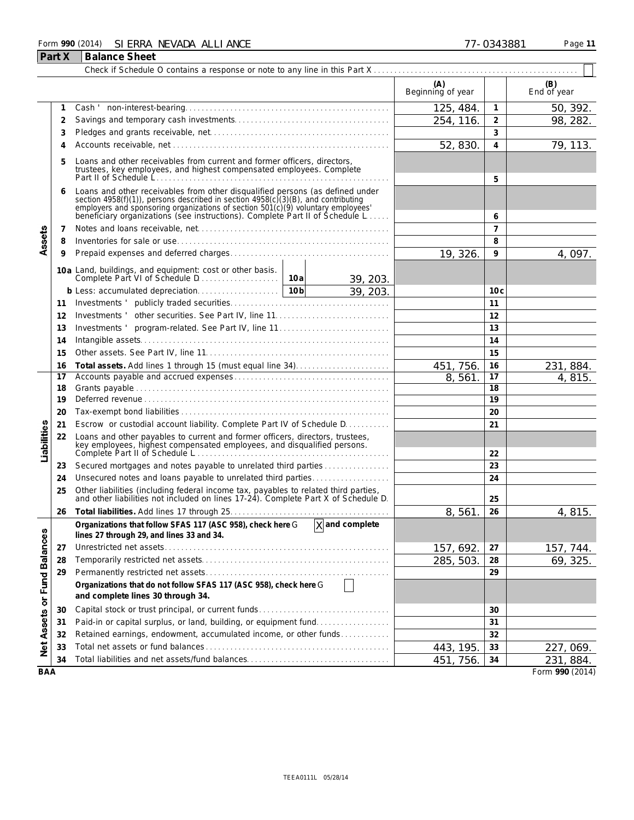# Form **990** (2014) Page **11** SIERRA NEVADA ALLIANCE 77-0343881 **Part X Balance Sheet**

|                   |          |                                                                                                                                                                                                                                                                                                                      |        |                     | (A)<br>Beginning of year |                 | (B)<br>End of year  |
|-------------------|----------|----------------------------------------------------------------------------------------------------------------------------------------------------------------------------------------------------------------------------------------------------------------------------------------------------------------------|--------|---------------------|--------------------------|-----------------|---------------------|
|                   | 1        |                                                                                                                                                                                                                                                                                                                      |        |                     | 125, 484.                | $\mathbf{1}$    | 50, 392.            |
| Assets            | 2        |                                                                                                                                                                                                                                                                                                                      |        |                     | 254, 116.                | $\overline{2}$  | 98, 282.            |
|                   | 3        |                                                                                                                                                                                                                                                                                                                      |        |                     |                          | 3               |                     |
|                   | 4        |                                                                                                                                                                                                                                                                                                                      | 52,830 | 4                   | 79, 113.                 |                 |                     |
|                   | 5        | Loans and other receivables from current and former officers, directors,<br>trustees, key employees, and highest compensated employees. Complete                                                                                                                                                                     |        | 5                   |                          |                 |                     |
|                   | 6        | Loans and other receivables from other disqualified persons (as defined under<br>section 4958(f)(1)), persons described in section 4958(c)(3)(B), and contributing<br>employers and sponsoring organizations of section 501(c)(9) voluntary employees<br>beneficiary organizations (see instructions). Complete Part |        | 6                   |                          |                 |                     |
|                   | 7        |                                                                                                                                                                                                                                                                                                                      |        |                     |                          | $\overline{7}$  |                     |
|                   | 8        |                                                                                                                                                                                                                                                                                                                      |        |                     |                          | 8               |                     |
|                   | 9        |                                                                                                                                                                                                                                                                                                                      |        |                     | 19, 326.                 | 9               | 4,097.              |
|                   |          | 10a Land, buildings, and equipment: cost or other basis.                                                                                                                                                                                                                                                             |        |                     |                          |                 |                     |
|                   |          |                                                                                                                                                                                                                                                                                                                      |        | 39, 203.            |                          |                 |                     |
|                   |          |                                                                                                                                                                                                                                                                                                                      |        | 39, 203.            |                          | 10 <sub>c</sub> |                     |
|                   | 11       |                                                                                                                                                                                                                                                                                                                      |        |                     |                          | 11              |                     |
|                   | 12       | Investments ' program-related. See Part IV, line 11                                                                                                                                                                                                                                                                  |        |                     |                          | 12<br>13        |                     |
|                   | 13<br>14 |                                                                                                                                                                                                                                                                                                                      |        |                     | 14                       |                 |                     |
|                   | 15       |                                                                                                                                                                                                                                                                                                                      |        | 15                  |                          |                 |                     |
|                   | 16       |                                                                                                                                                                                                                                                                                                                      |        | 16                  |                          |                 |                     |
|                   | 17       |                                                                                                                                                                                                                                                                                                                      |        |                     | 451, 756.<br>8,561       | 17              | 231, 884.<br>4,815. |
|                   | 18       |                                                                                                                                                                                                                                                                                                                      |        |                     |                          | 18              |                     |
|                   | 19       |                                                                                                                                                                                                                                                                                                                      |        |                     |                          | 19              |                     |
|                   | 20       |                                                                                                                                                                                                                                                                                                                      |        |                     |                          | 20              |                     |
|                   | 21       | Escrow or custodial account liability. Complete Part IV of Schedule D.                                                                                                                                                                                                                                               |        |                     |                          | 21              |                     |
| Liabilities       | 22       | Loans and other payables to current and former officers, directors, trustees,<br>key employees, highest compensated employees, and disqualified persons.<br>Complete Part II of Schedule L                                                                                                                           |        |                     |                          | 22              |                     |
|                   | 23       | Secured mortgages and notes payable to unrelated third parties                                                                                                                                                                                                                                                       |        |                     |                          | 23              |                     |
|                   | 24       | Unsecured notes and loans payable to unrelated third parties                                                                                                                                                                                                                                                         |        |                     |                          | 24              |                     |
|                   | 25       | Other liabilities (including federal income tax, payables to related third parties, and other liabilities not included on lines 17-24). Complete Part X of Schedule D.                                                                                                                                               |        |                     |                          | 25              |                     |
|                   | 26       |                                                                                                                                                                                                                                                                                                                      |        | 8,561               | 26                       | 4,815.          |                     |
| ω                 |          | Organizations that follow SFAS 117 (ASC 958), check here G<br>lines 27 through 29, and lines 33 and 34.                                                                                                                                                                                                              |        | $\chi$ and complete |                          |                 |                     |
| <b>Balance</b>    | 27       |                                                                                                                                                                                                                                                                                                                      |        |                     | 157, 692.                | 27              | 157, 744.           |
|                   | 28       |                                                                                                                                                                                                                                                                                                                      |        |                     | 285, 503.                | 28              | 69, 325.            |
|                   | 29       |                                                                                                                                                                                                                                                                                                                      |        |                     |                          | 29              |                     |
| or Fund           |          | Organizations that do not follow SFAS 117 (ASC 958), check here G<br>and complete lines 30 through 34.                                                                                                                                                                                                               |        | $\perp$             |                          |                 |                     |
|                   | 30       |                                                                                                                                                                                                                                                                                                                      |        |                     |                          | 30              |                     |
|                   | 31       | Paid-in or capital surplus, or land, building, or equipment fund                                                                                                                                                                                                                                                     |        |                     |                          | 31              |                     |
|                   | 32       | Retained earnings, endowment, accumulated income, or other funds                                                                                                                                                                                                                                                     |        |                     |                          | 32              |                     |
| <b>Net Assets</b> | 33       |                                                                                                                                                                                                                                                                                                                      |        |                     | 443, 195                 | 33              | 227, 069.           |
|                   | 34       |                                                                                                                                                                                                                                                                                                                      |        |                     | 451, 756.                | 34              | 231, 884.           |
| <b>BAA</b>        |          |                                                                                                                                                                                                                                                                                                                      |        |                     |                          |                 | Form 990 (2014)     |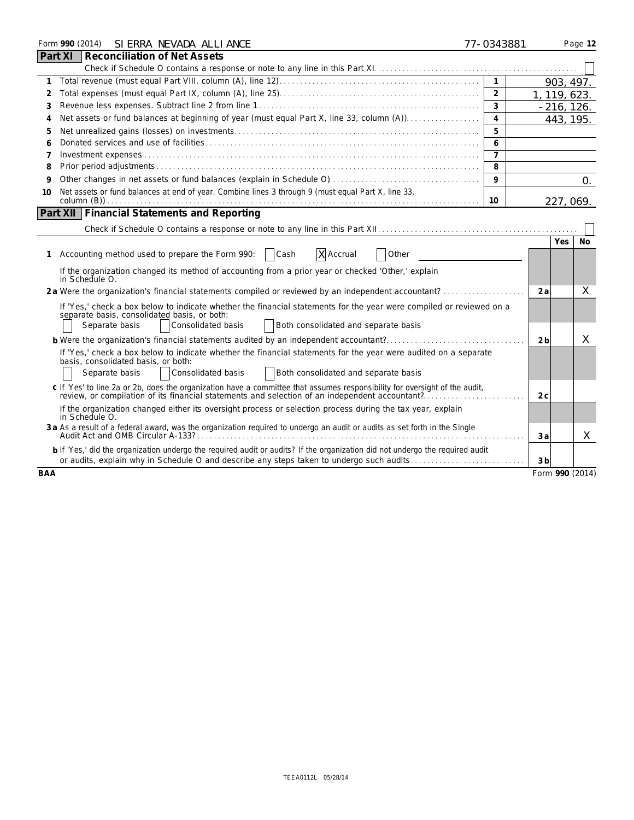| Form 990 (2014) SI ERRA NEVADA ALLI ANCE                                                                                                                                                                                      | 77-0343881     |                 | Page 12    |
|-------------------------------------------------------------------------------------------------------------------------------------------------------------------------------------------------------------------------------|----------------|-----------------|------------|
| Reconciliation of Net Assets<br>Part XI                                                                                                                                                                                       |                |                 |            |
|                                                                                                                                                                                                                               |                |                 |            |
| $\mathbf{1}$                                                                                                                                                                                                                  | $\mathbf{1}$   | 903, 497.       |            |
| 2                                                                                                                                                                                                                             | $\overline{2}$ | 1, 119, 623.    |            |
| 3                                                                                                                                                                                                                             | 3              | $-216, 126.$    |            |
| Net assets or fund balances at beginning of year (must equal Part X, line 33, column (A))<br>4                                                                                                                                | $\overline{4}$ | 443, 195.       |            |
| 5                                                                                                                                                                                                                             | 5              |                 |            |
|                                                                                                                                                                                                                               | 6              |                 |            |
| 7                                                                                                                                                                                                                             | $\overline{7}$ |                 |            |
| 8                                                                                                                                                                                                                             | 8              |                 |            |
| 9                                                                                                                                                                                                                             | 9              |                 | $\Omega$ . |
| Net assets or fund balances at end of year. Combine lines 3 through 9 (must equal Part X, line 33,<br>10                                                                                                                      | 10             | 227, 069.       |            |
| Part XII   Financial Statements and Reporting                                                                                                                                                                                 |                |                 |            |
|                                                                                                                                                                                                                               |                |                 |            |
|                                                                                                                                                                                                                               |                | Yes.            | No.        |
| 1 Accounting method used to prepare the Form 990:<br>  Cash<br>X Accrual<br>Other                                                                                                                                             |                |                 |            |
| If the organization changed its method of accounting from a prior year or checked 'Other,' explain<br>in Schedule O.                                                                                                          |                |                 |            |
| 2a Were the organization's financial statements compiled or reviewed by an independent accountant?                                                                                                                            |                | 2a              | X          |
| If 'Yes,' check a box below to indicate whether the financial statements for the year were compiled or reviewed on a<br>separate basis, consolidated basis, or both:                                                          |                |                 |            |
| Consolidated basis<br>Separate basis<br>Both consolidated and separate basis                                                                                                                                                  |                |                 |            |
| <b>b</b> Were the organization's financial statements audited by an independent accountant?                                                                                                                                   |                | 2b              | X          |
| If 'Yes,' check a box below to indicate whether the financial statements for the year were audited on a separate                                                                                                              |                |                 |            |
| basis, consolidated basis, or both:                                                                                                                                                                                           |                |                 |            |
| Consolidated basis<br>Separate basis<br>Both consolidated and separate basis                                                                                                                                                  |                |                 |            |
| c If 'Yes' to line 2a or 2b, does the organization have a committee that assumes responsibility for oversight of the audit,<br>review, or compilation of its financial statements and selection of an independent accountant? |                | 2 c             |            |
| If the organization changed either its oversight process or selection process during the tax year, explain<br>in Schedule O.                                                                                                  |                |                 |            |
| 3 a As a result of a federal award, was the organization required to undergo an audit or audits as set forth in the Single                                                                                                    |                | 3a              | X          |
| b If 'Yes,' did the organization undergo the required audit or audits? If the organization did not undergo the required audit<br>or audits, explain why in Schedule O and describe any steps taken to undergo such audits     |                | 3 <sub>b</sub>  |            |
| <b>BAA</b>                                                                                                                                                                                                                    |                | Form 990 (2014) |            |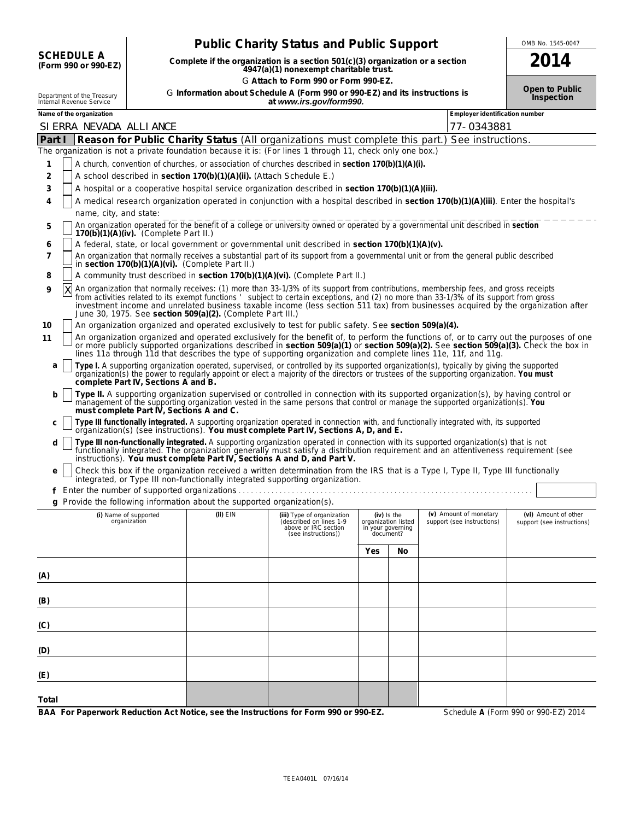**SCHEDULE A**<br>(Form 990 or 990-EZ)

# **Public Charity Status and Public Support** <u>COMB No. 1545-0047</u>

**(Form 990 or 990-EZ) Complete if the organization is a section 501(c)(3) organization or a section 2014 4947(a)(1) nonexempt charitable trust.** G **Attach to Form 990 or Form 990-EZ.**

**Open to Public**

| Department of the Treasury | G Information about Schedule A (Form 990 or 990-EZ) and its instructions is |
|----------------------------|-----------------------------------------------------------------------------|
| Internal Revenue Service   | at www.irs.gov/form990.                                                     |

| Name of the organization                                                                                                                                                                                                                                                                                                                                                                                                                                                                     |              |                                                                                                      |     |                                                                      | Employer identification number                       |                                                    |  |
|----------------------------------------------------------------------------------------------------------------------------------------------------------------------------------------------------------------------------------------------------------------------------------------------------------------------------------------------------------------------------------------------------------------------------------------------------------------------------------------------|--------------|------------------------------------------------------------------------------------------------------|-----|----------------------------------------------------------------------|------------------------------------------------------|----------------------------------------------------|--|
| SI ERRA NEVADA ALLI ANCE                                                                                                                                                                                                                                                                                                                                                                                                                                                                     |              |                                                                                                      |     |                                                                      | 77-0343881                                           |                                                    |  |
| Part I<br>Reason for Public Charity Status (All organizations must complete this part.)                                                                                                                                                                                                                                                                                                                                                                                                      |              |                                                                                                      |     |                                                                      | See instructions.                                    |                                                    |  |
| The organization is not a private foundation because it is: (For lines 1 through 11, check only one box.)                                                                                                                                                                                                                                                                                                                                                                                    |              |                                                                                                      |     |                                                                      |                                                      |                                                    |  |
| A church, convention of churches, or association of churches described in section 170(b)(1)(A)(i).<br>1                                                                                                                                                                                                                                                                                                                                                                                      |              |                                                                                                      |     |                                                                      |                                                      |                                                    |  |
| A school described in section 170(b)(1)(A)(ii). (Attach Schedule E.)<br>2                                                                                                                                                                                                                                                                                                                                                                                                                    |              |                                                                                                      |     |                                                                      |                                                      |                                                    |  |
| A hospital or a cooperative hospital service organization described in section 170(b)(1)(A)(iii).<br>3                                                                                                                                                                                                                                                                                                                                                                                       |              |                                                                                                      |     |                                                                      |                                                      |                                                    |  |
| A medical research organization operated in conjunction with a hospital described in section 170(b)(1)(A)(iii). Enter the hospital's<br>4                                                                                                                                                                                                                                                                                                                                                    |              |                                                                                                      |     |                                                                      |                                                      |                                                    |  |
| name, city, and state:                                                                                                                                                                                                                                                                                                                                                                                                                                                                       |              |                                                                                                      |     |                                                                      |                                                      |                                                    |  |
| An organization operated for the benefit of a college or university owned or operated by a governmental unit described in section<br>5<br>$170(b)(1)(A)(iv)$ . (Complete Part II.)                                                                                                                                                                                                                                                                                                           |              |                                                                                                      |     |                                                                      |                                                      |                                                    |  |
| A federal, state, or local government or governmental unit described in section 170(b)(1)(A)(v).<br>6                                                                                                                                                                                                                                                                                                                                                                                        |              |                                                                                                      |     |                                                                      |                                                      |                                                    |  |
| An organization that normally receives a substantial part of its support from a governmental unit or from the general public described<br>7<br>in section 170(b)(1)(A)(vi). (Complete Part II.)                                                                                                                                                                                                                                                                                              |              |                                                                                                      |     |                                                                      |                                                      |                                                    |  |
| A community trust described in section 170(b)(1)(A)(vi). (Complete Part II.)<br>8                                                                                                                                                                                                                                                                                                                                                                                                            |              |                                                                                                      |     |                                                                      |                                                      |                                                    |  |
| An organization that normally receives: (1) more than 33-1/3% of its support from contributions, membership fees, and gross receipts<br>ΙX<br>9<br>from activities related to its exempt functions 'subject to certain exceptions, and (2) no more than 33-1/3% of its support from gross<br>investment income and unrelated business taxable income (less section 511 tax) from businesses acquired by the organization after<br>June 30, 1975. See section 509(a)(2). (Complete Part III.) |              |                                                                                                      |     |                                                                      |                                                      |                                                    |  |
| An organization organized and operated exclusively to test for public safety. See section 509(a)(4).<br>10                                                                                                                                                                                                                                                                                                                                                                                   |              |                                                                                                      |     |                                                                      |                                                      |                                                    |  |
| An organization organized and operated exclusively for the benefit of, to perform the functions of, or to carry out the purposes of one<br>11<br>or more publicly supported organizations described in section 509(a)(1) or section 509(a)(2). See section 509(a)(3). Check the box in<br>lines 11a through 11d that describes the type of supporting organization and complete lines 11e, 11f, and 11g.                                                                                     |              |                                                                                                      |     |                                                                      |                                                      |                                                    |  |
| Type I. A supporting organization operated, supervised, or controlled by its supported organization(s), typically by giving the supported<br>a<br>organization(s) the power to regularly appoint or elect a majority of the directors or trustees of the supporting organization. You must<br>complete Part IV, Sections A and B.                                                                                                                                                            |              |                                                                                                      |     |                                                                      |                                                      |                                                    |  |
| Type II. A supporting organization supervised or controlled in connection with its supported organization(s), by having control or<br>b<br>management of the supporting organization vested in the same persons that control or manage the supported organization(s). You<br>must complete Part IV, Sections A and C.                                                                                                                                                                        |              |                                                                                                      |     |                                                                      |                                                      |                                                    |  |
| Type III functionally integrated. A supporting organization operated in connection with, and functionally integrated with, its supported organization(s) (see instructions). You must complete Part IV, Sections A, D, and E.<br>с                                                                                                                                                                                                                                                           |              |                                                                                                      |     |                                                                      |                                                      |                                                    |  |
| Type III non-functionally integrated. A supporting organization operated in connection with its supported organization(s) that is not<br>d<br>functionally integrated. The organization generally must satisfy a distribution requirement and an attentiveness requirement (see<br>instructions). You must complete Part IV, Sections A and D, and Part V.                                                                                                                                   |              |                                                                                                      |     |                                                                      |                                                      |                                                    |  |
| Check this box if the organization received a written determination from the IRS that is a Type I, Type II, Type III functionally<br>e<br>integrated, or Type III non-functionally integrated supporting organization.                                                                                                                                                                                                                                                                       |              |                                                                                                      |     |                                                                      |                                                      |                                                    |  |
|                                                                                                                                                                                                                                                                                                                                                                                                                                                                                              |              |                                                                                                      |     |                                                                      |                                                      |                                                    |  |
| g Provide the following information about the supported organization(s).                                                                                                                                                                                                                                                                                                                                                                                                                     |              |                                                                                                      |     |                                                                      |                                                      |                                                    |  |
| (i) Name of supported<br>organization                                                                                                                                                                                                                                                                                                                                                                                                                                                        | $(ii)$ $EIN$ | (iii) Type of organization<br>(described on lines 1-9<br>above or IRC section<br>(see instructions)) |     | (iv) Is the<br>organization listed<br>in your governing<br>document? | (v) Amount of monetary<br>support (see instructions) | (vi) Amount of other<br>support (see instructions) |  |
|                                                                                                                                                                                                                                                                                                                                                                                                                                                                                              |              |                                                                                                      | Yes | No                                                                   |                                                      |                                                    |  |
| (A)                                                                                                                                                                                                                                                                                                                                                                                                                                                                                          |              |                                                                                                      |     |                                                                      |                                                      |                                                    |  |
|                                                                                                                                                                                                                                                                                                                                                                                                                                                                                              |              |                                                                                                      |     |                                                                      |                                                      |                                                    |  |
| (B)                                                                                                                                                                                                                                                                                                                                                                                                                                                                                          |              |                                                                                                      |     |                                                                      |                                                      |                                                    |  |
| (C)                                                                                                                                                                                                                                                                                                                                                                                                                                                                                          |              |                                                                                                      |     |                                                                      |                                                      |                                                    |  |
| (D)                                                                                                                                                                                                                                                                                                                                                                                                                                                                                          |              |                                                                                                      |     |                                                                      |                                                      |                                                    |  |
| (E)                                                                                                                                                                                                                                                                                                                                                                                                                                                                                          |              |                                                                                                      |     |                                                                      |                                                      |                                                    |  |
| Total                                                                                                                                                                                                                                                                                                                                                                                                                                                                                        |              |                                                                                                      |     |                                                                      |                                                      |                                                    |  |
| BAA For Paperwork Reduction Act Notice, see the Instructions for Form 990 or 990-EZ.                                                                                                                                                                                                                                                                                                                                                                                                         |              |                                                                                                      |     |                                                                      |                                                      | Schedule A (Form 990 or 990-EZ) 2014               |  |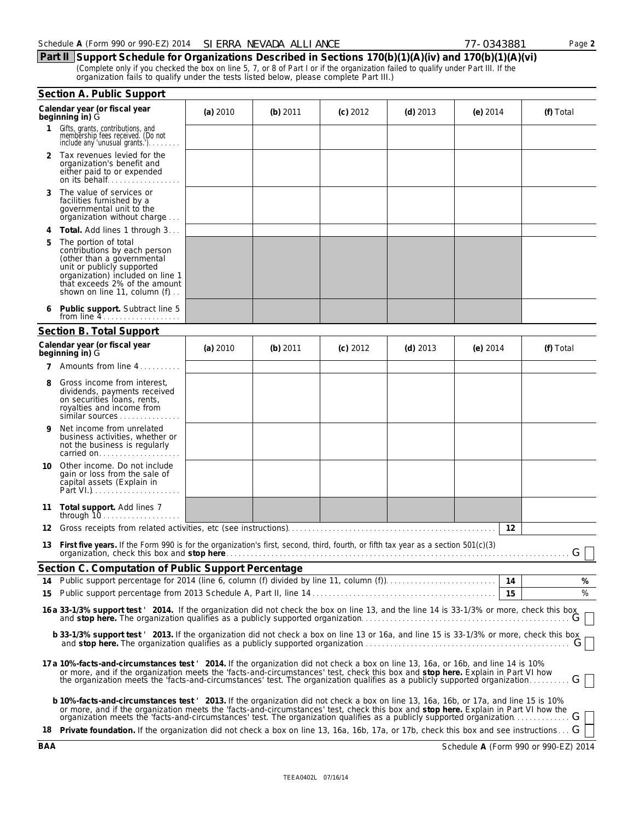**Part II Support Schedule for Organizations Described in Sections 170(b)(1)(A)(iv) and 170(b)(1)(A)(vi)** (Complete only if you checked the box on line 5, 7, or 8 of Part I or if the organization failed to qualify under Part III. If the organization fails to qualify under the tests listed below, please complete Part III.)

|    | Section A. Public Support                                                                                                                                                                                                                                                                                                                                              |          |            |            |            |                 |           |  |  |  |  |
|----|------------------------------------------------------------------------------------------------------------------------------------------------------------------------------------------------------------------------------------------------------------------------------------------------------------------------------------------------------------------------|----------|------------|------------|------------|-----------------|-----------|--|--|--|--|
|    | Calendar year (or fiscal year<br>beginning in) G                                                                                                                                                                                                                                                                                                                       | (a) 2010 | (b) $2011$ | $(c)$ 2012 | (d) $2013$ | (e) $2014$      | (f) Total |  |  |  |  |
| 1  | Gifts, grants, contributions, and<br>membership fees received. (Do not<br>include any 'unusual grants.')                                                                                                                                                                                                                                                               |          |            |            |            |                 |           |  |  |  |  |
|    | 2 Tax revenues levied for the<br>organization's benefit and<br>either paid to or expended                                                                                                                                                                                                                                                                              |          |            |            |            |                 |           |  |  |  |  |
| 3  | The value of services or<br>facilities furnished by a<br>governmental unit to the<br>organization without charge                                                                                                                                                                                                                                                       |          |            |            |            |                 |           |  |  |  |  |
| 4  | <b>Total.</b> Add lines 1 through 3                                                                                                                                                                                                                                                                                                                                    |          |            |            |            |                 |           |  |  |  |  |
| 5  | The portion of total<br>contributions by each person<br>(other than a governmental<br>unit or publicly supported<br>organization) included on line 1<br>that exceeds 2% of the amount<br>shown on line 11, column (f)                                                                                                                                                  |          |            |            |            |                 |           |  |  |  |  |
|    | Public support. Subtract line 5<br>from line $4 \ldots \ldots \ldots \ldots \ldots$                                                                                                                                                                                                                                                                                    |          |            |            |            |                 |           |  |  |  |  |
|    | <b>Section B. Total Support</b>                                                                                                                                                                                                                                                                                                                                        |          |            |            |            |                 |           |  |  |  |  |
|    | Calendar year (or fiscal year<br>beginning in) G                                                                                                                                                                                                                                                                                                                       | (a) 2010 | (b) 2011   | $(c)$ 2012 | (d) $2013$ | (e) $2014$      | (f) Total |  |  |  |  |
| 7  | Amounts from line 4                                                                                                                                                                                                                                                                                                                                                    |          |            |            |            |                 |           |  |  |  |  |
|    | Gross income from interest,<br>dividends, payments received<br>on securities loans, rents,<br>royalties and income from<br>similar sources                                                                                                                                                                                                                             |          |            |            |            |                 |           |  |  |  |  |
| 9  | Net income from unrelated<br>business activities, whether or<br>not the business is regularly<br>carried on                                                                                                                                                                                                                                                            |          |            |            |            |                 |           |  |  |  |  |
|    | 10 Other income. Do not include<br>gain or loss from the sale of<br>capital assets (Explain in                                                                                                                                                                                                                                                                         |          |            |            |            |                 |           |  |  |  |  |
| 11 | Total support. Add lines 7                                                                                                                                                                                                                                                                                                                                             |          |            |            |            |                 |           |  |  |  |  |
| 12 |                                                                                                                                                                                                                                                                                                                                                                        |          |            |            |            | 12              |           |  |  |  |  |
| 13 | First five years. If the Form 990 is for the organization's first, second, third, fourth, or fifth tax year as a section 501(c)(3)<br>organization, check this box and stop here.                                                                                                                                                                                      |          |            |            |            |                 | G         |  |  |  |  |
|    | Section C. Computation of Public Support Percentage                                                                                                                                                                                                                                                                                                                    |          |            |            |            |                 |           |  |  |  |  |
|    |                                                                                                                                                                                                                                                                                                                                                                        |          |            |            |            |                 | %         |  |  |  |  |
|    |                                                                                                                                                                                                                                                                                                                                                                        |          |            |            |            | $\overline{15}$ | %         |  |  |  |  |
|    | 16 a 33-1/3% support test ' 2014. If the organization did not check the box on line 13, and the line 14 is 33-1/3% or more, check this box<br>and stop here. The organization qualifies as a publicly supported organization                                                                                                                                           |          |            |            |            |                 |           |  |  |  |  |
|    | b 33-1/3% support test '2013. If the organization did not check a box on line 13 or 16a, and line 15 is 33-1/3% or more, check this box<br>and stop here. The organization qualifies as a publicly supported organization with the contraction of the contraction of $G$                                                                                               |          |            |            |            |                 |           |  |  |  |  |
|    | 17 a 10%-facts-and-circumstances test ' 2014. If the organization did not check a box on line 13, 16a, or 16b, and line 14 is 10%<br>or more, and if the organization meets the 'facts-and-circumstances' test, check this box and stop here. Explain in Part VI how<br>the organization meets the 'facts-and-circumstances' test. The organization qualifies as a pub |          |            |            |            |                 |           |  |  |  |  |
|    | b 10%-facts-and-circumstances test 2013. If the organization did not check a box on line 13, 16a, 16b, or 17a, and line 15 is 10%<br>or more, and if the organization meets the 'facts-and-circumstances' test, check this box and stop here. Explain in Part VI how the                                                                                               |          |            |            |            |                 |           |  |  |  |  |
|    | 18 Private foundation. If the organization did not check a box on line 13, 16a, 16b, 17a, or 17b, check this box and see instructions G                                                                                                                                                                                                                                |          |            |            |            |                 |           |  |  |  |  |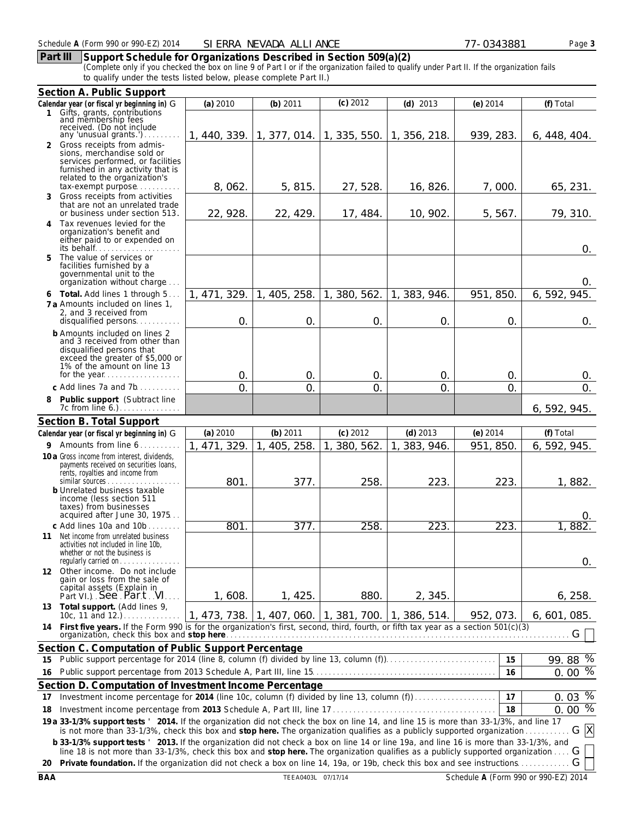# **Part III Support Schedule for Organizations Described in Section 509(a)(2)**

(Complete only if you checked the box on line 9 of Part I or if the organization failed to qualify under Part II. If the organization fails to qualify under the tests listed below, please complete Part II.)

|    | Section A. Public Support                                                                                                                                                                                                                                         |              |                                        |                            |                                                     |                |                |  |
|----|-------------------------------------------------------------------------------------------------------------------------------------------------------------------------------------------------------------------------------------------------------------------|--------------|----------------------------------------|----------------------------|-----------------------------------------------------|----------------|----------------|--|
|    | Calendar year (or fiscal yr beginning in) G                                                                                                                                                                                                                       | (a) 2010     | (b) $2011$                             | (c) 2012                   | $(d)$ 2013                                          | $(e)$ 2014     | (f) Total      |  |
|    | 1 Gifts, grants, contributions<br>and membership fees                                                                                                                                                                                                             |              |                                        |                            |                                                     |                |                |  |
|    | received. (Do not include                                                                                                                                                                                                                                         |              |                                        |                            |                                                     |                |                |  |
|    | any 'unusual grants.').<br>2 Gross receipts from admis-                                                                                                                                                                                                           |              | 1, 440, 339. 1, 377, 014. 1, 335, 550. |                            | 1, 356, 218.                                        | 939, 283.      | 6,448,404.     |  |
|    | sions, merchandise sold or                                                                                                                                                                                                                                        |              |                                        |                            |                                                     |                |                |  |
|    | services performed, or facilities                                                                                                                                                                                                                                 |              |                                        |                            |                                                     |                |                |  |
|    | furnished in any activity that is<br>related to the organization's                                                                                                                                                                                                |              |                                        |                            |                                                     |                |                |  |
|    | tax-exempt purpose                                                                                                                                                                                                                                                | 8,062.       | 5, 815.                                | 27, 528.                   | 16, 826.                                            | 7,000          | 65, 231.       |  |
| 3  | Gross receipts from activities                                                                                                                                                                                                                                    |              |                                        |                            |                                                     |                |                |  |
|    | that are not an unrelated trade<br>or business under section 513.                                                                                                                                                                                                 | 22, 928.     | 22, 429.                               | 17, 484.                   | 10, 902.                                            | 5, 567.        | 79, 310.       |  |
| 4  | Tax revenues levied for the                                                                                                                                                                                                                                       |              |                                        |                            |                                                     |                |                |  |
|    | organization's benefit and                                                                                                                                                                                                                                        |              |                                        |                            |                                                     |                |                |  |
|    | either paid to or expended on<br>its behalf                                                                                                                                                                                                                       |              |                                        |                            |                                                     |                | 0.             |  |
| 5. | The value of services or                                                                                                                                                                                                                                          |              |                                        |                            |                                                     |                |                |  |
|    | facilities furnished by a                                                                                                                                                                                                                                         |              |                                        |                            |                                                     |                |                |  |
|    | governmental unit to the<br>organization without charge                                                                                                                                                                                                           |              |                                        |                            |                                                     |                | 0.             |  |
|    | 6 Total. Add lines 1 through 5                                                                                                                                                                                                                                    | 1, 471, 329. | 405, 258.<br>$\mathbf{1}$ .            | 1, 380, 562.               | 1, 383, 946.                                        | 951, 850.      | 6, 592, 945.   |  |
|    | 7 a Amounts included on lines 1,                                                                                                                                                                                                                                  |              |                                        |                            |                                                     |                |                |  |
|    | 2, and 3 received from                                                                                                                                                                                                                                            |              |                                        |                            |                                                     |                |                |  |
|    | disqualified persons                                                                                                                                                                                                                                              | $\mathsf{O}$ | $\mathsf{O}$                           | $\mathsf{O}$ .             | $\mathsf{O}$                                        | $\mathsf{O}$ . | 0.             |  |
|    | <b>b</b> Amounts included on lines 2<br>and 3 received from other than                                                                                                                                                                                            |              |                                        |                            |                                                     |                |                |  |
|    | disqualified persons that                                                                                                                                                                                                                                         |              |                                        |                            |                                                     |                |                |  |
|    | exceed the greater of \$5,000 or<br>1% of the amount on line 13                                                                                                                                                                                                   |              |                                        |                            |                                                     |                |                |  |
|    |                                                                                                                                                                                                                                                                   | 0.           | 0.                                     | 0.                         | 0.                                                  | 0.             | 0.             |  |
|    | c Add lines 7a and 7b                                                                                                                                                                                                                                             | $\Omega$     | Ο.                                     | $\Omega$                   | $\mathcal{O}$ .                                     | $\overline{O}$ | $\mathsf{O}$ . |  |
| 8  | Public support (Subtract line                                                                                                                                                                                                                                     |              |                                        |                            |                                                     |                |                |  |
|    | 7c from line $6.$ ). $\ldots$ . $\ldots$ . $\ldots$                                                                                                                                                                                                               |              |                                        |                            |                                                     |                | 6, 592, 945.   |  |
|    | Section B. Total Support                                                                                                                                                                                                                                          |              |                                        |                            |                                                     |                |                |  |
|    | Calendar year (or fiscal yr beginning in) G                                                                                                                                                                                                                       | (a) 2010     | (b) 2011                               | $(c)$ 2012                 | $(d)$ 2013                                          | $(e)$ 2014     | (f) Total      |  |
|    | 9 Amounts from line 6.<br>.                                                                                                                                                                                                                                       | 1, 471, 329. | 1<br>405, 258.                         | 380, 562.<br>$\mathbf 1$ . | 383, 946.<br>$\mathbf{1}$ .                         | 951, 850       | 6, 592, 945.   |  |
|    | 10 a Gross income from interest, dividends,                                                                                                                                                                                                                       |              |                                        |                            |                                                     |                |                |  |
|    | payments received on securities loans,<br>rents, royalties and income from                                                                                                                                                                                        |              |                                        |                            |                                                     |                |                |  |
|    | similar sources                                                                                                                                                                                                                                                   | 801          | 377.                                   | 258.                       | 223                                                 | 223.           | 1,882.         |  |
|    | <b>b</b> Unrelated business taxable                                                                                                                                                                                                                               |              |                                        |                            |                                                     |                |                |  |
|    | income (less section 511<br>taxes) from businesses                                                                                                                                                                                                                |              |                                        |                            |                                                     |                |                |  |
|    | acquired after June 30, 1975                                                                                                                                                                                                                                      |              |                                        |                            |                                                     |                | $\Omega$       |  |
|    | c Add lines 10a and 10b.                                                                                                                                                                                                                                          | 801.         | $\overline{377}$ .                     | 258                        | 223.                                                | 223.           | 1,882          |  |
|    | 11 Net income from unrelated business<br>activities not included in line 10b.                                                                                                                                                                                     |              |                                        |                            |                                                     |                |                |  |
|    | whether or not the business is                                                                                                                                                                                                                                    |              |                                        |                            |                                                     |                |                |  |
|    | regularly carried on                                                                                                                                                                                                                                              |              |                                        |                            |                                                     |                | 0.             |  |
|    | 12 Other income. Do not include<br>gain or loss from the sale of                                                                                                                                                                                                  |              |                                        |                            |                                                     |                |                |  |
|    | capital assets (Explain in                                                                                                                                                                                                                                        |              |                                        |                            |                                                     |                |                |  |
|    | Part VI.) See Part VI                                                                                                                                                                                                                                             | 1,608.       | 1, 425.                                | 880.                       | 2, 345.                                             |                | 6, 258.        |  |
|    | 13 Total support. (Add lines 9,                                                                                                                                                                                                                                   |              |                                        |                            | 1, 473, 738. 1, 407, 060. 1, 381, 700. 1, 386, 514. | 952, 073.      | 6,601,085.     |  |
|    | 14 First five years. If the Form 990 is for the organization's first, second, third, fourth, or fifth tax year as a section 501(c)(3)                                                                                                                             |              |                                        |                            |                                                     |                |                |  |
|    |                                                                                                                                                                                                                                                                   |              |                                        |                            |                                                     |                | G              |  |
|    | Section C. Computation of Public Support Percentage                                                                                                                                                                                                               |              |                                        |                            |                                                     |                |                |  |
| 15 | Public support percentage for 2014 (line 8, column (f) divided by line 13, column (f)                                                                                                                                                                             |              |                                        |                            |                                                     | 15             | 99.88 %        |  |
| 16 |                                                                                                                                                                                                                                                                   |              |                                        |                            |                                                     | 16             | $0.00\%$       |  |
|    | Section D. Computation of Investment Income Percentage                                                                                                                                                                                                            |              |                                        |                            |                                                     |                |                |  |
| 17 | Investment income percentage for 2014 (line 10c, column (f) divided by line 13, column (f)                                                                                                                                                                        |              |                                        |                            |                                                     | 17             | 0.03 %         |  |
| 18 |                                                                                                                                                                                                                                                                   |              |                                        |                            |                                                     | 18             | $0.00\%$       |  |
|    | 19 a 33-1/3% support tests ' 2014. If the organization did not check the box on line 14, and line 15 is more than 33-1/3%, and line 17<br>is not more than 33-1/3%, check this box and stop here. The organization qualifies as a publicly supported organization |              |                                        |                            |                                                     |                | G X            |  |
|    | b 33-1/3% support tests ' 2013. If the organization did not check a box on line 14 or line 19a, and line 16 is more than 33-1/3%, and                                                                                                                             |              |                                        |                            |                                                     |                |                |  |
|    | line 18 is not more than 33-1/3%, check this box and stop here. The organization qualifies as a publicly supported organization                                                                                                                                   |              |                                        |                            |                                                     |                | G              |  |
|    | 20 Private foundation. If the organization did not check a box on line 14, 19a, or 19b, check this box and see instructions<br>G                                                                                                                                  |              |                                        |                            |                                                     |                |                |  |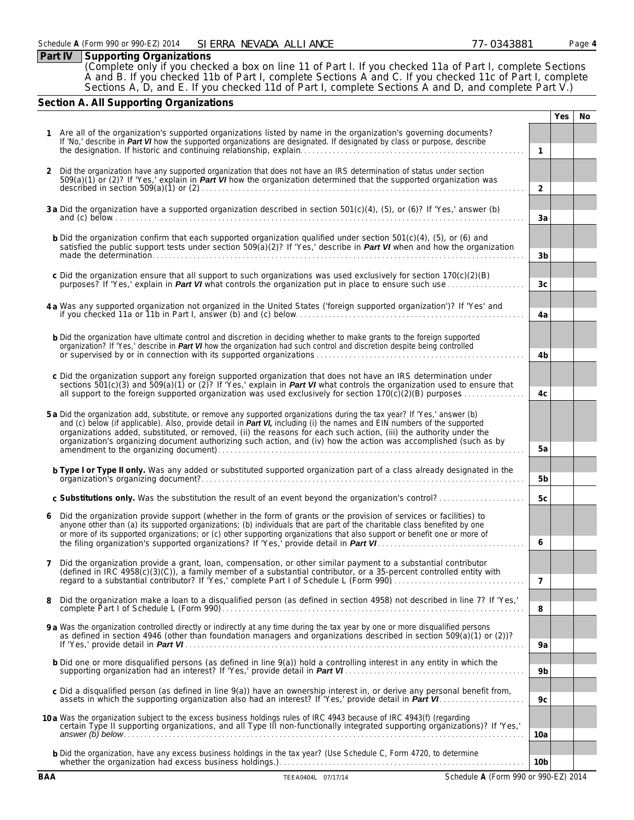|               | Part IV | <b>Supporting Organizations</b>                                                                                                                                                                                                                                    |                |            |           |
|---------------|---------|--------------------------------------------------------------------------------------------------------------------------------------------------------------------------------------------------------------------------------------------------------------------|----------------|------------|-----------|
|               |         | (Complete only if you checked a box on line 11 of Part I. If you checked 11a of Part I, complete Sections                                                                                                                                                          |                |            |           |
|               |         | A and B. If you checked 11b of Part I, complete Sections A and C. If you checked 11c of Part I, complete                                                                                                                                                           |                |            |           |
|               |         | Sections A, D, and E. If you checked 11d of Part I, complete Sections A and D, and complete Part V.)                                                                                                                                                               |                |            |           |
|               |         | Section A. All Supporting Organizations                                                                                                                                                                                                                            |                |            |           |
|               |         |                                                                                                                                                                                                                                                                    |                | <b>Yes</b> | <b>No</b> |
|               |         |                                                                                                                                                                                                                                                                    |                |            |           |
|               |         | Are all of the organization's supported organizations listed by name in the organization's governing documents?<br>If 'No,' describe in Part VI how the supported organizations are designated. If designated by class or purpose, describe                        |                |            |           |
|               |         |                                                                                                                                                                                                                                                                    | 1              |            |           |
|               |         |                                                                                                                                                                                                                                                                    |                |            |           |
| $\mathcal{P}$ |         | Did the organization have any supported organization that does not have an IRS determination of status under section                                                                                                                                               |                |            |           |
|               |         | $509(a)(1)$ or (2)? If 'Yes,' explain in <i>Part VI</i> how the organization determined that the supported organization was                                                                                                                                        |                |            |           |
|               |         |                                                                                                                                                                                                                                                                    | 2              |            |           |
|               |         | 3 a Did the organization have a supported organization described in section 501(c)(4), (5), or (6)? If 'Yes,' answer (b)                                                                                                                                           |                |            |           |
|               |         |                                                                                                                                                                                                                                                                    | 3a             |            |           |
|               |         |                                                                                                                                                                                                                                                                    |                |            |           |
|               |         | <b>b</b> Did the organization confirm that each supported organization qualified under section 501(c)(4), (5), or (6) and                                                                                                                                          |                |            |           |
|               |         | satisfied the public support tests under section 509(a)(2)? If 'Yes,' describe in Part VI when and how the organization<br>made the determination.                                                                                                                 | 3 <sub>b</sub> |            |           |
|               |         |                                                                                                                                                                                                                                                                    |                |            |           |
|               |         | c Did the organization ensure that all support to such organizations was used exclusively for section $170(c)(2)(B)$                                                                                                                                               |                |            |           |
|               |         | purposes? If 'Yes,' explain in <i>Part VI</i> what controls the organization put in place to ensure such use                                                                                                                                                       | 3 <sub>c</sub> |            |           |
|               |         |                                                                                                                                                                                                                                                                    |                |            |           |
|               |         | 4a Was any supported organization not organized in the United States ('foreign supported organization')? If 'Yes' and                                                                                                                                              |                |            |           |
|               |         | if you checked 11a or 11b in Part I, answer (b) and (c) below.                                                                                                                                                                                                     | 4a             |            |           |
|               |         |                                                                                                                                                                                                                                                                    |                |            |           |
|               |         | <b>b</b> Did the organization have ultimate control and discretion in deciding whether to make grants to the foreign supported<br>organization? If 'Yes,' describe in <b>Part VI</b> how the organization had such control and discretion despite being controlled |                |            |           |
|               |         | or supervised by or in connection with its supported organizations.                                                                                                                                                                                                | 4b             |            |           |
|               |         |                                                                                                                                                                                                                                                                    |                |            |           |
|               |         | c Did the organization support any foreign supported organization that does not have an IRS determination under                                                                                                                                                    |                |            |           |

| C Dig the organization support any foreign supported organization that does not have an IRS determination under                 |  |
|---------------------------------------------------------------------------------------------------------------------------------|--|
| sections 501(c)(3) and 509(a)(1) or (2)? If 'Yes,' explain in <b>Part VI</b> what controls the organization used to ensure that |  |
|                                                                                                                                 |  |

| 5 a Did the organization add, substitute, or remove any supported organizations during the tax year? If 'Yes,' answer (b)<br>and (c) below (if applicable). Also, provide detail in <b>Part VI</b> , including (i) the names and EIN numbers of the supported |    |
|---------------------------------------------------------------------------------------------------------------------------------------------------------------------------------------------------------------------------------------------------------------|----|
| organizations added, substituted, or removed, (ii) the reasons for each such action, (iii) the authority under the<br>organization's organizing document authorizing such action, and (iv) how the action was accomplished (such as by                        |    |
|                                                                                                                                                                                                                                                               | 5a |
|                                                                                                                                                                                                                                                               |    |

| <b>b Type I or Type II only.</b> Was any added or substituted supported organization part of a class already designated in the |                |
|--------------------------------------------------------------------------------------------------------------------------------|----------------|
|                                                                                                                                | 5 <sub>b</sub> |
|                                                                                                                                |                |

| c Substitutions only. Was the substitution the result of an event beyond the organization's control? |  |  |
|------------------------------------------------------------------------------------------------------|--|--|
|------------------------------------------------------------------------------------------------------|--|--|

| 6 Did the organization provide support (whether in the form of grants or the provision of services or facilities) to<br>anyone other than (a) its supported organizations; (b) individuals that are part of the charitable class benefited by one |  |
|---------------------------------------------------------------------------------------------------------------------------------------------------------------------------------------------------------------------------------------------------|--|
| or more of its supported organizations; or (c) other supporting organizations that also support or benefit one or more of                                                                                                                         |  |

| 7 Did the organization provide a grant, loan, compensation, or other similar payment to a substantial contributor<br>(defined in IRC 4958(c)(3)(C)), a family member of a substantial contributor, or a 35-percent controlled entity with |  |
|-------------------------------------------------------------------------------------------------------------------------------------------------------------------------------------------------------------------------------------------|--|
|                                                                                                                                                                                                                                           |  |
|                                                                                                                                                                                                                                           |  |

| 8 Did the organization make a loan to a disqualified person (as defined in section 4958) not described in line 7? If 'Yes,' |  |
|-----------------------------------------------------------------------------------------------------------------------------|--|
|                                                                                                                             |  |
|                                                                                                                             |  |

| <b>9 a</b> Was the organization controlled directly or indirectly at any time during the tax year by one or more disqualified persons |    |
|---------------------------------------------------------------------------------------------------------------------------------------|----|
| as defined in section 4946 (other than foundation managers and organizations described in section 509(a)(1) or (2))?                  |    |
|                                                                                                                                       | 9a |
|                                                                                                                                       |    |

b Did one or more disqualified persons (as defined in line 9(a)) hold a controlling interest in any entity in which the<br>supporting organization had an interest? If 'Yes,' provide detail in *Part VI*........................

| c Did a disqualified person (as defined in line 9(a)) have an ownership interest in, or derive any personal benefit from, |      |
|---------------------------------------------------------------------------------------------------------------------------|------|
| assets in which the supporting organization also had an interest? If 'Yes,' provide detail in <i>Part VI</i>              | - 9с |

| 10 a Was the organization subject to the excess business holdings rules of IRC 4943 because of IRC 4943(f) (regarding       |     |
|-----------------------------------------------------------------------------------------------------------------------------|-----|
| certain Type II supporting organizations, and all Type III non-functionally integrated supporting organizations)? If 'Yes,' | 10а |
|                                                                                                                             |     |

**b** Did the organization, have any excess business holdings in the tax year? *(Use Schedule C, Form 4720, to determine whether the organization had excess business holdings.)*. . . . . . . . . . . . . . . . . . . . . . . . . . . . . . . . . . . . . . . . . . . . . . . . . . . . . . . . . . . . **10b**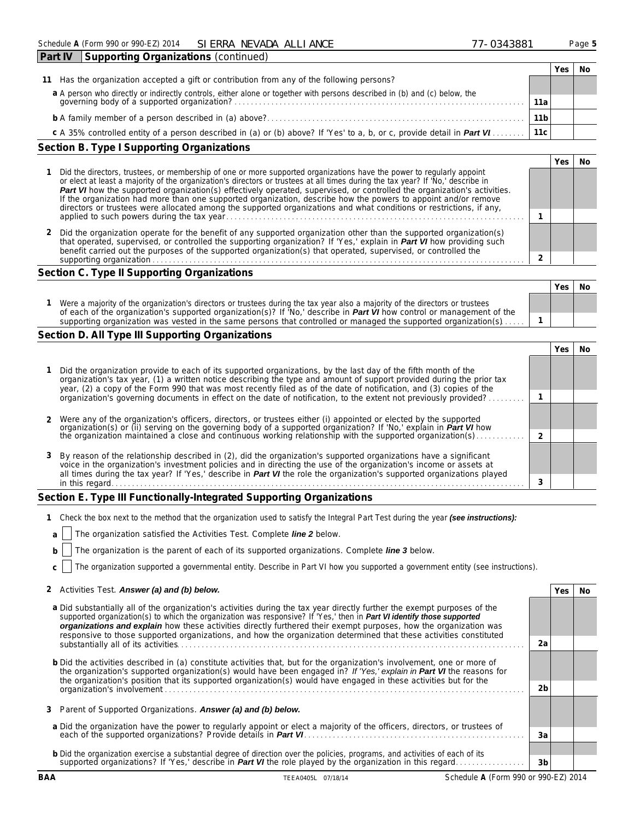| <b>Part IV</b><br>Supporting Organizations (continued)                                                                                                                |                 |     |    |
|-----------------------------------------------------------------------------------------------------------------------------------------------------------------------|-----------------|-----|----|
|                                                                                                                                                                       |                 | Yes | No |
| Has the organization accepted a gift or contribution from any of the following persons?<br>11                                                                         |                 |     |    |
|                                                                                                                                                                       |                 |     |    |
| a A person who directly or indirectly controls, either alone or together with persons described in (b) and (c) below, the governing body of a supported organization? | 11a             |     |    |
|                                                                                                                                                                       | 11 <sub>b</sub> |     |    |
| c A 35% controlled entity of a person described in (a) or (b) above? If 'Yes' to a, b, or c, provide detail in <b>Part VI</b>                                         | 11c             |     |    |
| Section B. Type I Supporting Organizations                                                                                                                            |                 |     |    |

|                                                                                                                                                                                                                                                                                                                                                                                                                                                                                                                                                                                                                               | Yes |  |
|-------------------------------------------------------------------------------------------------------------------------------------------------------------------------------------------------------------------------------------------------------------------------------------------------------------------------------------------------------------------------------------------------------------------------------------------------------------------------------------------------------------------------------------------------------------------------------------------------------------------------------|-----|--|
| Did the directors, trustees, or membership of one or more supported organizations have the power to regularly appoint<br>or elect at least a majority of the organization's directors or trustees at all times during the tax year? If 'No,' describe in<br>Part VI how the supported organization(s) effectively operated, supervised, or controlled the organization's activities.<br>If the organization had more than one supported organization, describe how the powers to appoint and/or remove<br>directors or trustees were allocated among the supported organizations and what conditions or restrictions, if any, |     |  |
| Did the organization operate for the benefit of any supported organization other than the supported organization(s)<br>that operated, supervised, or controlled the supporting organization? If 'Yes,' explain in Part VI how providing such<br>benefit carried out the purposes of the supported organization(s) that operated, supervised, or controlled the<br>supporting organization<br>.                                                                                                                                                                                                                                |     |  |

# **Section C. Type II Supporting Organizations**

|                                                                                                                                                                                                                                                               | Yes. | No |
|---------------------------------------------------------------------------------------------------------------------------------------------------------------------------------------------------------------------------------------------------------------|------|----|
| Were a majority of the organization's directors or trustees during the tax year also a majority of the directors or trustees<br>of each of the organization's supported organization(s)? If 'No,' describe in <b>Part VI</b> how control or management of the |      |    |
| supporting organization was vested in the same persons that controlled or managed the supported organization(s)                                                                                                                                               |      |    |

# **Section D. All Type III Supporting Organizations**

| 1 Did the organization provide to each of its supported organizations, by the last day of the fifth month of the<br>organization's tax year, (1) a written notice describing the type and amount of support provided during the prior tax<br>year, (2) a copy of the Form 990 that was most recently filed as of the date of notification, and (3) copies of the            |  |  |
|-----------------------------------------------------------------------------------------------------------------------------------------------------------------------------------------------------------------------------------------------------------------------------------------------------------------------------------------------------------------------------|--|--|
| organization's governing documents in effect on the date of notification, to the extent not previously provided?                                                                                                                                                                                                                                                            |  |  |
| 2 Were any of the organization's officers, directors, or trustees either (i) appointed or elected by the supported                                                                                                                                                                                                                                                          |  |  |
| organization(s) or (ii) serving on the governing body of a supported organization? If 'No,' explain in <b>Part VI</b> how<br>the organization maintained a close and continuous working relationship with the supported organization(s                                                                                                                                      |  |  |
| 3 By reason of the relationship described in (2), did the organization's supported organizations have a significant<br>voice in the organization's investment policies and in directing the use of the organization's income or assets at<br>all times during the tax year? If 'Yes,' describe in <b>Part VI</b> the role the organization's supported organizations played |  |  |
| in this regard.                                                                                                                                                                                                                                                                                                                                                             |  |  |

# **Section E. Type III Functionally-Integrated Supporting Organizations**

|  | 1 Check the box next to the method that the organization used to satisfy the Integral Part Test during the year (see instructions): |  |  |  |  |
|--|-------------------------------------------------------------------------------------------------------------------------------------|--|--|--|--|
|--|-------------------------------------------------------------------------------------------------------------------------------------|--|--|--|--|

|  |  | a     The organization satisfied the Activities Test. Complete <i>line</i> 2 below. |  |  |  |  |  |
|--|--|-------------------------------------------------------------------------------------|--|--|--|--|--|
|--|--|-------------------------------------------------------------------------------------|--|--|--|--|--|

**b** The organization is the parent of each of its supported organizations. *Complete line 3 below.*

**c** The organization supported a governmental entity. *Describe in Part VI how you supported a government entity (see instructions).*

| a Did substantially all of the organization's activities during the tax year directly further the exempt purposes of the<br>supported organization(s) to which the organization was responsive? If 'Yes,' then in <b>Part VI identify those supported</b><br>organizations and explain how these activities directly furthered their exempt purposes, how the organization was<br>responsive to those supported organizations, and how the organization determined that these activities constituted |                |  |
|------------------------------------------------------------------------------------------------------------------------------------------------------------------------------------------------------------------------------------------------------------------------------------------------------------------------------------------------------------------------------------------------------------------------------------------------------------------------------------------------------|----------------|--|
| substantially all of its activities.                                                                                                                                                                                                                                                                                                                                                                                                                                                                 | 2a             |  |
| <b>b</b> Did the activities described in (a) constitute activities that, but for the organization's involvement, one or more of<br>the organization's supported organization(s) would have been engaged in? If 'Yes,' explain in Part VI the reasons for<br>the organization's position that its supported organization(s) would have engaged in these activities but for the                                                                                                                        |                |  |
|                                                                                                                                                                                                                                                                                                                                                                                                                                                                                                      | 2 <sub>b</sub> |  |
| 3 Parent of Supported Organizations. Answer (a) and (b) below.                                                                                                                                                                                                                                                                                                                                                                                                                                       |                |  |
| a Did the organization have the power to regularly appoint or elect a majority of the officers, directors, or trustees of<br>each of the supported organizations? Provide details in Part VI.                                                                                                                                                                                                                                                                                                        | Зa             |  |
| <b>b</b> Did the organization exercise a substantial degree of direction over the policies, programs, and activities of each of its                                                                                                                                                                                                                                                                                                                                                                  |                |  |
| supported organizations? If 'Yes,' describe in <b>Part VI</b> the role played by the organization in this regard.                                                                                                                                                                                                                                                                                                                                                                                    | 3b             |  |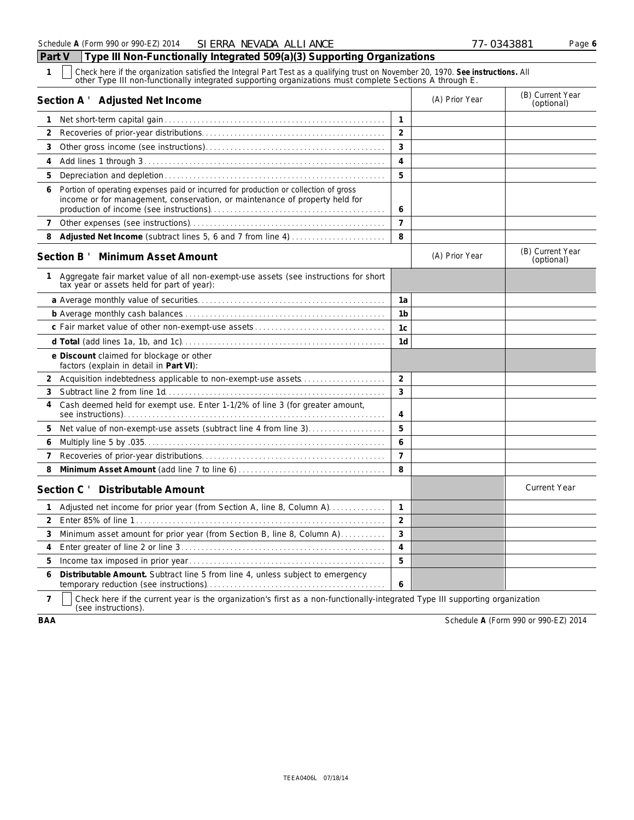| $\mathbf{1}$<br>Check here if the organization satisfied the Integral Part Test as a qualifying trust on November 20, 1970. See instructions. All other Type III non-functionally integrated supporting organizations must complete Sections A |                |                |                                |
|------------------------------------------------------------------------------------------------------------------------------------------------------------------------------------------------------------------------------------------------|----------------|----------------|--------------------------------|
| Section A ' Adjusted Net Income                                                                                                                                                                                                                |                | (A) Prior Year | (B) Current Year<br>(optional) |
| $\mathbf{1}$                                                                                                                                                                                                                                   | $\mathbf{1}$   |                |                                |
| 2                                                                                                                                                                                                                                              | $\overline{2}$ |                |                                |
| 3                                                                                                                                                                                                                                              | 3              |                |                                |
| 4                                                                                                                                                                                                                                              | 4              |                |                                |
| 5                                                                                                                                                                                                                                              | 5              |                |                                |
| Portion of operating expenses paid or incurred for production or collection of gross<br>6<br>income or for management, conservation, or maintenance of property held for                                                                       | 6              |                |                                |
| 7                                                                                                                                                                                                                                              | $\overline{7}$ |                |                                |
| 8                                                                                                                                                                                                                                              | 8              |                |                                |
| Section B ' Minimum Asset Amount                                                                                                                                                                                                               |                | (A) Prior Year | (B) Current Year<br>(optional) |
| Aggregate fair market value of all non-exempt-use assets (see instructions for short<br>tax year or assets held for part of year):                                                                                                             |                |                |                                |
|                                                                                                                                                                                                                                                | 1a             |                |                                |
|                                                                                                                                                                                                                                                | 1 <sub>b</sub> |                |                                |
|                                                                                                                                                                                                                                                | 1c             |                |                                |
|                                                                                                                                                                                                                                                | 1 <sub>d</sub> |                |                                |
| e Discount claimed for blockage or other<br>factors (explain in detail in Part VI):                                                                                                                                                            |                |                |                                |
| Acquisition indebtedness applicable to non-exempt-use assets<br>2                                                                                                                                                                              | $\overline{2}$ |                |                                |
| 3                                                                                                                                                                                                                                              | 3              |                |                                |
| Cash deemed held for exempt use. Enter 1-1/2% of line 3 (for greater amount,<br>4                                                                                                                                                              | 4              |                |                                |
| Net value of non-exempt-use assets (subtract line 4 from line 3)<br>5                                                                                                                                                                          | 5              |                |                                |
| 6                                                                                                                                                                                                                                              | 6              |                |                                |
| 7                                                                                                                                                                                                                                              | $\overline{7}$ |                |                                |
| 8                                                                                                                                                                                                                                              | 8              |                |                                |
| Section C ' Distributable Amount                                                                                                                                                                                                               |                |                | <b>Current Year</b>            |
| Adjusted net income for prior year (from Section A, line 8, Column A)<br>1                                                                                                                                                                     | 1              |                |                                |
| 2                                                                                                                                                                                                                                              | $\overline{a}$ |                |                                |
| Minimum asset amount for prior year (from Section B, line 8, Column A)<br>3                                                                                                                                                                    | 3              |                |                                |
| 4                                                                                                                                                                                                                                              | $\overline{4}$ |                |                                |
| 5.                                                                                                                                                                                                                                             | 5              |                |                                |
| Distributable Amount. Subtract line 5 from line 4, unless subject to emergency<br>6                                                                                                                                                            | 6              |                |                                |

**7** Check here if the current year is the organization's first as a non-functionally-integrated Type III supporting organization (see instructions).

**BAA** Schedule **A** (Form 990 or 990-EZ) 2014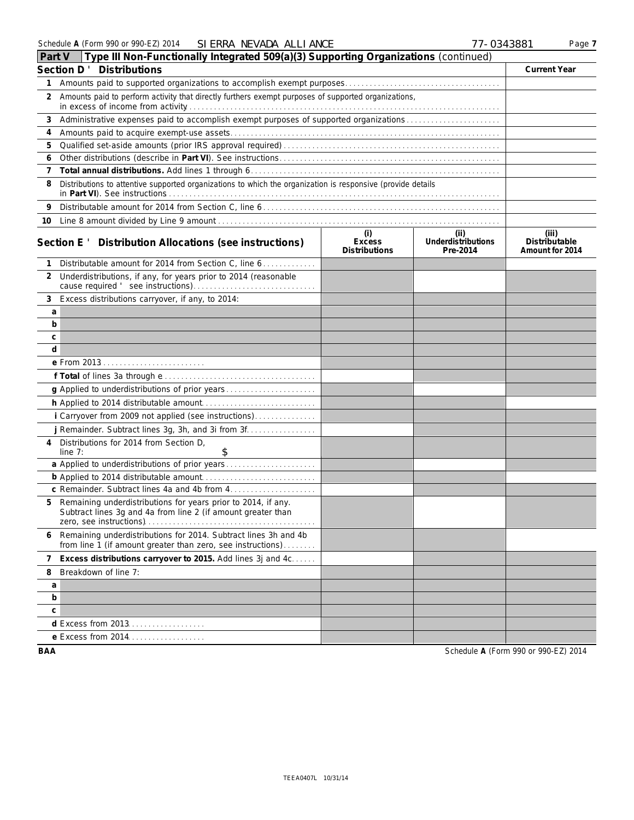| Part V | Type III Non-Functionally Integrated 509(a)(3) Supporting Organizations (continued)                                            |                                              |                                        |                                           |
|--------|--------------------------------------------------------------------------------------------------------------------------------|----------------------------------------------|----------------------------------------|-------------------------------------------|
|        | Section D ' Distributions                                                                                                      |                                              |                                        | <b>Current Year</b>                       |
| 1.     |                                                                                                                                |                                              |                                        |                                           |
| 2      | Amounts paid to perform activity that directly furthers exempt purposes of supported organizations,                            |                                              |                                        |                                           |
| 3      | Administrative expenses paid to accomplish exempt purposes of supported organizations                                          |                                              |                                        |                                           |
| 4      |                                                                                                                                |                                              |                                        |                                           |
| 5      |                                                                                                                                |                                              |                                        |                                           |
| 6      |                                                                                                                                |                                              |                                        |                                           |
| 7      |                                                                                                                                |                                              |                                        |                                           |
| 8      | Distributions to attentive supported organizations to which the organization is responsive (provide details                    |                                              |                                        |                                           |
| 9      |                                                                                                                                |                                              |                                        |                                           |
|        |                                                                                                                                |                                              |                                        |                                           |
|        | Section E ' Distribution Allocations (see instructions)                                                                        | (i)<br><b>Excess</b><br><b>Distributions</b> | (ii)<br>Underdistributions<br>Pre-2014 | (iii)<br>Distributable<br>Amount for 2014 |
| 1      | Distributable amount for 2014 from Section C, line 6.                                                                          |                                              |                                        |                                           |
|        | 2 Underdistributions, if any, for years prior to 2014 (reasonable                                                              |                                              |                                        |                                           |
| 3      | Excess distributions carryover, if any, to 2014:                                                                               |                                              |                                        |                                           |
| a      |                                                                                                                                |                                              |                                        |                                           |
| b      |                                                                                                                                |                                              |                                        |                                           |
| с      |                                                                                                                                |                                              |                                        |                                           |
| d      |                                                                                                                                |                                              |                                        |                                           |
|        |                                                                                                                                |                                              |                                        |                                           |
|        |                                                                                                                                |                                              |                                        |                                           |
|        | g Applied to underdistributions of prior years                                                                                 |                                              |                                        |                                           |
|        |                                                                                                                                |                                              |                                        |                                           |
|        | i Carryover from 2009 not applied (see instructions)                                                                           |                                              |                                        |                                           |
|        | j Remainder. Subtract lines 3g, 3h, and 3i from 3f.                                                                            |                                              |                                        |                                           |
| 4      | Distributions for 2014 from Section D.<br>\$<br>line $7:$                                                                      |                                              |                                        |                                           |
|        |                                                                                                                                |                                              |                                        |                                           |
|        |                                                                                                                                |                                              |                                        |                                           |
|        |                                                                                                                                |                                              |                                        |                                           |
| 5.     | Remaining underdistributions for years prior to 2014, if any.<br>Subtract lines 3g and 4a from line 2 (if amount greater than  |                                              |                                        |                                           |
| 6      | Remaining underdistributions for 2014. Subtract lines 3h and 4b<br>from line 1 (if amount greater than zero, see instructions) |                                              |                                        |                                           |
| 7      | Excess distributions carryover to 2015. Add lines 3j and 4c                                                                    |                                              |                                        |                                           |
| 8      | Breakdown of line 7:                                                                                                           |                                              |                                        |                                           |
| a      |                                                                                                                                |                                              |                                        |                                           |
| b      |                                                                                                                                |                                              |                                        |                                           |
| с      |                                                                                                                                |                                              |                                        |                                           |
|        | d Excess from 2013.                                                                                                            |                                              |                                        |                                           |
|        | e Excess from 2014.                                                                                                            |                                              |                                        |                                           |
| BAA    |                                                                                                                                |                                              |                                        | Schedule A (Form 990 or 990-EZ) 2014      |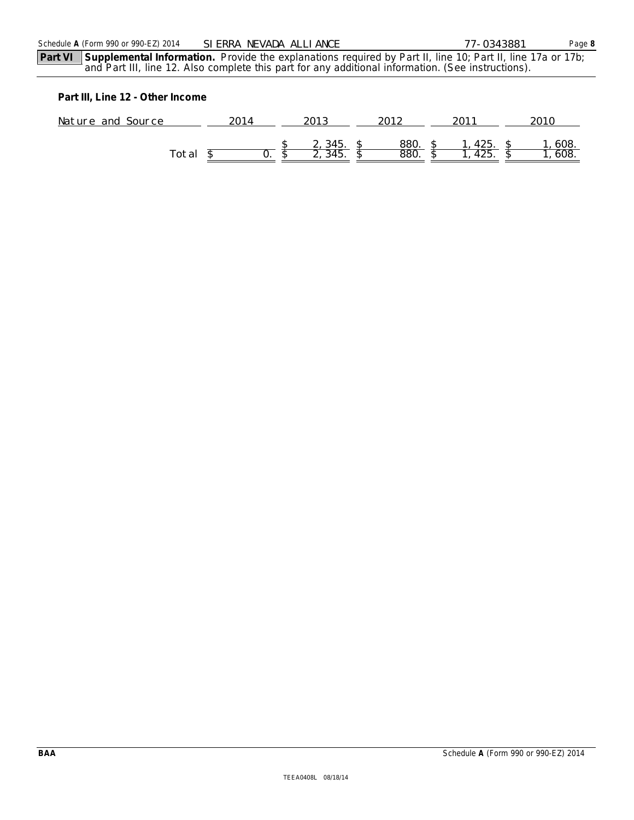# **Part III, Line 12 - Other Income**

| Nature and Source |    | $\cap$ $\cap$ 10 |      | $\bigcap$ 11. | 2010 |  |
|-------------------|----|------------------|------|---------------|------|--|
|                   |    |                  |      |               |      |  |
|                   |    | 345.             | 880. | 425.          | 608. |  |
| Гоtal             | U. | 315              | 880  | 4Z5.          | 608. |  |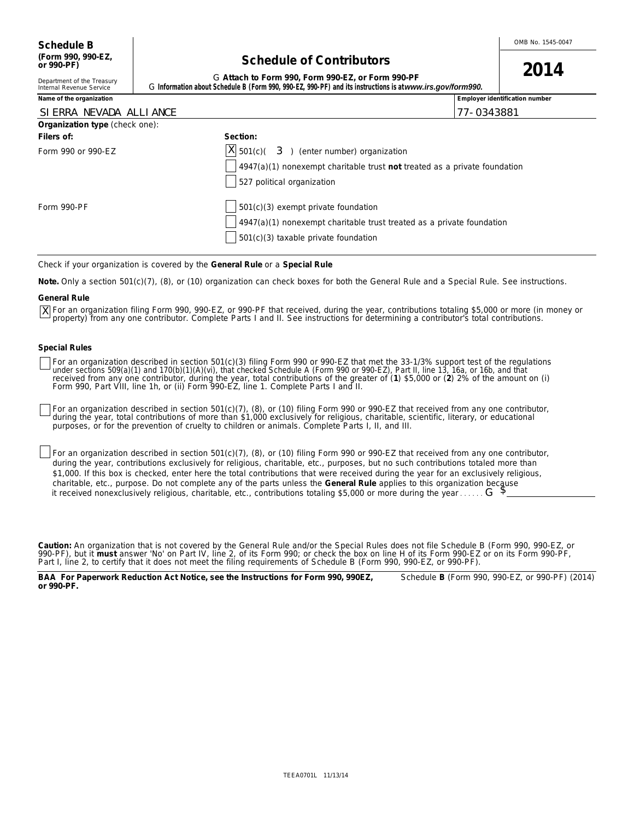# **Schedule of Contributors**

| or 990-PF)                 | <b>SUIGUUL OF CONTINUUS</b>                                                                               | 2014 |
|----------------------------|-----------------------------------------------------------------------------------------------------------|------|
| Department of the Treasury | G Attach to Form 990. Form 990-EZ, or Form 990-PF                                                         |      |
| Internal Revenue Service   | G Information about Schedule B (Form 990, 990-EZ, 990-PF) and its instructions is at www.irs.gov/form990. |      |

|                                              | Employer identification number                                                                                                                                     |
|----------------------------------------------|--------------------------------------------------------------------------------------------------------------------------------------------------------------------|
|                                              | 77-0343881                                                                                                                                                         |
|                                              |                                                                                                                                                                    |
| Section:                                     |                                                                                                                                                                    |
| $ X $ 501(c)( 3) (enter number) organization |                                                                                                                                                                    |
|                                              |                                                                                                                                                                    |
| 527 political organization                   |                                                                                                                                                                    |
| $501(c)(3)$ exempt private foundation        |                                                                                                                                                                    |
|                                              |                                                                                                                                                                    |
| 501(c)(3) taxable private foundation         |                                                                                                                                                                    |
|                                              | $\frac{1}{2}$ 4947(a)(1) nonexempt charitable trust not treated as a private foundation<br>$4947(a)(1)$ nonexempt charitable trust treated as a private foundation |

Check if your organization is covered by the **General Rule** or a **Special Rule**

**Note.** Only a section 501(c)(7), (8), or (10) organization can check boxes for both the General Rule and a Special Rule. See instructions.

#### **General Rule**

For an organization filing Form 990, 990-EZ, or 990-PF that received, during the year, contributions totaling \$5,000 or more (in money or Xproperty) from any one contributor. Complete Parts I and II. See instructions for determining a contributor's total contributions.

#### **Special Rules**

For an organization described in section 501(c)(3) filing Form 990 or 990-EZ that met the 33-1/3% support test of the regulations<br>under sections 509(a)(1) and 170(b)(1)(A)(vi), that checked Schedule A (Form 990 or 990-EZ),

For an organization described in section 501(c)(7), (8), or (10) filing Form 990 or 990-EZ that received from any one contributor, during the year, total contributions of more than \$1,000 *exclusively* for religious, charitable, scientific, literary, or educational purposes, or for the prevention of cruelty to children or animals. Complete Parts I, II, and III.

For an organization described in section 501(c)(7), (8), or (10) filing Form 990 or 990-EZ that received from any one contributor, during the year, contributions *exclusively* for religious, charitable, etc., purposes, but no such contributions totaled more than \$1,000. If this box is checked, enter here the total contributions that were received during the year for an *exclusively* religious, charitable, etc., purpose. Do not complete any of the parts unless the **General Rule** applies to this organization because it received nonexclusively religious, charitable, etc., contributions totaling \$5,000 or more during the year . . . . . G

**Caution:** An organization that is not covered by the General Rule and/or the Special Rules does not file Schedule B (Form 990, 990-EZ, or 990-PF), but it **must** answer 'No' on Part IV, line 2, of its Form 990; or check the box on line H of its Form 990-EZ or on its Form 990-PF, Part I, line 2, to certify that it does not meet the filing requirements of Schedule B (Form 990, 990-EZ, or 990-PF).

**BAA For Paperwork Reduction Act Notice, see the Instructions for Form 990, 990EZ,** Schedule **B** (Form 990, 990-EZ, or 990-PF) (2014) **or 990-PF.**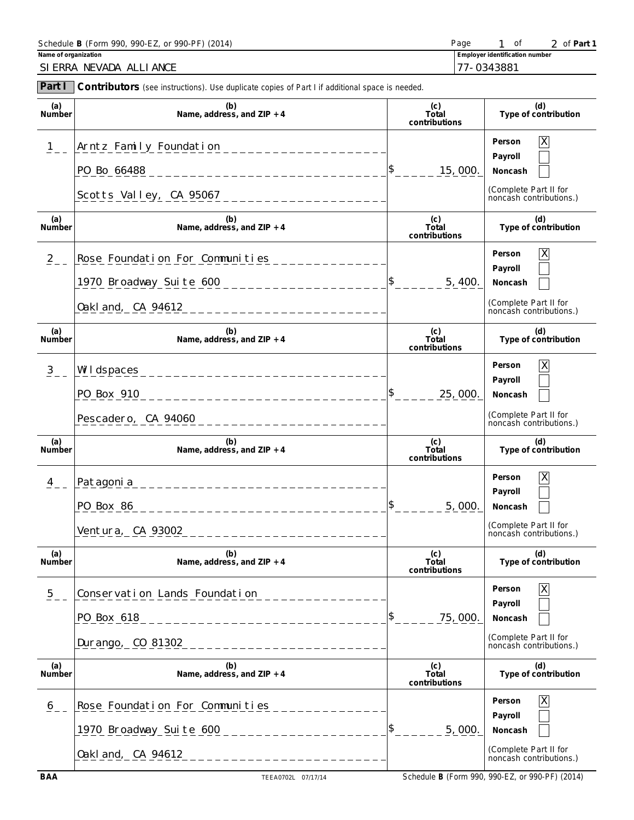| Schedule <b>B</b> (Form 990, 990-EZ, or 990-PF) (2014) | Page                                  |  |  |  | 2 of Part 1 |
|--------------------------------------------------------|---------------------------------------|--|--|--|-------------|
| Name of organization                                   | <b>Employer identification number</b> |  |  |  |             |
| SI ERRA NEVADA ALLIANCE                                | 177-0343881                           |  |  |  |             |

| Part I               | <b>Contributors</b> (see instructions). Use duplicate copies of Part I if additional space is needed.                            |                               |                                                                                                 |
|----------------------|----------------------------------------------------------------------------------------------------------------------------------|-------------------------------|-------------------------------------------------------------------------------------------------|
| (a)<br>Number        | (b)<br>Name, address, and $ZIP + 4$                                                                                              | (c)<br>Total<br>contributions | (d)<br>Type of contribution                                                                     |
| 1                    | Arntz Family Foundation<br>_________________<br>PO Bo 66488                                                                      | 15,000.                       | X<br>Person<br>Payroll<br>Noncash<br>(Complete Part II for<br>noncash contributions.)           |
| (a)<br>Number        | (b)<br>Name, address, and $ZIP + 4$                                                                                              | (c)<br>Total<br>contributions | (d)<br>Type of contribution                                                                     |
| $\frac{2}{2}$ –      | Rose Foundation For Communities<br>1970 Broadway Suite 600<br>___________________<br>0akl and, CA 94612<br>____________________  | 5, 400.                       | $\mathsf X$<br>Person<br>Payroll<br>Noncash<br>(Complete Part II for<br>noncash contributions.) |
| (a)<br>Number        | (b)<br>Name, address, and ZIP + 4                                                                                                | (c)<br>Total<br>contributions | (d)<br>Type of contribution                                                                     |
| $\frac{3}{2}$ –      | Wildspaces<br>_________________________<br>PO Box 910<br>_______________________<br>Pescadero, CA 94060<br>_____________________ | 25,000                        | $\mathsf X$<br>Person<br>Payroll<br>Noncash<br>(Complete Part II for<br>noncash contributions.) |
| (a)<br>Number        | (b)<br>Name, address, and $ZIP + 4$                                                                                              | (c)<br>Total<br>contributions | (d)<br>Type of contribution                                                                     |
| $\frac{4}{1}$        | Patagoni a<br>___________________________<br>PO Box 86<br>Ventura, CA 93002                                                      | \$<br>5,000.                  | $\mathsf X$<br>Person<br>Payroll<br>Noncash<br>(Complete Part II for<br>noncash contributions.) |
| (a)<br><b>Number</b> | (b)<br>Name, address, and ZIP + 4                                                                                                | (c)<br>Total<br>contributions | (d)<br>Type of contribution                                                                     |
| $\overline{5}$       | Conservation Lands Foundation<br>PO Box 618<br>_________________<br>Durango, CO 81302<br>___________________                     | 75,000.                       | Person<br>Payroll<br>Noncash<br>(Complete Part II for<br>noncash contributions.)                |
| (a)<br>Number        | (b)<br>Name, address, and ZIP + 4                                                                                                | (c)<br>Total<br>contributions | (d)<br>Type of contribution                                                                     |
| $\underline{6}$      | Rose Foundation For Communities<br>1970 Broadway Suite 600<br>Oakland, CA 94612<br>_____________________                         | 5,000.                        | Person<br>Payroll<br>Noncash<br>(Complete Part II for<br>noncash contributions.)                |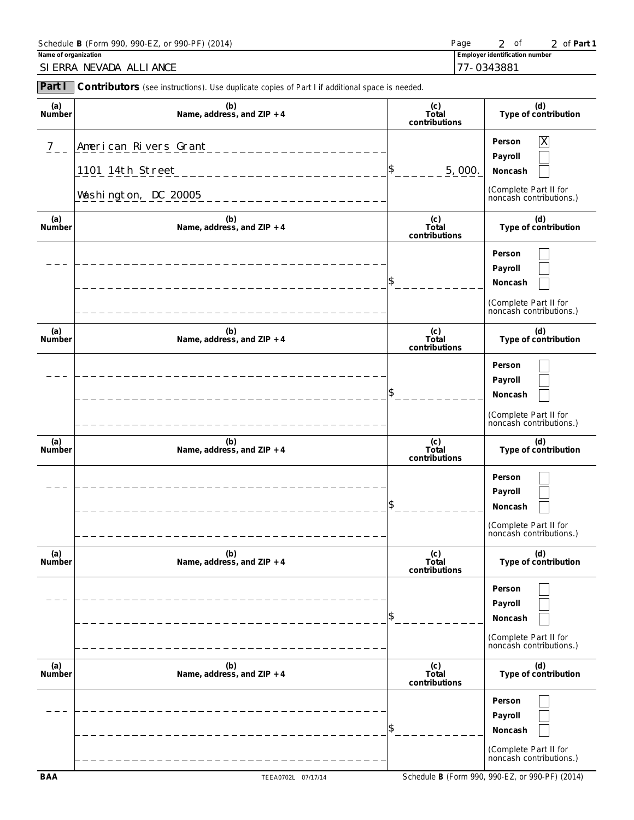| Schedule <b>B</b> (Form 990, 990-EZ, or 990-PF) (2014) | Page                                  | ' of <b>Part 1</b> |
|--------------------------------------------------------|---------------------------------------|--------------------|
| Name of organization                                   | <b>Employer identification number</b> |                    |
| SI ERRA NEVADA ALLIANCE                                | 177-0343881                           |                    |

| Part I        | <b>Contributors</b> (see instructions). Use duplicate copies of Part I if additional space is needed. |                               |                                                                                                    |
|---------------|-------------------------------------------------------------------------------------------------------|-------------------------------|----------------------------------------------------------------------------------------------------|
| (a)<br>Number | (b)<br>Name, address, and $ZIP + 4$                                                                   | (c)<br>Total<br>contributions | (d)<br>Type of contribution                                                                        |
| $\frac{7}{2}$ | American Rivers Grant<br>1101 14th Street<br>Washington, DC 20005                                     | \$<br>5,000.                  | $\overline{X}$<br>Person<br>Payroll<br>Noncash<br>(Complete Part II for<br>noncash contributions.) |
| (a)<br>Number | (b)<br>Name, address, and $ZIP + 4$                                                                   | (c)<br>Total<br>contributions | (d)<br>Type of contribution                                                                        |
|               |                                                                                                       |                               | Person<br>Payroll<br>Noncash<br>(Complete Part II for<br>noncash contributions.)                   |
| (a)<br>Number | (b)<br>Name, address, and $ZIP + 4$                                                                   | (c)<br>Total<br>contributions | (d)<br>Type of contribution                                                                        |
|               |                                                                                                       |                               | Person<br>Payroll<br>Noncash<br>(Complete Part II for<br>noncash contributions.)                   |
| (a)<br>Number | (b)<br>Name, address, and $ZIP + 4$                                                                   | (c)<br>Total<br>contributions | (d)<br>Type of contribution                                                                        |
|               |                                                                                                       | \$                            | Person<br>Payroll<br>Noncash<br>(Complete Part II for<br>noncash contributions.)                   |
| (a)<br>Number | (b)<br>Name, address, and ZIP + 4                                                                     | (c)<br>Total<br>contributions | (d)<br>Type of contribution                                                                        |
|               |                                                                                                       | \$                            | Person<br>Payroll<br>Noncash<br>(Complete Part II for<br>noncash contributions.)                   |
| (a)<br>Number | (b)<br>Name, address, and ZIP + 4                                                                     | (c)<br>Total<br>contributions | (d)<br>Type of contribution                                                                        |
|               |                                                                                                       | \$                            | Person<br>Payroll<br>Noncash<br>(Complete Part II for<br>noncash contributions.)                   |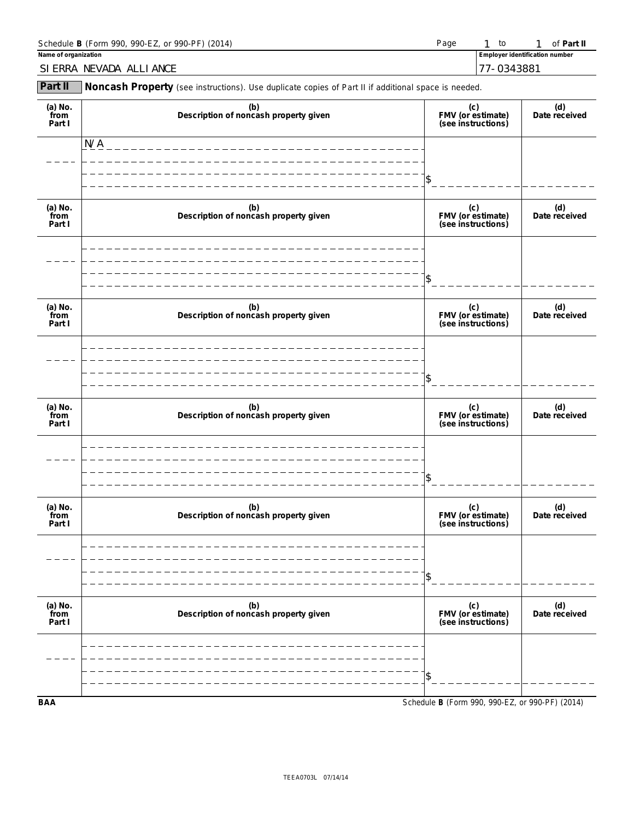| Schedule <b>B</b> (Form 990, 990-EZ, or 990-PF) (2014) | Page |                                       | of Part II |
|--------------------------------------------------------|------|---------------------------------------|------------|
| Name of organization                                   |      | <b>Employer identification number</b> |            |
| NEVADA ALLIANCE<br>SI ERRA                             |      | 343881- ،                             |            |

**Part II** Noncash Property (see instructions). Use duplicate copies of Part II if additional space is needed.

| (a) No.<br>from<br>Part I | (b)<br>Description of noncash property given | (c)<br>FMV (or estimate)<br>(see instructions)        | (d)<br>Date received |
|---------------------------|----------------------------------------------|-------------------------------------------------------|----------------------|
| N/A                       |                                              |                                                       |                      |
|                           |                                              |                                                       |                      |
| (a) No.<br>from<br>Part I | (b)<br>Description of noncash property given | (c)<br>FMV (or estimate)<br>(see instructions)        | (d)<br>Date received |
|                           |                                              |                                                       |                      |
| (a) No.<br>from<br>Part I | (b)<br>Description of noncash property given | (c)<br>FMV (or estimate)<br>(see instructions)        | (d)<br>Date received |
|                           |                                              |                                                       |                      |
| (a) No.<br>from<br>Part I | (b)<br>Description of noncash property given | (c)<br>FMV (or estimate)<br>(see instructions)        | (d)<br>Date received |
|                           |                                              |                                                       |                      |
| (a) No.<br>from<br>Part I | (b)<br>Description of noncash property given | (c)<br>FMV (or estimate)<br>(see instructions)        | (d)<br>Date received |
|                           |                                              |                                                       |                      |
| (a) No.<br>from<br>Part I | (b)<br>Description of noncash property given | (c)<br>FMV (or estimate)<br>(see instructions)        | (d)<br>Date received |
|                           |                                              |                                                       |                      |
| <b>BAA</b>                |                                              | \$<br>Schedule B (Form 990, 990-EZ, or 990-PF) (2014) |                      |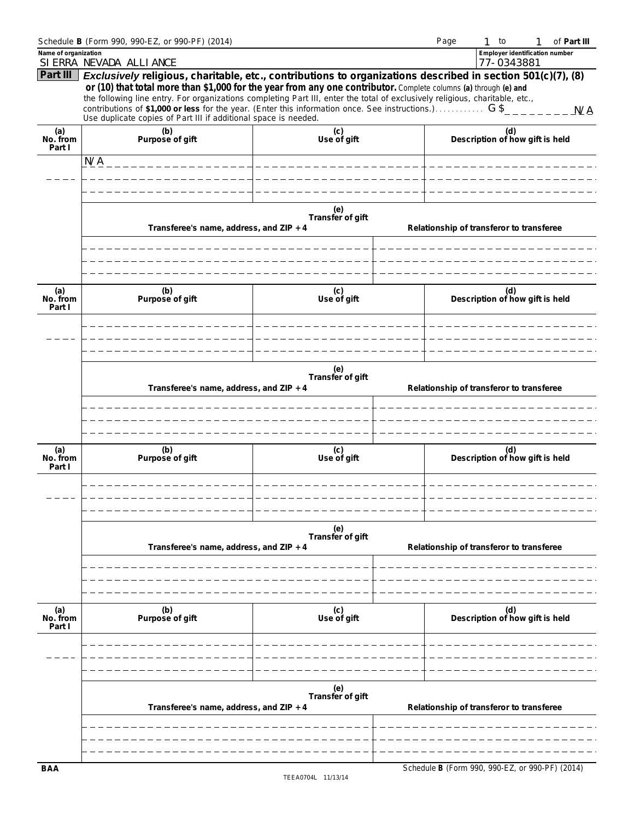|                           | Schedule B (Form 990, 990-EZ, or 990-PF) (2014)                                                                                                                                                                                                                                                                                                                                                                                                                                                                                                    |                         | Page | $1$ to                                          | of Part III |
|---------------------------|----------------------------------------------------------------------------------------------------------------------------------------------------------------------------------------------------------------------------------------------------------------------------------------------------------------------------------------------------------------------------------------------------------------------------------------------------------------------------------------------------------------------------------------------------|-------------------------|------|-------------------------------------------------|-------------|
| Name of organization      | SI ERRA NEVADA ALLI ANCE                                                                                                                                                                                                                                                                                                                                                                                                                                                                                                                           |                         |      | Employer identification number<br>77-0343881    |             |
| Part III                  | <b>Exclusively</b> religious, charitable, etc., contributions to organizations described in section 501(c)(7), (8)<br>or (10) that total more than \$1,000 for the year from any one contributor. Complete columns (a) through (e) and<br>the following line entry. For organizations completing Part III, enter the total of exclusively religious, charitable, etc.,<br>contributions of \$1,000 or less for the year. (Enter this information once. See instructions.) $G \$<br>Use duplicate copies of Part III if additional space is needed. |                         |      |                                                 |             |
| (a)<br>No. from<br>Part I | (b)<br>Purpose of gift                                                                                                                                                                                                                                                                                                                                                                                                                                                                                                                             | (c)<br>Use of gift      |      | (d)<br>Description of how gift is held          |             |
|                           | N/A                                                                                                                                                                                                                                                                                                                                                                                                                                                                                                                                                |                         |      |                                                 |             |
|                           |                                                                                                                                                                                                                                                                                                                                                                                                                                                                                                                                                    |                         |      |                                                 |             |
|                           |                                                                                                                                                                                                                                                                                                                                                                                                                                                                                                                                                    |                         |      |                                                 |             |
|                           | Transferee's name, address, and ZIP + 4                                                                                                                                                                                                                                                                                                                                                                                                                                                                                                            | (e)<br>Transfer of gift |      | Relationship of transferor to transferee        |             |
|                           |                                                                                                                                                                                                                                                                                                                                                                                                                                                                                                                                                    |                         |      |                                                 |             |
| (a)<br>No. from<br>Part I | (b)<br>Purpose of gift                                                                                                                                                                                                                                                                                                                                                                                                                                                                                                                             | (c)<br>Use of gift      |      | (d)<br>Description of how gift is held          |             |
|                           |                                                                                                                                                                                                                                                                                                                                                                                                                                                                                                                                                    |                         |      |                                                 |             |
|                           | Transferee's name, address, and ZIP + 4                                                                                                                                                                                                                                                                                                                                                                                                                                                                                                            | (e)<br>Transfer of gift |      | Relationship of transferor to transferee        |             |
|                           |                                                                                                                                                                                                                                                                                                                                                                                                                                                                                                                                                    |                         |      |                                                 |             |
| (a)<br>No. from<br>Part I | (b)<br>Purpose of gift                                                                                                                                                                                                                                                                                                                                                                                                                                                                                                                             | (c)<br>Use of gift      |      | (d)<br>Description of how gift is held          |             |
|                           |                                                                                                                                                                                                                                                                                                                                                                                                                                                                                                                                                    |                         |      |                                                 |             |
|                           | Transferee's name, address, and ZIP + 4                                                                                                                                                                                                                                                                                                                                                                                                                                                                                                            | (e)<br>Transfer of gift |      | Relationship of transferor to transferee        |             |
|                           |                                                                                                                                                                                                                                                                                                                                                                                                                                                                                                                                                    |                         |      |                                                 |             |
| (a)<br>No. from<br>Part I | (b)<br>Purpose of gift                                                                                                                                                                                                                                                                                                                                                                                                                                                                                                                             | (c)<br>Use of gift      |      | (d)<br>Description of how gift is held          |             |
|                           |                                                                                                                                                                                                                                                                                                                                                                                                                                                                                                                                                    |                         |      |                                                 |             |
|                           | Transferee's name, address, and ZIP + 4                                                                                                                                                                                                                                                                                                                                                                                                                                                                                                            | (e)<br>Transfer of gift |      | Relationship of transferor to transferee        |             |
|                           |                                                                                                                                                                                                                                                                                                                                                                                                                                                                                                                                                    |                         |      |                                                 |             |
| <b>BAA</b>                |                                                                                                                                                                                                                                                                                                                                                                                                                                                                                                                                                    |                         |      | Schedule B (Form 990, 990-EZ, or 990-PF) (2014) |             |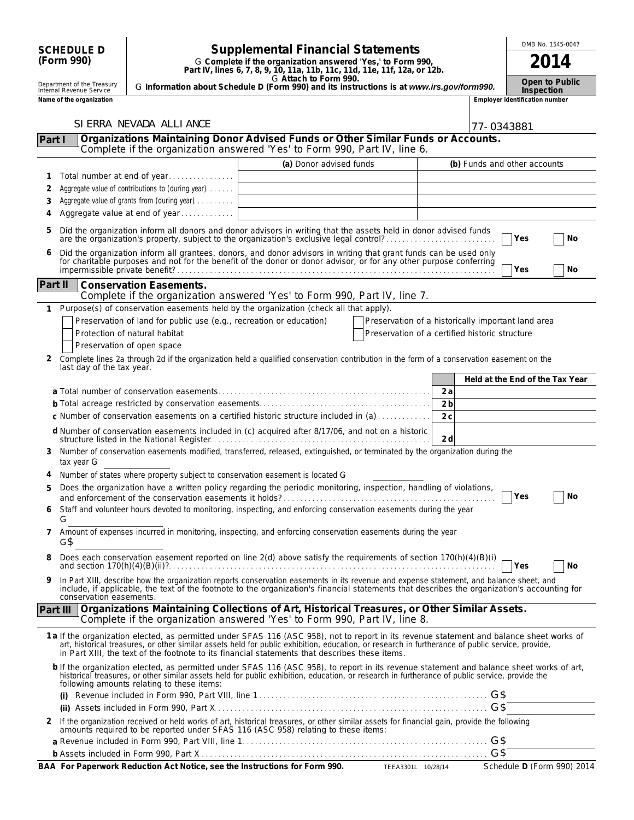|          |                                                                                                                                                                                                                         |                                                                               |                                                                                                                                                                                                                                                                                                                                                                                                |                | OMB No. 1545-0047 |                                |                                 |
|----------|-------------------------------------------------------------------------------------------------------------------------------------------------------------------------------------------------------------------------|-------------------------------------------------------------------------------|------------------------------------------------------------------------------------------------------------------------------------------------------------------------------------------------------------------------------------------------------------------------------------------------------------------------------------------------------------------------------------------------|----------------|-------------------|--------------------------------|---------------------------------|
|          | <b>Supplemental Financial Statements</b><br><b>SCHEDULE D</b><br>(Form 990)<br>G Complete if the organization answered 'Yes,' to Form 990,<br>Part IV, lines 6, 7, 8, 9, 10, 11a, 11b, 11c, 11d, 11e, 11f, 12a, or 12b. |                                                                               | 2014                                                                                                                                                                                                                                                                                                                                                                                           |                |                   |                                |                                 |
|          | Department of the Treasury<br>Internal Revenue Service                                                                                                                                                                  |                                                                               | G Attach to Form 990.<br>G Information about Schedule D (Form 990) and its instructions is at www.irs.gov/form990.                                                                                                                                                                                                                                                                             |                |                   | Inspection                     | Open to Public                  |
|          | Name of the organization                                                                                                                                                                                                |                                                                               |                                                                                                                                                                                                                                                                                                                                                                                                |                |                   | Employer identification number |                                 |
|          |                                                                                                                                                                                                                         | SI ERRA NEVADA ALLI ANCE                                                      |                                                                                                                                                                                                                                                                                                                                                                                                |                |                   |                                |                                 |
| Part I   |                                                                                                                                                                                                                         |                                                                               | Organizations Maintaining Donor Advised Funds or Other Similar Funds or Accounts.                                                                                                                                                                                                                                                                                                              |                | 77-0343881        |                                |                                 |
|          |                                                                                                                                                                                                                         |                                                                               | Complete if the organization answered 'Yes' to Form 990, Part IV, line 6.                                                                                                                                                                                                                                                                                                                      |                |                   |                                |                                 |
|          |                                                                                                                                                                                                                         |                                                                               | (a) Donor advised funds                                                                                                                                                                                                                                                                                                                                                                        |                |                   | (b) Funds and other accounts   |                                 |
| 1        |                                                                                                                                                                                                                         | Total number at end of year                                                   |                                                                                                                                                                                                                                                                                                                                                                                                |                |                   |                                |                                 |
| 2        |                                                                                                                                                                                                                         | Aggregate value of contributions to (during year).                            |                                                                                                                                                                                                                                                                                                                                                                                                |                |                   |                                |                                 |
| 3        |                                                                                                                                                                                                                         | Aggregate value of grants from (during year)                                  |                                                                                                                                                                                                                                                                                                                                                                                                |                |                   |                                |                                 |
| 4        |                                                                                                                                                                                                                         | Aggregate value at end of year                                                |                                                                                                                                                                                                                                                                                                                                                                                                |                |                   |                                |                                 |
| 5        |                                                                                                                                                                                                                         |                                                                               | Did the organization inform all donors and donor advisors in writing that the assets held in donor advised funds<br>are the organization's property, subject to the organization's exclusive legal control?<br>Did the organization inform all grantees, donors, and donor advisors in writing that grant funds can be used only                                                               |                |                   | Yes                            | No                              |
|          |                                                                                                                                                                                                                         |                                                                               | for charitable purposes and not for the benefit of the donor or donor advisor, or for any other purpose conferring                                                                                                                                                                                                                                                                             |                |                   | Yes                            | No                              |
| Part II  |                                                                                                                                                                                                                         | <b>Conservation Easements.</b>                                                | Complete if the organization answered 'Yes' to Form 990, Part IV, line 7.                                                                                                                                                                                                                                                                                                                      |                |                   |                                |                                 |
| 1        |                                                                                                                                                                                                                         |                                                                               | Purpose(s) of conservation easements held by the organization (check all that apply).                                                                                                                                                                                                                                                                                                          |                |                   |                                |                                 |
|          |                                                                                                                                                                                                                         | Preservation of land for public use (e.g., recreation or education)           | Preservation of a historically important land area                                                                                                                                                                                                                                                                                                                                             |                |                   |                                |                                 |
|          |                                                                                                                                                                                                                         | Protection of natural habitat                                                 | Preservation of a certified historic structure                                                                                                                                                                                                                                                                                                                                                 |                |                   |                                |                                 |
|          |                                                                                                                                                                                                                         | Preservation of open space                                                    |                                                                                                                                                                                                                                                                                                                                                                                                |                |                   |                                |                                 |
| 2        | last day of the tax year.                                                                                                                                                                                               |                                                                               | Complete lines 2a through 2d if the organization held a qualified conservation contribution in the form of a conservation easement on the                                                                                                                                                                                                                                                      |                |                   |                                |                                 |
|          |                                                                                                                                                                                                                         |                                                                               |                                                                                                                                                                                                                                                                                                                                                                                                |                |                   |                                | Held at the End of the Tax Year |
|          |                                                                                                                                                                                                                         |                                                                               |                                                                                                                                                                                                                                                                                                                                                                                                | 2a             |                   |                                |                                 |
|          |                                                                                                                                                                                                                         |                                                                               |                                                                                                                                                                                                                                                                                                                                                                                                | 2 <sub>b</sub> |                   |                                |                                 |
|          |                                                                                                                                                                                                                         |                                                                               | c Number of conservation easements on a certified historic structure included in (a)                                                                                                                                                                                                                                                                                                           | 2c             |                   |                                |                                 |
|          |                                                                                                                                                                                                                         |                                                                               | d Number of conservation easements included in (c) acquired after 8/17/06, and not on a historic                                                                                                                                                                                                                                                                                               | 2d             |                   |                                |                                 |
| 3        | tax year G                                                                                                                                                                                                              |                                                                               | Number of conservation easements modified, transferred, released, extinguished, or terminated by the organization during the                                                                                                                                                                                                                                                                   |                |                   |                                |                                 |
|          |                                                                                                                                                                                                                         | Number of states where property subject to conservation easement is located G |                                                                                                                                                                                                                                                                                                                                                                                                |                |                   |                                |                                 |
| 5        |                                                                                                                                                                                                                         |                                                                               | Does the organization have a written policy regarding the periodic monitoring, inspection, handling of violations,                                                                                                                                                                                                                                                                             |                |                   |                                |                                 |
| 6        |                                                                                                                                                                                                                         |                                                                               | and enforcement of the conservation easements it holds?<br>Tres<br>Staff and volunteer hours devoted to monitoring, inspecting, and enforcing conservation easements during the year                                                                                                                                                                                                           |                |                   |                                | No.                             |
|          | G                                                                                                                                                                                                                       |                                                                               |                                                                                                                                                                                                                                                                                                                                                                                                |                |                   |                                |                                 |
| 7        | G\$                                                                                                                                                                                                                     |                                                                               | Amount of expenses incurred in monitoring, inspecting, and enforcing conservation easements during the year                                                                                                                                                                                                                                                                                    |                |                   |                                |                                 |
| 8        |                                                                                                                                                                                                                         |                                                                               | Does each conservation easement reported on line 2(d) above satisfy the requirements of section 170(h)(4)(B)(i)<br>and section $170(h)(4)(B)(ii)$ ?                                                                                                                                                                                                                                            |                |                   | Yes                            | No                              |
| 9        | conservation easements.                                                                                                                                                                                                 |                                                                               | In Part XIII, describe how the organization reports conservation easements in its revenue and expense statement, and balance sheet, and<br>include, if applicable, the text of the footnote to the organization's financial statements that describes the organization's accounting for                                                                                                        |                |                   |                                |                                 |
| Part III |                                                                                                                                                                                                                         |                                                                               | Organizations Maintaining Collections of Art, Historical Treasures, or Other Similar Assets.<br>Complete if the organization answered 'Yes' to Form 990, Part IV, line 8.                                                                                                                                                                                                                      |                |                   |                                |                                 |
|          |                                                                                                                                                                                                                         |                                                                               | 1a If the organization elected, as permitted under SFAS 116 (ASC 958), not to report in its revenue statement and balance sheet works of<br>art, historical treasures, or other similar assets held for public exhibition, education, or research in furtherance of public service, provide,<br>in Part XIII, the text of the footnote to its financial statements that describes these items. |                |                   |                                |                                 |
|          |                                                                                                                                                                                                                         | following amounts relating to these items:                                    | b If the organization elected, as permitted under SFAS 116 (ASC 958), to report in its revenue statement and balance sheet works of art,<br>historical treasures, or other similar assets held for public exhibition, education, or research in furtherance of public service, provide the                                                                                                     |                |                   |                                |                                 |
|          | (i)                                                                                                                                                                                                                     |                                                                               |                                                                                                                                                                                                                                                                                                                                                                                                |                |                   |                                |                                 |
|          |                                                                                                                                                                                                                         |                                                                               |                                                                                                                                                                                                                                                                                                                                                                                                |                | G\$               |                                |                                 |
|          |                                                                                                                                                                                                                         |                                                                               | 2 If the organization received or held works of art, historical treasures, or other similar assets for financial gain, provide the following amounts required to be reported under SFAS 116 (ASC 958) relating to these items:                                                                                                                                                                 |                |                   |                                |                                 |
|          |                                                                                                                                                                                                                         |                                                                               |                                                                                                                                                                                                                                                                                                                                                                                                |                | G\$<br>G\$        |                                |                                 |
|          |                                                                                                                                                                                                                         |                                                                               |                                                                                                                                                                                                                                                                                                                                                                                                |                |                   |                                |                                 |

| BAA For Paperwork Reduction Act Notice, see the Instructions for Form 990. | 10/28/14<br>TEEA3301L | Schedule D (Form 990) 2014 |
|----------------------------------------------------------------------------|-----------------------|----------------------------|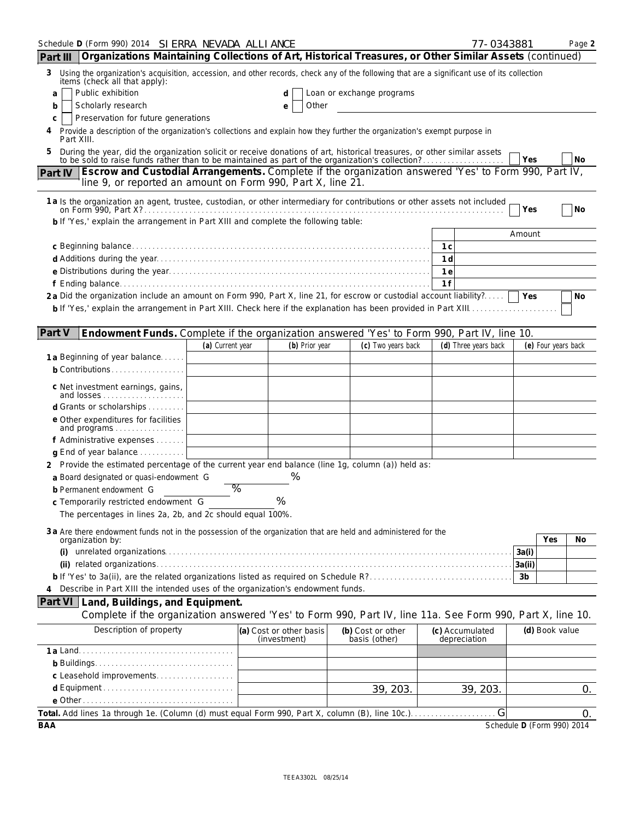| Schedule D (Form 990) 2014 SI ERRA NEVADA ALLI ANCE                                                                                                                                                                       |                  |                                         |                                    | 77-0343881                      |                            | Page 2 |
|---------------------------------------------------------------------------------------------------------------------------------------------------------------------------------------------------------------------------|------------------|-----------------------------------------|------------------------------------|---------------------------------|----------------------------|--------|
| Organizations Maintaining Collections of Art, Historical Treasures, or Other Similar Assets (continued)<br>Part III                                                                                                       |                  |                                         |                                    |                                 |                            |        |
| 3 Using the organization's acquisition, accession, and other records, check any of the following that are a significant use of its collection<br>items (check all that apply):                                            |                  |                                         |                                    |                                 |                            |        |
| Public exhibition<br>a                                                                                                                                                                                                    |                  | d                                       | Loan or exchange programs          |                                 |                            |        |
| Scholarly research<br>b<br>Preservation for future generations                                                                                                                                                            |                  | Other<br>е                              |                                    |                                 |                            |        |
| с<br>Provide a description of the organization's collections and explain how they further the organization's exempt purpose in<br>4<br>Part XIII.                                                                         |                  |                                         |                                    |                                 |                            |        |
| During the year, did the organization solicit or receive donations of art, historical treasures, or other similar assets to be sold to raise funds rather than to be maintained as part of the organization's collection? |                  |                                         |                                    |                                 |                            |        |
|                                                                                                                                                                                                                           |                  |                                         |                                    |                                 | Yes                        | No     |
| Part IV   Escrow and Custodial Arrangements. Complete if the organization answered 'Yes' to Form 990, Part IV,<br>line 9, or reported an amount on Form 990, Part X, line 21.                                             |                  |                                         |                                    |                                 |                            |        |
|                                                                                                                                                                                                                           |                  |                                         |                                    |                                 |                            |        |
| 1 a Is the organization an agent, trustee, custodian, or other intermediary for contributions or other assets not included                                                                                                |                  |                                         |                                    |                                 | Yes                        | No     |
| b If 'Yes,' explain the arrangement in Part XIII and complete the following table:                                                                                                                                        |                  |                                         |                                    |                                 |                            |        |
|                                                                                                                                                                                                                           |                  |                                         |                                    |                                 | Amount                     |        |
|                                                                                                                                                                                                                           |                  |                                         |                                    | 1c                              |                            |        |
|                                                                                                                                                                                                                           |                  |                                         |                                    | 1 <sub>d</sub>                  |                            |        |
|                                                                                                                                                                                                                           |                  |                                         |                                    | 1 e                             |                            |        |
| 2a Did the organization include an amount on Form 990, Part X, line 21, for escrow or custodial account liability?                                                                                                        |                  |                                         |                                    | 1f                              |                            |        |
|                                                                                                                                                                                                                           |                  |                                         |                                    |                                 |                            | No     |
|                                                                                                                                                                                                                           |                  |                                         |                                    |                                 |                            |        |
| Part V<br>Endowment Funds. Complete if the organization answered 'Yes' to Form 990, Part IV, line 10.                                                                                                                     |                  |                                         |                                    |                                 |                            |        |
|                                                                                                                                                                                                                           | (a) Current year | (b) Prior year                          | (c) Two years back                 | (d) Three years back            | (e) Four years back        |        |
| 1 a Beginning of year balance                                                                                                                                                                                             |                  |                                         |                                    |                                 |                            |        |
| <b>b</b> Contributions                                                                                                                                                                                                    |                  |                                         |                                    |                                 |                            |        |
| c Net investment earnings, gains,<br>and losses                                                                                                                                                                           |                  |                                         |                                    |                                 |                            |        |
| d Grants or scholarships                                                                                                                                                                                                  |                  |                                         |                                    |                                 |                            |        |
| e Other expenditures for facilities                                                                                                                                                                                       |                  |                                         |                                    |                                 |                            |        |
| and programs<br>f Administrative expenses                                                                                                                                                                                 |                  |                                         |                                    |                                 |                            |        |
| <b>q</b> End of year balance $\ldots \ldots \ldots$                                                                                                                                                                       |                  |                                         |                                    |                                 |                            |        |
| 2 Provide the estimated percentage of the current year end balance (line 1g, column (a)) held as:                                                                                                                         |                  |                                         |                                    |                                 |                            |        |
| a Board designated or quasi-endowment G                                                                                                                                                                                   |                  | %                                       |                                    |                                 |                            |        |
| <b>b</b> Permanent endowment G                                                                                                                                                                                            | %                |                                         |                                    |                                 |                            |        |
| c Temporarily restricted endowment G                                                                                                                                                                                      |                  | %                                       |                                    |                                 |                            |        |
| The percentages in lines 2a, 2b, and 2c should equal 100%.                                                                                                                                                                |                  |                                         |                                    |                                 |                            |        |
| 3 a Are there endowment funds not in the possession of the organization that are held and administered for the                                                                                                            |                  |                                         |                                    |                                 |                            |        |
| organization by:<br>(i)                                                                                                                                                                                                   |                  |                                         |                                    |                                 | Yes                        | No     |
|                                                                                                                                                                                                                           |                  |                                         |                                    |                                 | 3a(i)<br>3a(ii)            |        |
|                                                                                                                                                                                                                           |                  |                                         |                                    |                                 | 3 <sub>b</sub>             |        |
| Describe in Part XIII the intended uses of the organization's endowment funds.                                                                                                                                            |                  |                                         |                                    |                                 |                            |        |
| Part VI Land, Buildings, and Equipment.                                                                                                                                                                                   |                  |                                         |                                    |                                 |                            |        |
| Complete if the organization answered 'Yes' to Form 990, Part IV, line 11a. See Form 990, Part X, line 10.                                                                                                                |                  |                                         |                                    |                                 |                            |        |
| Description of property                                                                                                                                                                                                   |                  | (a) Cost or other basis<br>(investment) | (b) Cost or other<br>basis (other) | (c) Accumulated<br>depreciation | (d) Book value             |        |
|                                                                                                                                                                                                                           |                  |                                         |                                    |                                 |                            |        |
|                                                                                                                                                                                                                           |                  |                                         |                                    |                                 |                            |        |
| c Leasehold improvements                                                                                                                                                                                                  |                  |                                         |                                    |                                 |                            |        |
|                                                                                                                                                                                                                           |                  |                                         | 39, 203.                           | 39, 203.                        |                            | 0.     |
|                                                                                                                                                                                                                           |                  |                                         |                                    |                                 |                            |        |
| <b>BAA</b>                                                                                                                                                                                                                |                  |                                         |                                    |                                 | Schedule D (Form 990) 2014 | 0.     |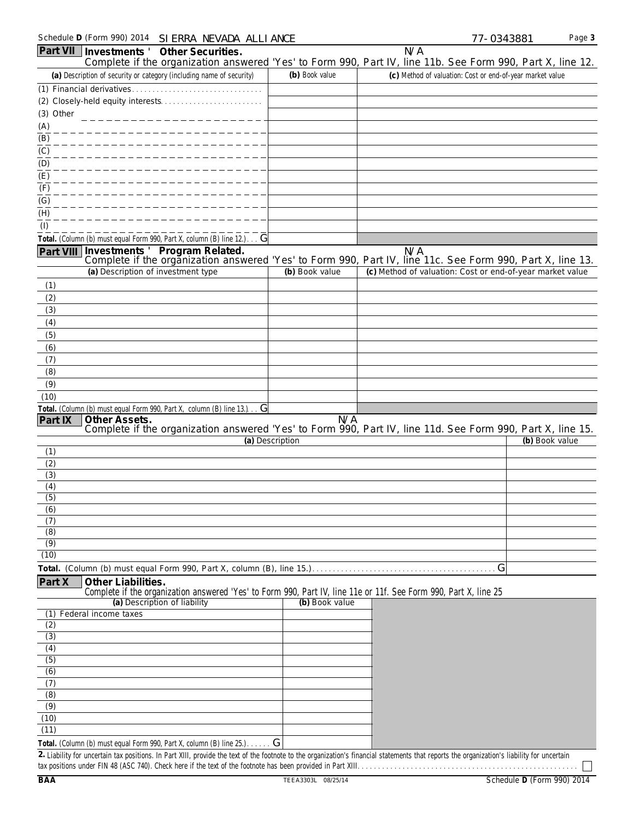|                           | Schedule D (Form 990) 2014 SI ERRA NEVADA ALLI ANCE                                                                                                                                         |                 | 77-0343881                                                | Page 3         |
|---------------------------|---------------------------------------------------------------------------------------------------------------------------------------------------------------------------------------------|-----------------|-----------------------------------------------------------|----------------|
|                           | Part VII   Investments ' Other Securities.<br>Complete if the organization answered 'Yes' to Form 990, Part IV, line 11b. See Form 990, Part X, line 12.                                    |                 | N/A                                                       |                |
|                           | (a) Description of security or category (including name of security)                                                                                                                        | (b) Book value  | (c) Method of valuation: Cost or end-of-year market value |                |
|                           |                                                                                                                                                                                             |                 |                                                           |                |
|                           |                                                                                                                                                                                             |                 |                                                           |                |
| (3) Other                 |                                                                                                                                                                                             |                 |                                                           |                |
| (A)                       |                                                                                                                                                                                             |                 |                                                           |                |
| $\overline{(\mathsf{B})}$ |                                                                                                                                                                                             |                 |                                                           |                |
| (C)                       |                                                                                                                                                                                             |                 |                                                           |                |
| (D)<br>(E)                |                                                                                                                                                                                             |                 |                                                           |                |
| (F)                       |                                                                                                                                                                                             |                 |                                                           |                |
| (G)                       |                                                                                                                                                                                             |                 |                                                           |                |
| $\overline{(H)}$          |                                                                                                                                                                                             |                 |                                                           |                |
| (1)                       |                                                                                                                                                                                             |                 |                                                           |                |
|                           | Total. (Column (b) must equal Form 990, Part X, column (B) line 12.) G                                                                                                                      |                 |                                                           |                |
|                           | Part VIII Investments ' Program Related.                                                                                                                                                    |                 | N/A                                                       |                |
|                           | Complete if the organization answered 'Yes' to Form 990, Part IV, line 11c. See Form 990, Part X, line 13.<br>(a) Description of investment type                                            | (b) Book value  | (c) Method of valuation: Cost or end-of-year market value |                |
|                           |                                                                                                                                                                                             |                 |                                                           |                |
| (1)<br>(2)                |                                                                                                                                                                                             |                 |                                                           |                |
| (3)                       |                                                                                                                                                                                             |                 |                                                           |                |
| (4)                       |                                                                                                                                                                                             |                 |                                                           |                |
| (5)                       |                                                                                                                                                                                             |                 |                                                           |                |
| (6)                       |                                                                                                                                                                                             |                 |                                                           |                |
| (7)                       |                                                                                                                                                                                             |                 |                                                           |                |
| (8)                       |                                                                                                                                                                                             |                 |                                                           |                |
| (9)                       |                                                                                                                                                                                             |                 |                                                           |                |
| (10)                      | Total. (Column (b) must equal Form 990, Part X, column (B) line 13.) G                                                                                                                      |                 |                                                           |                |
| Part IX                   | Other Assets.                                                                                                                                                                               | N/A             |                                                           |                |
|                           | Complete if the organization answered 'Yes' to Form 990, Part IV, line 11d. See Form 990, Part X, line 15.                                                                                  |                 |                                                           |                |
|                           |                                                                                                                                                                                             | (a) Description |                                                           | (b) Book value |
| (1)<br>(2)                |                                                                                                                                                                                             |                 |                                                           |                |
| (3)                       |                                                                                                                                                                                             |                 |                                                           |                |
| (4)                       |                                                                                                                                                                                             |                 |                                                           |                |
| (5)                       |                                                                                                                                                                                             |                 |                                                           |                |
| (6)                       |                                                                                                                                                                                             |                 |                                                           |                |
| (7)<br>$\overline{(8)}$   |                                                                                                                                                                                             |                 |                                                           |                |
| (9)                       |                                                                                                                                                                                             |                 |                                                           |                |
| (10)                      |                                                                                                                                                                                             |                 |                                                           |                |
|                           |                                                                                                                                                                                             |                 | G                                                         |                |
| Part X                    | Other Liabilities.                                                                                                                                                                          |                 |                                                           |                |
|                           | Complete if the organization answered 'Yes' to Form 990, Part IV, line 11e or 11f. See Form 990, Part X, line 25                                                                            |                 |                                                           |                |
| (1)                       | (a) Description of liability<br>Federal income taxes                                                                                                                                        | (b) Book value  |                                                           |                |
| (2)                       |                                                                                                                                                                                             |                 |                                                           |                |
| (3)                       |                                                                                                                                                                                             |                 |                                                           |                |
| $\overline{(4)}$          |                                                                                                                                                                                             |                 |                                                           |                |
| (5)                       |                                                                                                                                                                                             |                 |                                                           |                |
| $\overline{(6)}$          |                                                                                                                                                                                             |                 |                                                           |                |
| (7)<br>(8)                |                                                                                                                                                                                             |                 |                                                           |                |
| (9)                       |                                                                                                                                                                                             |                 |                                                           |                |
| (10)                      |                                                                                                                                                                                             |                 |                                                           |                |
| (11)                      |                                                                                                                                                                                             |                 |                                                           |                |
|                           | Total. (Column (b) must equal Form 990, Part X, column (B) line 25.). G                                                                                                                     |                 |                                                           |                |
|                           | 2. Liability for uncertain tax positions. In Part XIII, provide the text of the footnote to the organization's financial statements that reports the organization's liability for uncertain |                 |                                                           |                |

tax positions under FIN 48 (ASC 740). Check here if the text of the footnote has been provided in Part XIII. . . . . . . . . . . . . . . . . . . . . . . . . . . . . . . . . . . . . . . . . . . . . . . . . . . . . .

 $\Box$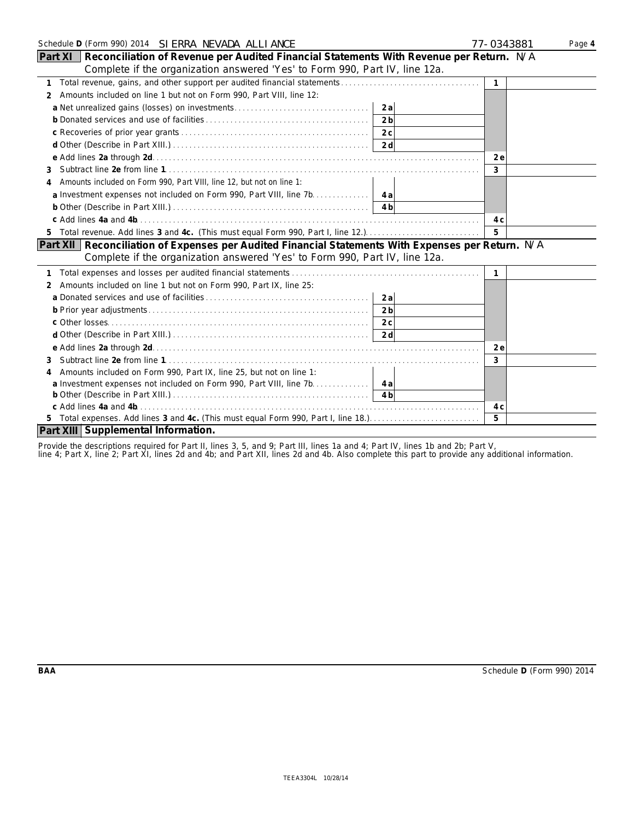| Schedule D (Form 990) 2014  SI ERRA NEVADA ALLI ANCE                                                 | 77-0343881   | Page 4 |
|------------------------------------------------------------------------------------------------------|--------------|--------|
| Part XI<br>Reconciliation of Revenue per Audited Financial Statements With Revenue per Return. N/A   |              |        |
| Complete if the organization answered 'Yes' to Form 990, Part IV, line 12a.                          |              |        |
| $\mathbf{1}$                                                                                         | $\mathbf{1}$ |        |
| Amounts included on line 1 but not on Form 990, Part VIII, line 12:<br>$\mathcal{P}$                 |              |        |
| 2a                                                                                                   |              |        |
| 2 <sub>b</sub>                                                                                       |              |        |
|                                                                                                      |              |        |
|                                                                                                      |              |        |
|                                                                                                      | 2 e          |        |
| 3                                                                                                    | 3            |        |
| Amounts included on Form 990, Part VIII, line 12, but not on line 1:<br>4                            |              |        |
|                                                                                                      |              |        |
|                                                                                                      |              |        |
|                                                                                                      | 4 c          |        |
| 5 Total revenue. Add lines 3 and 4c. (This must equal Form 990, Part I, line 12.).                   | 5            |        |
| Part XII   Reconciliation of Expenses per Audited Financial Statements With Expenses per Return. N/A |              |        |
| Complete if the organization answered 'Yes' to Form 990, Part IV, line 12a.                          |              |        |
|                                                                                                      | 1            |        |
| Amounts included on line 1 but not on Form 990, Part IX, line 25:<br>2                               |              |        |
| 2a                                                                                                   |              |        |
| 2 <sub>b</sub>                                                                                       |              |        |
|                                                                                                      |              |        |
|                                                                                                      |              |        |
|                                                                                                      | 2e           |        |
| 3                                                                                                    | 3            |        |
| Amounts included on Form 990, Part IX, line 25, but not on line 1:<br>4                              |              |        |
| a Investment expenses not included on Form 990, Part VIII, line 7b. 4a                               |              |        |
|                                                                                                      |              |        |
| c Add lines 4a and 4b                                                                                | 4 C          |        |
| 5 Total expenses. Add lines 3 and 4c. (This must equal Form 990, Part I, line 18.)                   | 5            |        |
| Part XIII Supplemental Information.                                                                  |              |        |

Provide the descriptions required for Part II, lines 3, 5, and 9; Part III, lines 1a and 4; Part IV, lines 1b and 2b; Part V,

line 4; Part X, line 2; Part XI, lines 2d and 4b; and Part XII, lines 2d and 4b. Also complete this part to provide any additional information.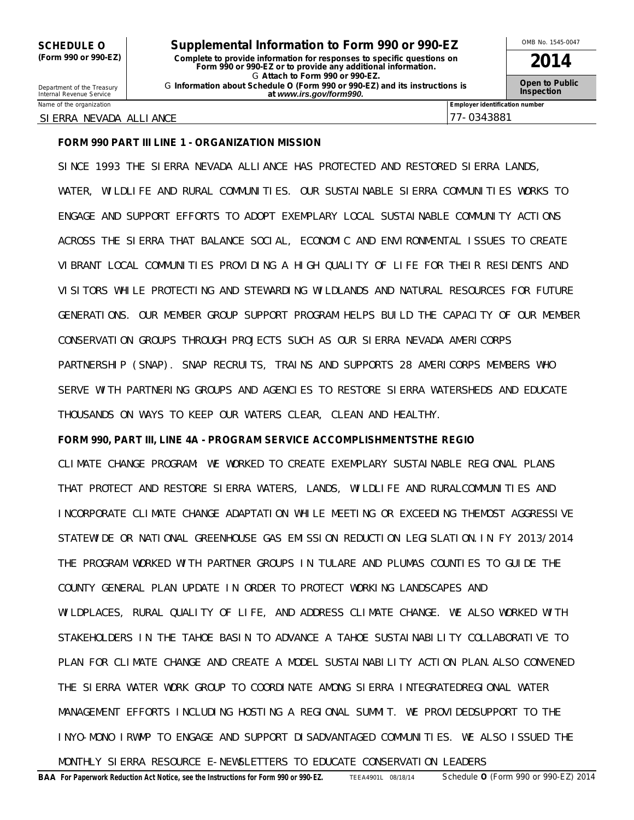SCHEDULE O **Supplemental Information to Form 990 or 990-EZ** <sup>OMB No. 1545-0047<br>
(Form 990 or 990-EZ) Complete to provide information for responses to specific questions on</sup> **(Form 990 or 990-EZ) Complete to provide information for responses to specific questions on Form 990 or 990-EZ or to provide any additional information. 2014** G **Attach to Form 990 or 990-EZ.** <sup>G</sup>**Open to Public** Department of the Treasury **Information about Schedule O (Form 990 or 990-EZ) and its instructions is** Internal Revenue Service **Inspection at** *www.irs.gov/form990.*

#### SIERRA NEVADA ALLIANCE 77-0343881

Name of the organization **Employer identification number Employer identification number** 

# **FORM 990 PART III LINE 1 - ORGANIZATION MISSION**

SINCE 1993 THE SIERRA NEVADA ALLIANCE HAS PROTECTED AND RESTORED SIERRA LANDS, WATER, WILDLIFE AND RURAL COMMUNITIES. OUR SUSTAINABLE SIERRA COMMUNITIES WORKS TO ENGAGE AND SUPPORT EFFORTS TO ADOPT EXEMPLARY LOCAL SUSTAINABLE COMMUNITY ACTIONS ACROSS THE SIERRA THAT BALANCE SOCIAL, ECONOMIC AND ENVIRONMENTAL ISSUES TO CREATE VIBRANT LOCAL COMMUNITIES PROVIDING A HIGH QUALITY OF LIFE FOR THEIR RESIDENTS AND VISITORS WHILE PROTECTING AND STEWARDING WILDLANDS AND NATURAL RESOURCES FOR FUTURE GENERATIONS. OUR MEMBER GROUP SUPPORT PROGRAM HELPS BUILD THE CAPACITY OF OUR MEMBER CONSERVATION GROUPS THROUGH PROJECTS SUCH AS OUR SIERRA NEVADA AMERICORPS PARTNERSHIP (SNAP). SNAP RECRUITS, TRAINS AND SUPPORTS 28 AMERICORPS MEMBERS WHO SERVE WITH PARTNERING GROUPS AND AGENCIES TO RESTORE SIERRA WATERSHEDS AND EDUCATE THOUSANDS ON WAYS TO KEEP OUR WATERS CLEAR, CLEAN AND HEALTHY.

# **FORM 990, PART III, LINE 4A - PROGRAM SERVICE ACCOMPLISHMENTSTHE REGIO**

CLIMATE CHANGE PROGRAM: WE WORKED TO CREATE EXEMPLARY SUSTAINABLE REGIONAL PLANS THAT PROTECT AND RESTORE SIERRA WATERS, LANDS, WILDLIFE AND RURALCOMMUNITIES AND INCORPORATE CLIMATE CHANGE ADAPTATION WHILE MEETING OR EXCEEDING THEMOST AGGRESSIVE STATEWIDE OR NATIONAL GREENHOUSE GAS EMISSION REDUCTION LEGISLATION.IN FY 2013/2014 THE PROGRAM WORKED WITH PARTNER GROUPS IN TULARE AND PLUMAS COUNTIES TO GUIDE THE COUNTY GENERAL PLAN UPDATE IN ORDER TO PROTECT WORKING LANDSCAPES AND WILDPLACES, RURAL QUALITY OF LIFE, AND ADDRESS CLIMATE CHANGE. WE ALSO WORKED WITH STAKEHOLDERS IN THE TAHOE BASIN TO ADVANCE A TAHOE SUSTAINABILITY COLLABORATIVE TO PLAN FOR CLIMATE CHANGE AND CREATE A MODEL SUSTAINABILITY ACTION PLAN.ALSO CONVENED THE SIERRA WATER WORK GROUP TO COORDINATE AMONG SIERRA INTEGRATEDREGIONAL WATER MANAGEMENT EFFORTS INCLUDING HOSTING A REGIONAL SUMMIT. WE PROVIDEDSUPPORT TO THE INYO-MONO IRWMP TO ENGAGE AND SUPPORT DISADVANTAGED COMMUNITIES. WE ALSO ISSUED THE

MONTHLY SIERRA RESOURCE E-NEWSLETTERS TO EDUCATE CONSERVATION LEADERS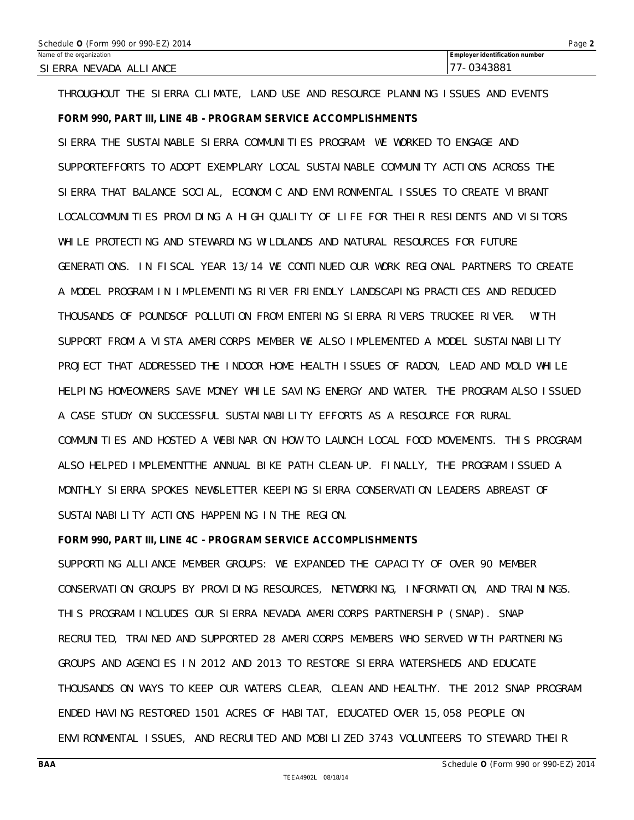| Schedule 0 (Form 990 or 990-EZ) 2014 | Page 2                                |
|--------------------------------------|---------------------------------------|
| Name of the organization             | <b>Employer identification number</b> |
| SI ERRA NEVADA ALLIANCE              | 177-0343881                           |

THROUGHOUT THE SIERRA CLIMATE, LAND USE AND RESOURCE PLANNING ISSUES AND EVENTS

# **FORM 990, PART III, LINE 4B - PROGRAM SERVICE ACCOMPLISHMENTS**

SIERRA THE SUSTAINABLE SIERRA COMMUNITIES PROGRAM: WE WORKED TO ENGAGE AND SUPPORTEFFORTS TO ADOPT EXEMPLARY LOCAL SUSTAINABLE COMMUNITY ACTIONS ACROSS THE SIERRA THAT BALANCE SOCIAL, ECONOMIC AND ENVIRONMENTAL ISSUES TO CREATE VIBRANT LOCALCOMMUNITIES PROVIDING A HIGH QUALITY OF LIFE FOR THEIR RESIDENTS AND VISITORS WHILE PROTECTING AND STEWARDING WILDLANDS AND NATURAL RESOURCES FOR FUTURE GENERATIONS. IN FISCAL YEAR 13/14 WE CONTINUED OUR WORK REGIONAL PARTNERS TO CREATE A MODEL PROGRAM IN IMPLEMENTING RIVER FRIENDLY LANDSCAPING PRACTICES AND REDUCED THOUSANDS OF POUNDSOF POLLUTION FROM ENTERING SIERRA RIVERS TRUCKEE RIVER. WITH SUPPORT FROM A VISTA AMERICORPS MEMBER WE ALSO IMPLEMENTED A MODEL SUSTAINABILITY PROJECT THAT ADDRESSED THE INDOOR HOME HEALTH ISSUES OF RADON, LEAD AND MOLD WHILE HELPING HOMEOWNERS SAVE MONEY WHILE SAVING ENERGY AND WATER. THE PROGRAM ALSO ISSUED A CASE STUDY ON SUCCESSFUL SUSTAINABILITY EFFORTS AS A RESOURCE FOR RURAL COMMUNITIES AND HOSTED A WEBINAR ON HOW TO LAUNCH LOCAL FOOD MOVEMENTS. THIS PROGRAM ALSO HELPED IMPLEMENTTHE ANNUAL BIKE PATH CLEAN-UP. FINALLY, THE PROGRAM ISSUED A MONTHLY SIERRA SPOKES NEWSLETTER KEEPING SIERRA CONSERVATION LEADERS ABREAST OF SUSTAINABILITY ACTIONS HAPPENING IN THE REGION

## **FORM 990, PART III, LINE 4C - PROGRAM SERVICE ACCOMPLISHMENTS**

SUPPORTING ALLIANCE MEMBER GROUPS: WE EXPANDED THE CAPACITY OF OVER 90 MEMBER CONSERVATION GROUPS BY PROVIDING RESOURCES, NETWORKING, INFORMATION, AND TRAININGS. THIS PROGRAM INCLUDES OUR SIERRA NEVADA AMERICORPS PARTNERSHIP (SNAP). SNAP RECRUITED, TRAINED AND SUPPORTED 28 AMERICORPS MEMBERS WHO SERVED WITH PARTNERING GROUPS AND AGENCIES IN 2012 AND 2013 TO RESTORE SIERRA WATERSHEDS AND EDUCATE THOUSANDS ON WAYS TO KEEP OUR WATERS CLEAR, CLEAN AND HEALTHY. THE 2012 SNAP PROGRAM ENDED HAVING RESTORED 1501 ACRES OF HABITAT, EDUCATED OVER 15,058 PEOPLE ON ENVIRONMENTAL ISSUES, AND RECRUITED AND MOBILIZED 3743 VOLUNTEERS TO STEWARD THEIR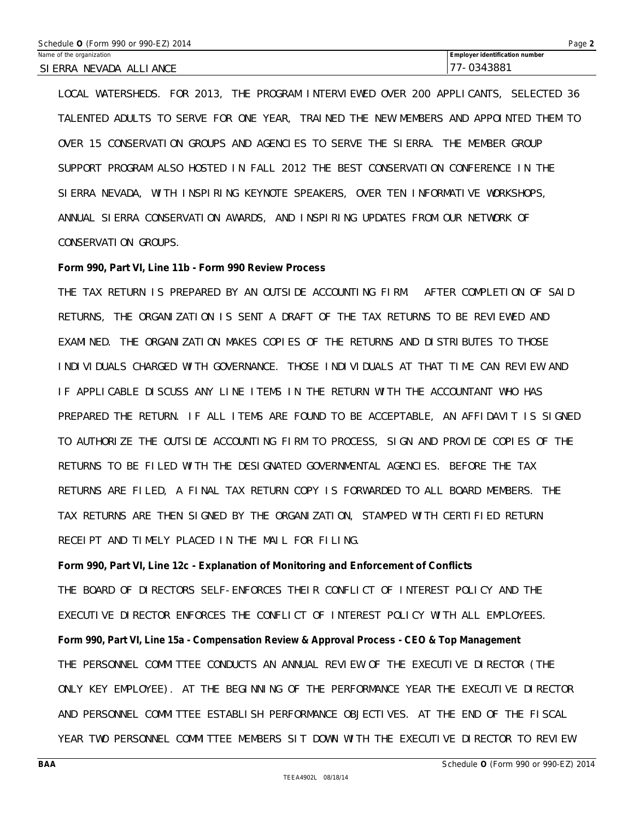| Schedule O (Form 990 or 990-EZ) 2014 |                                |  |  |
|--------------------------------------|--------------------------------|--|--|
| Name of the organization             | Employer identification number |  |  |
| SI ERRA NEVADA ALLIANCE              | 177-0343881                    |  |  |

LOCAL WATERSHEDS. FOR 2013, THE PROGRAM INTERVIEWED OVER 200 APPLICANTS, SELECTED 36 TALENTED ADULTS TO SERVE FOR ONE YEAR, TRAINED THE NEW MEMBERS AND APPOINTED THEM TO OVER 15 CONSERVATION GROUPS AND AGENCIES TO SERVE THE SIERRA. THE MEMBER GROUP SUPPORT PROGRAM ALSO HOSTED IN FALL 2012 THE BEST CONSERVATION CONFERENCE IN THE SIERRA NEVADA, WITH INSPIRING KEYNOTE SPEAKERS, OVER TEN INFORMATIVE WORKSHOPS, ANNUAL SIERRA CONSERVATION AWARDS, AND INSPIRING UPDATES FROM OUR NETWORK OF CONSERVATION GROUPS.

# **Form 990, Part VI, Line 11b - Form 990 Review Process**

THE TAX RETURN IS PREPARED BY AN OUTSIDE ACCOUNTING FIRM. AFTER COMPLETION OF SAID RETURNS, THE ORGANIZATION IS SENT A DRAFT OF THE TAX RETURNS TO BE REVIEWED AND EXAMINED. THE ORGANIZATION MAKES COPIES OF THE RETURNS AND DISTRIBUTES TO THOSE INDIVIDUALS CHARGED WITH GOVERNANCE. THOSE INDIVIDUALS AT THAT TIME CAN REVIEW AND IF APPLICABLE DISCUSS ANY LINE ITEMS IN THE RETURN WITH THE ACCOUNTANT WHO HAS PREPARED THE RETURN. IF ALL ITEMS ARE FOUND TO BE ACCEPTABLE, AN AFFIDAVIT IS SIGNED TO AUTHORIZE THE OUTSIDE ACCOUNTING FIRM TO PROCESS, SIGN AND PROVIDE COPIES OF THE RETURNS TO BE FILED WITH THE DESIGNATED GOVERNMENTAL AGENCIES. BEFORE THE TAX RETURNS ARE FILED, A FINAL TAX RETURN COPY IS FORWARDED TO ALL BOARD MEMBERS. THE TAX RETURNS ARE THEN SIGNED BY THE ORGANIZATION, STAMPED WITH CERTIFIED RETURN RECEIPT AND TIMELY PLACED IN THE MAIL FOR FILING.

**Form 990, Part VI, Line 12c - Explanation of Monitoring and Enforcement of Conflicts** THE BOARD OF DIRECTORS SELF-ENFORCES THEIR CONFLICT OF INTEREST POLICY AND THE EXECUTIVE DIRECTOR ENFORCES THE CONFLICT OF INTEREST POLICY WITH ALL EMPLOYEES. **Form 990, Part VI, Line 15a - Compensation Review & Approval Process - CEO & Top Management** THE PERSONNEL COMMITTEE CONDUCTS AN ANNUAL REVIEW OF THE EXECUTIVE DIRECTOR (THE ONLY KEY EMPLOYEE). AT THE BEGINNING OF THE PERFORMANCE YEAR THE EXECUTIVE DIRECTOR AND PERSONNEL COMMITTEE ESTABLISH PERFORMANCE OBJECTIVES. AT THE END OF THE FISCAL YEAR TWO PERSONNEL COMMITTEE MEMBERS SIT DOWN WITH THE EXECUTIVE DIRECTOR TO REVIEW